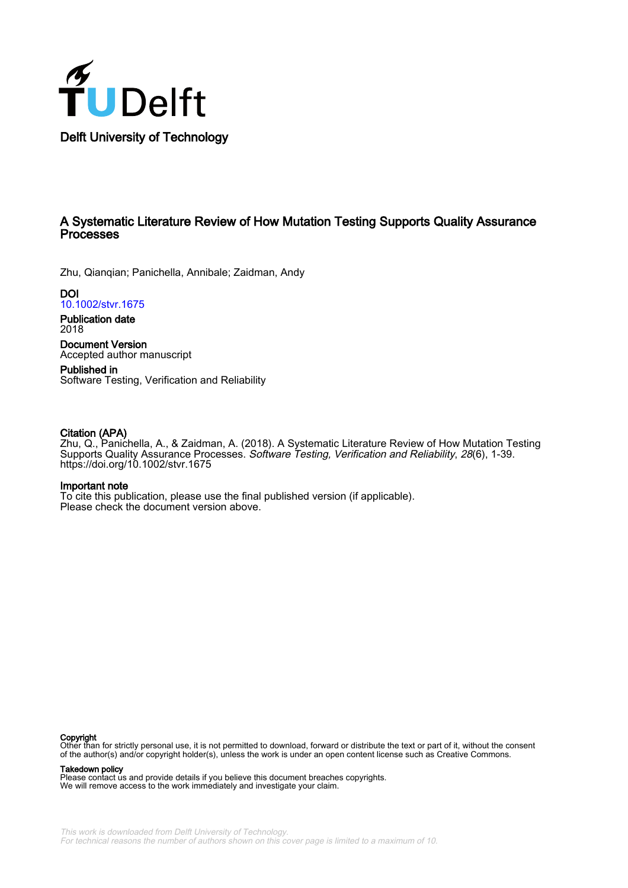

# A Systematic Literature Review of How Mutation Testing Supports Quality Assurance Processes

Zhu, Qianqian; Panichella, Annibale; Zaidman, Andy

**DOI** [10.1002/stvr.1675](https://doi.org/10.1002/stvr.1675)

Publication date 2018

Document Version Accepted author manuscript

Published in Software Testing, Verification and Reliability

# Citation (APA)

Zhu, Q., Panichella, A., & Zaidman, A. (2018). A Systematic Literature Review of How Mutation Testing Supports Quality Assurance Processes. Software Testing, Verification and Reliability, 28(6), 1-39. <https://doi.org/10.1002/stvr.1675>

### Important note

To cite this publication, please use the final published version (if applicable). Please check the document version above.

#### Copyright

Other than for strictly personal use, it is not permitted to download, forward or distribute the text or part of it, without the consent of the author(s) and/or copyright holder(s), unless the work is under an open content license such as Creative Commons.

#### Takedown policy

Please contact us and provide details if you believe this document breaches copyrights. We will remove access to the work immediately and investigate your claim.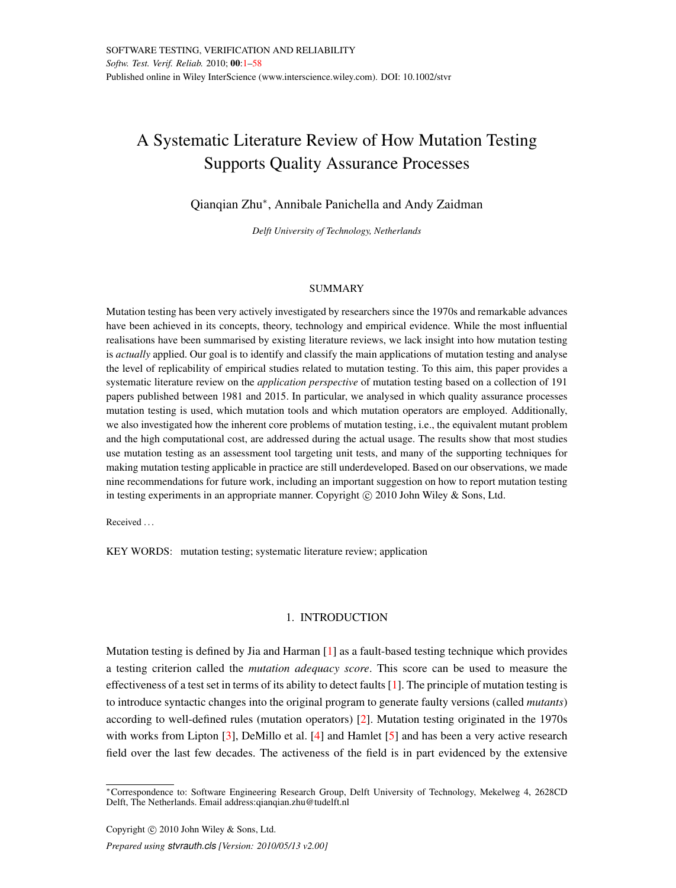# <span id="page-1-0"></span>A Systematic Literature Review of How Mutation Testing Supports Quality Assurance Processes

Qianqian Zhu<sup>∗</sup> , Annibale Panichella and Andy Zaidman

*Delft University of Technology, Netherlands*

#### **SUMMARY**

Mutation testing has been very actively investigated by researchers since the 1970s and remarkable advances have been achieved in its concepts, theory, technology and empirical evidence. While the most influential realisations have been summarised by existing literature reviews, we lack insight into how mutation testing is *actually* applied. Our goal is to identify and classify the main applications of mutation testing and analyse the level of replicability of empirical studies related to mutation testing. To this aim, this paper provides a systematic literature review on the *application perspective* of mutation testing based on a collection of 191 papers published between 1981 and 2015. In particular, we analysed in which quality assurance processes mutation testing is used, which mutation tools and which mutation operators are employed. Additionally, we also investigated how the inherent core problems of mutation testing, i.e., the equivalent mutant problem and the high computational cost, are addressed during the actual usage. The results show that most studies use mutation testing as an assessment tool targeting unit tests, and many of the supporting techniques for making mutation testing applicable in practice are still underdeveloped. Based on our observations, we made nine recommendations for future work, including an important suggestion on how to report mutation testing in testing experiments in an appropriate manner. Copyright  $\odot$  2010 John Wiley & Sons, Ltd.

Received ...

KEY WORDS: mutation testing; systematic literature review; application

## 1. INTRODUCTION

Mutation testing is defined by Jia and Harman [\[1\]](#page-51-0) as a fault-based testing technique which provides a testing criterion called the *mutation adequacy score*. This score can be used to measure the effectiveness of a test set in terms of its ability to detect faults [\[1\]](#page-51-0). The principle of mutation testing is to introduce syntactic changes into the original program to generate faulty versions (called *mutants*) according to well-defined rules (mutation operators) [\[2\]](#page-51-1). Mutation testing originated in the 1970s with works from Lipton [\[3\]](#page-51-2), DeMillo et al. [\[4\]](#page-51-3) and Hamlet [\[5\]](#page-51-4) and has been a very active research field over the last few decades. The activeness of the field is in part evidenced by the extensive

<sup>∗</sup>Correspondence to: Software Engineering Research Group, Delft University of Technology, Mekelweg 4, 2628CD Delft, The Netherlands. Email address:qianqian.zhu@tudelft.nl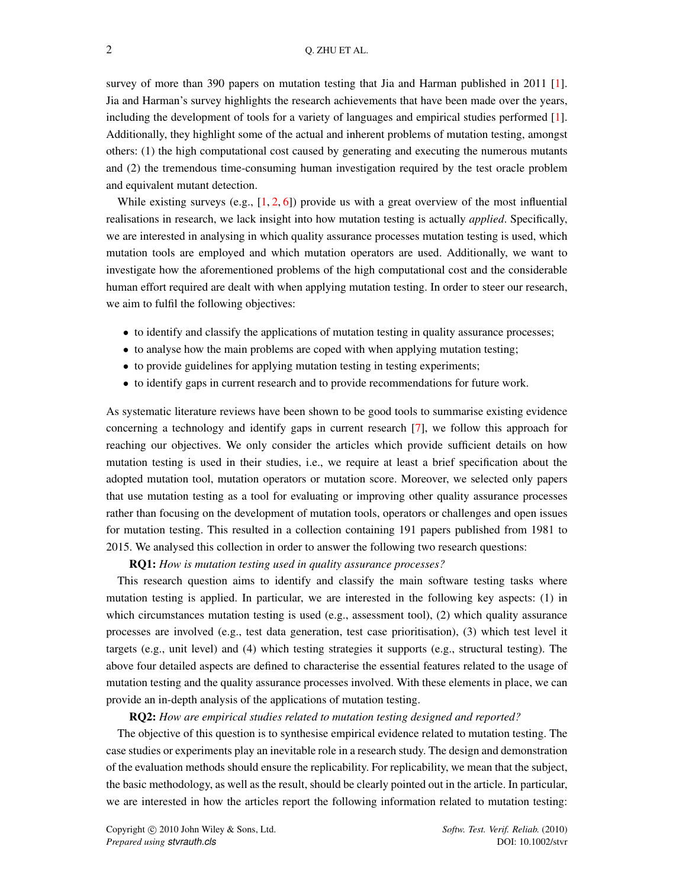survey of more than 390 papers on mutation testing that Jia and Harman published in 2011 [\[1\]](#page-51-0). Jia and Harman's survey highlights the research achievements that have been made over the years, including the development of tools for a variety of languages and empirical studies performed [\[1\]](#page-51-0). Additionally, they highlight some of the actual and inherent problems of mutation testing, amongst others: (1) the high computational cost caused by generating and executing the numerous mutants and (2) the tremendous time-consuming human investigation required by the test oracle problem and equivalent mutant detection.

While existing surveys (e.g.,  $[1, 2, 6]$  $[1, 2, 6]$  $[1, 2, 6]$  $[1, 2, 6]$  $[1, 2, 6]$ ) provide us with a great overview of the most influential realisations in research, we lack insight into how mutation testing is actually *applied*. Specifically, we are interested in analysing in which quality assurance processes mutation testing is used, which mutation tools are employed and which mutation operators are used. Additionally, we want to investigate how the aforementioned problems of the high computational cost and the considerable human effort required are dealt with when applying mutation testing. In order to steer our research, we aim to fulfil the following objectives:

- to identify and classify the applications of mutation testing in quality assurance processes;
- to analyse how the main problems are coped with when applying mutation testing;
- to provide guidelines for applying mutation testing in testing experiments;
- to identify gaps in current research and to provide recommendations for future work.

As systematic literature reviews have been shown to be good tools to summarise existing evidence concerning a technology and identify gaps in current research [\[7\]](#page-51-6), we follow this approach for reaching our objectives. We only consider the articles which provide sufficient details on how mutation testing is used in their studies, i.e., we require at least a brief specification about the adopted mutation tool, mutation operators or mutation score. Moreover, we selected only papers that use mutation testing as a tool for evaluating or improving other quality assurance processes rather than focusing on the development of mutation tools, operators or challenges and open issues for mutation testing. This resulted in a collection containing 191 papers published from 1981 to 2015. We analysed this collection in order to answer the following two research questions:

RQ1: *How is mutation testing used in quality assurance processes?*

This research question aims to identify and classify the main software testing tasks where mutation testing is applied. In particular, we are interested in the following key aspects: (1) in which circumstances mutation testing is used (e.g., assessment tool), (2) which quality assurance processes are involved (e.g., test data generation, test case prioritisation), (3) which test level it targets (e.g., unit level) and (4) which testing strategies it supports (e.g., structural testing). The above four detailed aspects are defined to characterise the essential features related to the usage of mutation testing and the quality assurance processes involved. With these elements in place, we can provide an in-depth analysis of the applications of mutation testing.

### RQ2: *How are empirical studies related to mutation testing designed and reported?*

The objective of this question is to synthesise empirical evidence related to mutation testing. The case studies or experiments play an inevitable role in a research study. The design and demonstration of the evaluation methods should ensure the replicability. For replicability, we mean that the subject, the basic methodology, as well as the result, should be clearly pointed out in the article. In particular, we are interested in how the articles report the following information related to mutation testing: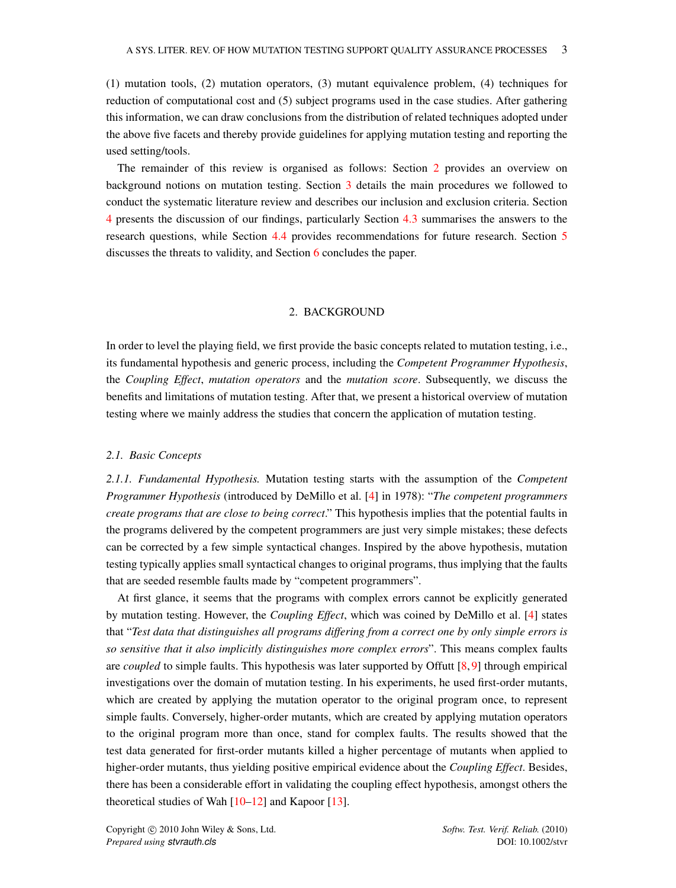(1) mutation tools, (2) mutation operators, (3) mutant equivalence problem, (4) techniques for reduction of computational cost and (5) subject programs used in the case studies. After gathering this information, we can draw conclusions from the distribution of related techniques adopted under the above five facets and thereby provide guidelines for applying mutation testing and reporting the used setting/tools.

The remainder of this review is organised as follows: Section [2](#page-3-0) provides an overview on background notions on mutation testing. Section [3](#page-8-0) details the main procedures we followed to conduct the systematic literature review and describes our inclusion and exclusion criteria. Section [4](#page-23-0) presents the discussion of our findings, particularly Section [4.3](#page-43-0) summarises the answers to the research questions, while Section [4.4](#page-45-0) provides recommendations for future research. Section [5](#page-47-0) discusses the threats to validity, and Section [6](#page-48-0) concludes the paper.

#### 2. BACKGROUND

<span id="page-3-0"></span>In order to level the playing field, we first provide the basic concepts related to mutation testing, i.e., its fundamental hypothesis and generic process, including the *Competent Programmer Hypothesis*, the *Coupling Effect*, *mutation operators* and the *mutation score*. Subsequently, we discuss the benefits and limitations of mutation testing. After that, we present a historical overview of mutation testing where we mainly address the studies that concern the application of mutation testing.

#### *2.1. Basic Concepts*

*2.1.1. Fundamental Hypothesis.* Mutation testing starts with the assumption of the *Competent Programmer Hypothesis* (introduced by DeMillo et al. [\[4\]](#page-51-3) in 1978): "*The competent programmers create programs that are close to being correct*." This hypothesis implies that the potential faults in the programs delivered by the competent programmers are just very simple mistakes; these defects can be corrected by a few simple syntactical changes. Inspired by the above hypothesis, mutation testing typically applies small syntactical changes to original programs, thus implying that the faults that are seeded resemble faults made by "competent programmers".

At first glance, it seems that the programs with complex errors cannot be explicitly generated by mutation testing. However, the *Coupling Effect*, which was coined by DeMillo et al. [\[4\]](#page-51-3) states that "*Test data that distinguishes all programs differing from a correct one by only simple errors is so sensitive that it also implicitly distinguishes more complex errors*". This means complex faults are *coupled* to simple faults. This hypothesis was later supported by Offutt [\[8,](#page-51-7) [9\]](#page-51-8) through empirical investigations over the domain of mutation testing. In his experiments, he used first-order mutants, which are created by applying the mutation operator to the original program once, to represent simple faults. Conversely, higher-order mutants, which are created by applying mutation operators to the original program more than once, stand for complex faults. The results showed that the test data generated for first-order mutants killed a higher percentage of mutants when applied to higher-order mutants, thus yielding positive empirical evidence about the *Coupling Effect*. Besides, there has been a considerable effort in validating the coupling effect hypothesis, amongst others the theoretical studies of Wah  $[10-12]$  $[10-12]$  and Kapoor  $[13]$ .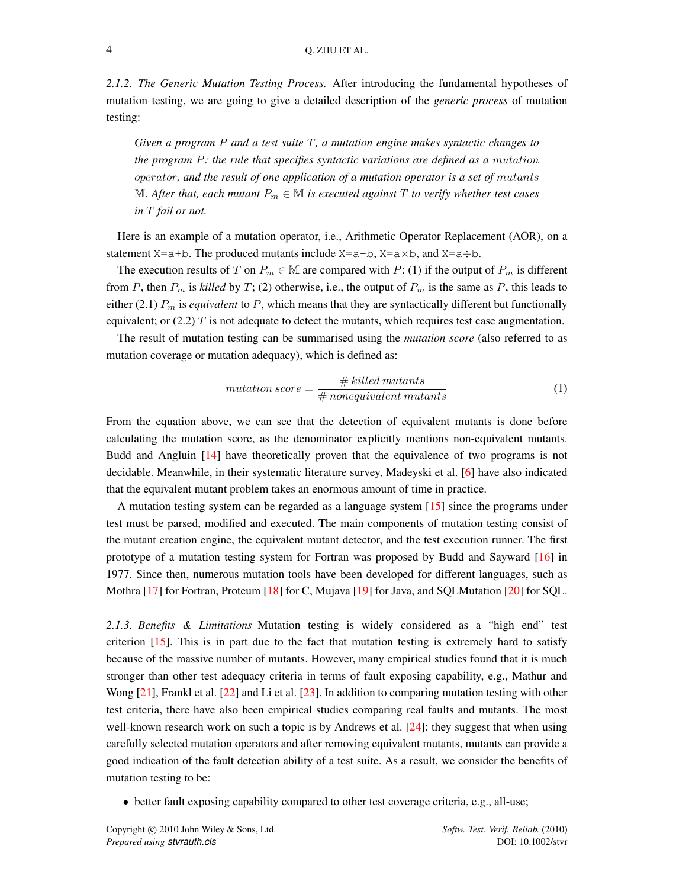*2.1.2. The Generic Mutation Testing Process.* After introducing the fundamental hypotheses of mutation testing, we are going to give a detailed description of the *generic process* of mutation testing:

*Given a program* P *and a test suite* T*, a mutation engine makes syntactic changes to the program* P*: the rule that specifies syntactic variations are defined as a* mutation operator*, and the result of one application of a mutation operator is a set of* mutants M*. After that, each mutant*  $P_m \in M$  *is executed against* T *to verify whether test cases in* T *fail or not.*

Here is an example of a mutation operator, i.e., Arithmetic Operator Replacement (AOR), on a statement  $X=a+b$ . The produced mutants include  $X=a-b$ ,  $X=a\times b$ , and  $X=a+b$ .

The execution results of T on  $P_m \in \mathbb{M}$  are compared with P: (1) if the output of  $P_m$  is different from P, then  $P_m$  is *killed* by T; (2) otherwise, i.e., the output of  $P_m$  is the same as P, this leads to either (2.1)  $P_m$  is *equivalent* to  $P$ , which means that they are syntactically different but functionally equivalent; or  $(2.2)$  T is not adequate to detect the mutants, which requires test case augmentation.

The result of mutation testing can be summarised using the *mutation score* (also referred to as mutation coverage or mutation adequacy), which is defined as:

$$
mutation score = \frac{\# killed \, mutants}{\# \, nonequivalent \, mutants}
$$
\n<sup>(1)</sup>

From the equation above, we can see that the detection of equivalent mutants is done before calculating the mutation score, as the denominator explicitly mentions non-equivalent mutants. Budd and Angluin [\[14\]](#page-51-12) have theoretically proven that the equivalence of two programs is not decidable. Meanwhile, in their systematic literature survey, Madeyski et al. [\[6\]](#page-51-5) have also indicated that the equivalent mutant problem takes an enormous amount of time in practice.

A mutation testing system can be regarded as a language system [\[15\]](#page-51-13) since the programs under test must be parsed, modified and executed. The main components of mutation testing consist of the mutant creation engine, the equivalent mutant detector, and the test execution runner. The first prototype of a mutation testing system for Fortran was proposed by Budd and Sayward [\[16\]](#page-51-14) in 1977. Since then, numerous mutation tools have been developed for different languages, such as Mothra [\[17\]](#page-51-15) for Fortran, Proteum [\[18\]](#page-51-16) for C, Mujava [\[19\]](#page-51-17) for Java, and SQLMutation [\[20\]](#page-51-18) for SQL.

*2.1.3. Benefits & Limitations* Mutation testing is widely considered as a "high end" test criterion [\[15\]](#page-51-13). This is in part due to the fact that mutation testing is extremely hard to satisfy because of the massive number of mutants. However, many empirical studies found that it is much stronger than other test adequacy criteria in terms of fault exposing capability, e.g., Mathur and Wong [\[21\]](#page-51-19), Frankl et al. [\[22\]](#page-51-20) and Li et al. [\[23\]](#page-51-21). In addition to comparing mutation testing with other test criteria, there have also been empirical studies comparing real faults and mutants. The most well-known research work on such a topic is by Andrews et al. [\[24\]](#page-51-22): they suggest that when using carefully selected mutation operators and after removing equivalent mutants, mutants can provide a good indication of the fault detection ability of a test suite. As a result, we consider the benefits of mutation testing to be:

• better fault exposing capability compared to other test coverage criteria, e.g., all-use;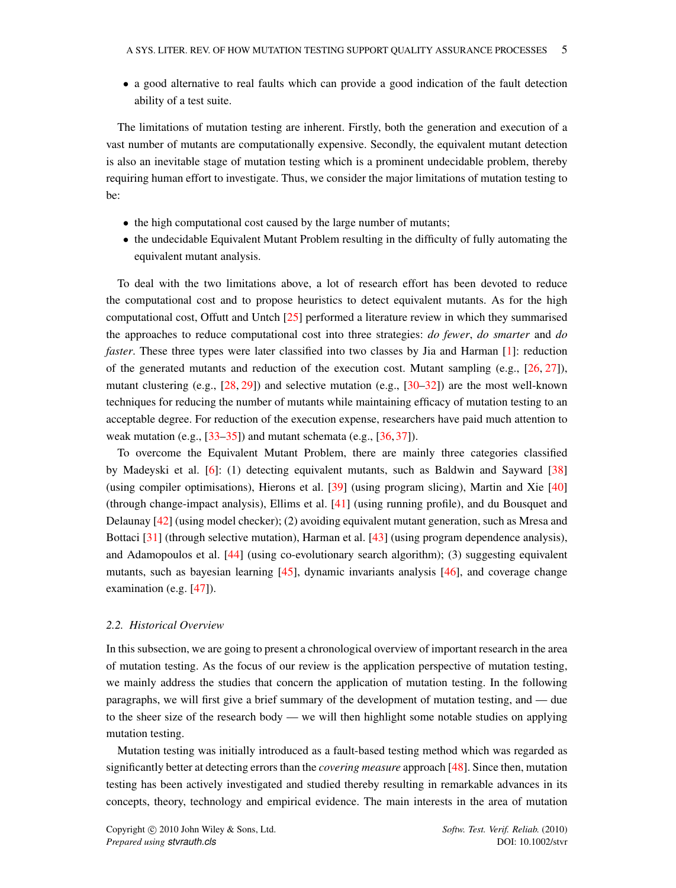• a good alternative to real faults which can provide a good indication of the fault detection ability of a test suite.

The limitations of mutation testing are inherent. Firstly, both the generation and execution of a vast number of mutants are computationally expensive. Secondly, the equivalent mutant detection is also an inevitable stage of mutation testing which is a prominent undecidable problem, thereby requiring human effort to investigate. Thus, we consider the major limitations of mutation testing to be:

- the high computational cost caused by the large number of mutants;
- the undecidable Equivalent Mutant Problem resulting in the difficulty of fully automating the equivalent mutant analysis.

To deal with the two limitations above, a lot of research effort has been devoted to reduce the computational cost and to propose heuristics to detect equivalent mutants. As for the high computational cost, Offutt and Untch [\[25\]](#page-51-23) performed a literature review in which they summarised the approaches to reduce computational cost into three strategies: *do fewer*, *do smarter* and *do faster*. These three types were later classified into two classes by Jia and Harman [\[1\]](#page-51-0): reduction of the generated mutants and reduction of the execution cost. Mutant sampling  $(e.g., [26, 27])$  $(e.g., [26, 27])$  $(e.g., [26, 27])$  $(e.g., [26, 27])$  $(e.g., [26, 27])$ , mutant clustering (e.g.,  $[28, 29]$  $[28, 29]$  $[28, 29]$ ) and selective mutation (e.g.,  $[30-32]$  $[30-32]$ ) are the most well-known techniques for reducing the number of mutants while maintaining efficacy of mutation testing to an acceptable degree. For reduction of the execution expense, researchers have paid much attention to weak mutation (e.g., [\[33–](#page-52-1)[35\]](#page-52-2)) and mutant schemata (e.g., [\[36,](#page-52-3) [37\]](#page-52-4)).

To overcome the Equivalent Mutant Problem, there are mainly three categories classified by Madeyski et al. [\[6\]](#page-51-5): (1) detecting equivalent mutants, such as Baldwin and Sayward [\[38\]](#page-52-5) (using compiler optimisations), Hierons et al. [\[39\]](#page-52-6) (using program slicing), Martin and Xie [\[40\]](#page-52-7) (through change-impact analysis), Ellims et al. [\[41\]](#page-52-8) (using running profile), and du Bousquet and Delaunay [\[42\]](#page-52-9) (using model checker); (2) avoiding equivalent mutant generation, such as Mresa and Bottaci [\[31\]](#page-52-10) (through selective mutation), Harman et al. [\[43\]](#page-52-11) (using program dependence analysis), and Adamopoulos et al. [\[44\]](#page-52-12) (using co-evolutionary search algorithm); (3) suggesting equivalent mutants, such as bayesian learning [\[45\]](#page-52-13), dynamic invariants analysis [\[46\]](#page-52-14), and coverage change examination (e.g. [\[47\]](#page-52-15)).

#### *2.2. Historical Overview*

In this subsection, we are going to present a chronological overview of important research in the area of mutation testing. As the focus of our review is the application perspective of mutation testing, we mainly address the studies that concern the application of mutation testing. In the following paragraphs, we will first give a brief summary of the development of mutation testing, and — due to the sheer size of the research body — we will then highlight some notable studies on applying mutation testing.

Mutation testing was initially introduced as a fault-based testing method which was regarded as significantly better at detecting errors than the *covering measure* approach [\[48\]](#page-52-16). Since then, mutation testing has been actively investigated and studied thereby resulting in remarkable advances in its concepts, theory, technology and empirical evidence. The main interests in the area of mutation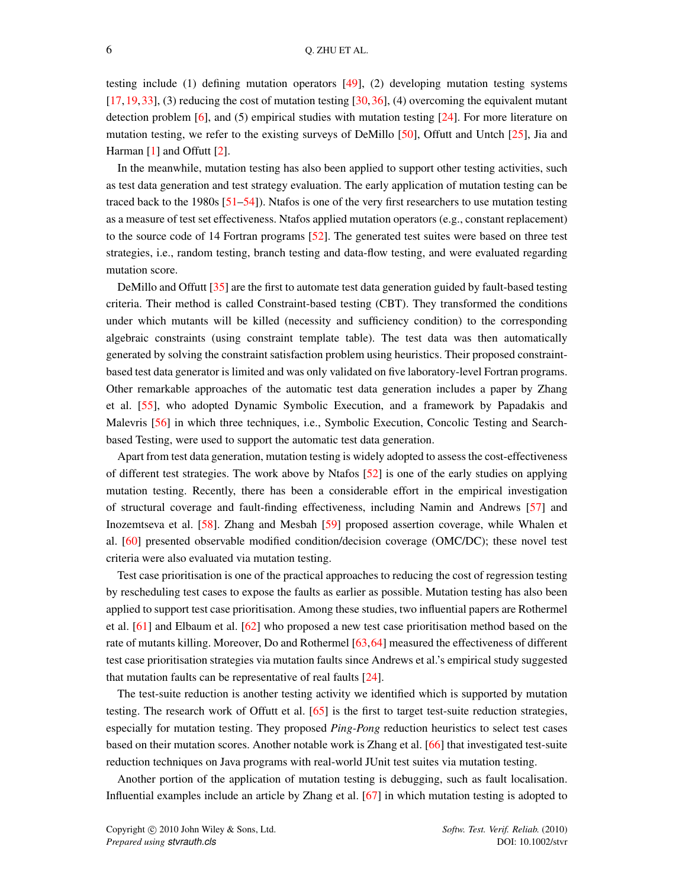testing include (1) defining mutation operators [\[49\]](#page-52-17), (2) developing mutation testing systems  $[17, 19, 33]$  $[17, 19, 33]$  $[17, 19, 33]$  $[17, 19, 33]$  $[17, 19, 33]$ , (3) reducing the cost of mutation testing  $[30, 36]$  $[30, 36]$  $[30, 36]$ , (4) overcoming the equivalent mutant detection problem [\[6\]](#page-51-5), and (5) empirical studies with mutation testing [\[24\]](#page-51-22). For more literature on mutation testing, we refer to the existing surveys of DeMillo  $[50]$ , Offutt and Untch  $[25]$ , Jia and Harman [\[1\]](#page-51-0) and Offutt [\[2\]](#page-51-1).

In the meanwhile, mutation testing has also been applied to support other testing activities, such as test data generation and test strategy evaluation. The early application of mutation testing can be traced back to the 1980s [\[51](#page-52-19)[–54\]](#page-52-20)). Ntafos is one of the very first researchers to use mutation testing as a measure of test set effectiveness. Ntafos applied mutation operators (e.g., constant replacement) to the source code of 14 Fortran programs [\[52\]](#page-52-21). The generated test suites were based on three test strategies, i.e., random testing, branch testing and data-flow testing, and were evaluated regarding mutation score.

DeMillo and Offutt [\[35\]](#page-52-2) are the first to automate test data generation guided by fault-based testing criteria. Their method is called Constraint-based testing (CBT). They transformed the conditions under which mutants will be killed (necessity and sufficiency condition) to the corresponding algebraic constraints (using constraint template table). The test data was then automatically generated by solving the constraint satisfaction problem using heuristics. Their proposed constraintbased test data generator is limited and was only validated on five laboratory-level Fortran programs. Other remarkable approaches of the automatic test data generation includes a paper by Zhang et al. [\[55\]](#page-52-22), who adopted Dynamic Symbolic Execution, and a framework by Papadakis and Malevris [\[56\]](#page-52-23) in which three techniques, i.e., Symbolic Execution, Concolic Testing and Searchbased Testing, were used to support the automatic test data generation.

Apart from test data generation, mutation testing is widely adopted to assess the cost-effectiveness of different test strategies. The work above by Ntafos [\[52\]](#page-52-21) is one of the early studies on applying mutation testing. Recently, there has been a considerable effort in the empirical investigation of structural coverage and fault-finding effectiveness, including Namin and Andrews [\[57\]](#page-52-24) and Inozemtseva et al. [\[58\]](#page-52-25). Zhang and Mesbah [\[59\]](#page-53-0) proposed assertion coverage, while Whalen et al. [\[60\]](#page-53-1) presented observable modified condition/decision coverage (OMC/DC); these novel test criteria were also evaluated via mutation testing.

Test case prioritisation is one of the practical approaches to reducing the cost of regression testing by rescheduling test cases to expose the faults as earlier as possible. Mutation testing has also been applied to support test case prioritisation. Among these studies, two influential papers are Rothermel et al. [\[61\]](#page-53-2) and Elbaum et al. [\[62\]](#page-53-3) who proposed a new test case prioritisation method based on the rate of mutants killing. Moreover, Do and Rothermel [\[63,](#page-53-4)[64\]](#page-53-5) measured the effectiveness of different test case prioritisation strategies via mutation faults since Andrews et al.'s empirical study suggested that mutation faults can be representative of real faults [\[24\]](#page-51-22).

The test-suite reduction is another testing activity we identified which is supported by mutation testing. The research work of Offutt et al. [\[65\]](#page-53-6) is the first to target test-suite reduction strategies, especially for mutation testing. They proposed *Ping-Pong* reduction heuristics to select test cases based on their mutation scores. Another notable work is Zhang et al. [\[66\]](#page-53-7) that investigated test-suite reduction techniques on Java programs with real-world JUnit test suites via mutation testing.

Another portion of the application of mutation testing is debugging, such as fault localisation. Influential examples include an article by Zhang et al. [\[67\]](#page-53-8) in which mutation testing is adopted to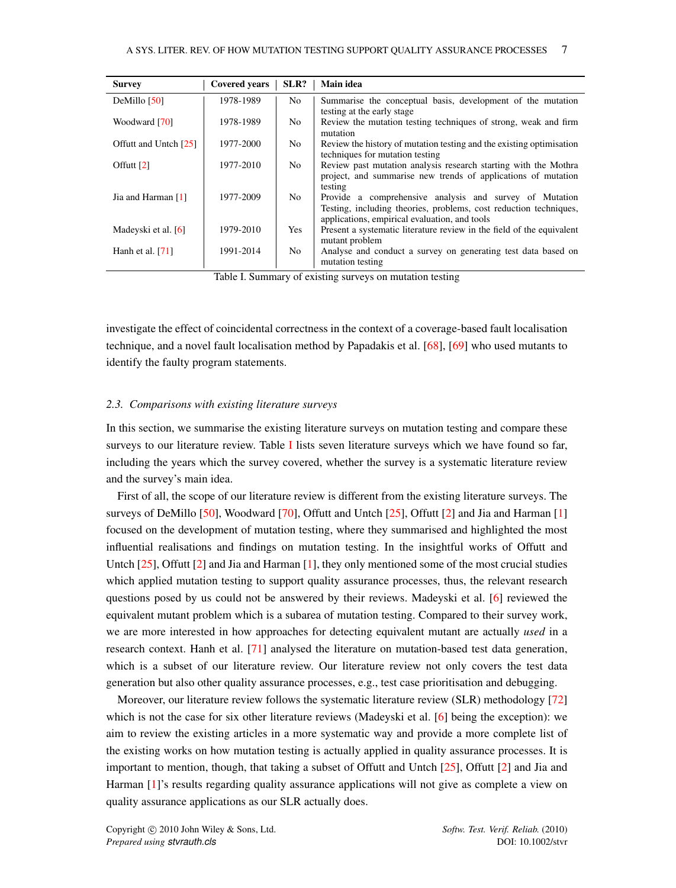<span id="page-7-0"></span>

| <b>Survey</b>         | <b>Covered years</b> | SLR?       | Main idea                                                                                                                                                                     |
|-----------------------|----------------------|------------|-------------------------------------------------------------------------------------------------------------------------------------------------------------------------------|
| DeMillo [50]          | 1978-1989            | No.        | Summarise the conceptual basis, development of the mutation                                                                                                                   |
| Woodward [70]         | 1978-1989            | No.        | testing at the early stage<br>Review the mutation testing techniques of strong, weak and firm<br>mutation                                                                     |
| Offutt and Untch [25] | 1977-2000            | No.        | Review the history of mutation testing and the existing optimisation<br>techniques for mutation testing                                                                       |
| Offutt $[2]$          | 1977-2010            | No.        | Review past mutation analysis research starting with the Mothra<br>project, and summarise new trends of applications of mutation<br>testing                                   |
| Jia and Harman [1]    | 1977-2009            | No.        | Provide a comprehensive analysis and survey of Mutation<br>Testing, including theories, problems, cost reduction techniques,<br>applications, empirical evaluation, and tools |
| Madeyski et al. [6]   | 1979-2010            | <b>Yes</b> | Present a systematic literature review in the field of the equivalent<br>mutant problem                                                                                       |
| Hanh et al. $[71]$    | 1991-2014            | No.        | Analyse and conduct a survey on generating test data based on<br>mutation testing                                                                                             |

Table I. Summary of existing surveys on mutation testing

investigate the effect of coincidental correctness in the context of a coverage-based fault localisation technique, and a novel fault localisation method by Papadakis et al. [\[68\]](#page-53-11), [\[69\]](#page-53-12) who used mutants to identify the faulty program statements.

#### *2.3. Comparisons with existing literature surveys*

In this section, we summarise the existing literature surveys on mutation testing and compare these surveys to our literature review. Table [I](#page-7-0) lists seven literature surveys which we have found so far, including the years which the survey covered, whether the survey is a systematic literature review and the survey's main idea.

First of all, the scope of our literature review is different from the existing literature surveys. The surveys of DeMillo [\[50\]](#page-52-18), Woodward [\[70\]](#page-53-9), Offutt and Untch [\[25\]](#page-51-23), Offutt [\[2\]](#page-51-1) and Jia and Harman [\[1\]](#page-51-0) focused on the development of mutation testing, where they summarised and highlighted the most influential realisations and findings on mutation testing. In the insightful works of Offutt and Untch [\[25\]](#page-51-23), Offutt [\[2\]](#page-51-1) and Jia and Harman [\[1\]](#page-51-0), they only mentioned some of the most crucial studies which applied mutation testing to support quality assurance processes, thus, the relevant research questions posed by us could not be answered by their reviews. Madeyski et al. [\[6\]](#page-51-5) reviewed the equivalent mutant problem which is a subarea of mutation testing. Compared to their survey work, we are more interested in how approaches for detecting equivalent mutant are actually *used* in a research context. Hanh et al. [\[71\]](#page-53-10) analysed the literature on mutation-based test data generation, which is a subset of our literature review. Our literature review not only covers the test data generation but also other quality assurance processes, e.g., test case prioritisation and debugging.

Moreover, our literature review follows the systematic literature review (SLR) methodology [\[72\]](#page-53-13) which is not the case for six other literature reviews (Madeyski et al. [\[6\]](#page-51-5) being the exception): we aim to review the existing articles in a more systematic way and provide a more complete list of the existing works on how mutation testing is actually applied in quality assurance processes. It is important to mention, though, that taking a subset of Offutt and Untch [\[25\]](#page-51-23), Offutt [\[2\]](#page-51-1) and Jia and Harman [\[1\]](#page-51-0)'s results regarding quality assurance applications will not give as complete a view on quality assurance applications as our SLR actually does.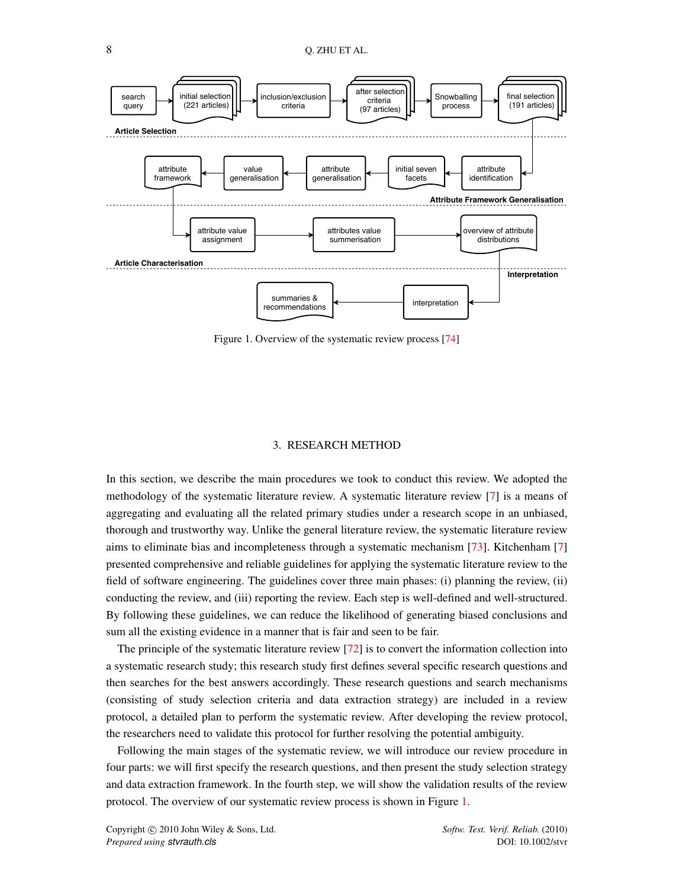<span id="page-8-1"></span>

Figure 1. Overview of the systematic review process [\[74\]](#page-53-14)

#### 3. RESEARCH METHOD

<span id="page-8-0"></span>In this section, we describe the main procedures we took to conduct this review. We adopted the methodology of the systematic literature review. A systematic literature review [\[7\]](#page-51-6) is a means of aggregating and evaluating all the related primary studies under a research scope in an unbiased, thorough and trustworthy way. Unlike the general literature review, the systematic literature review aims to eliminate bias and incompleteness through a systematic mechanism [\[73\]](#page-53-15). Kitchenham [\[7\]](#page-51-6) presented comprehensive and reliable guidelines for applying the systematic literature review to the field of software engineering. The guidelines cover three main phases: (i) planning the review, (ii) conducting the review, and (iii) reporting the review. Each step is well-defined and well-structured. By following these guidelines, we can reduce the likelihood of generating biased conclusions and sum all the existing evidence in a manner that is fair and seen to be fair.

The principle of the systematic literature review [\[72\]](#page-53-13) is to convert the information collection into a systematic research study; this research study first defines several specific research questions and then searches for the best answers accordingly. These research questions and search mechanisms (consisting of study selection criteria and data extraction strategy) are included in a review protocol, a detailed plan to perform the systematic review. After developing the review protocol, the researchers need to validate this protocol for further resolving the potential ambiguity.

Following the main stages of the systematic review, we will introduce our review procedure in four parts: we will first specify the research questions, and then present the study selection strategy and data extraction framework. In the fourth step, we will show the validation results of the review protocol. The overview of our systematic review process is shown in Figure [1.](#page-8-1)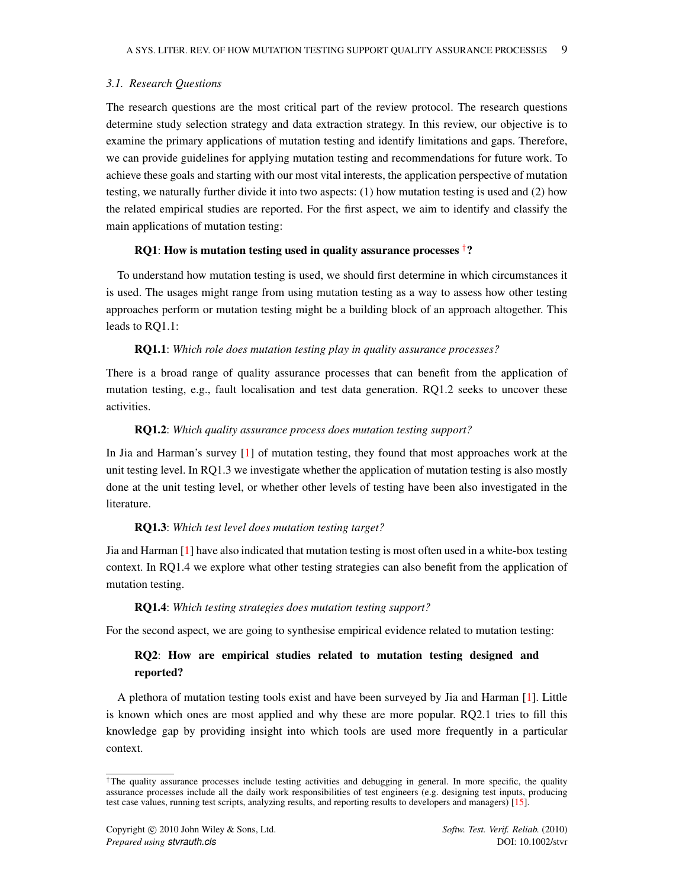## <span id="page-9-1"></span>*3.1. Research Questions*

The research questions are the most critical part of the review protocol. The research questions determine study selection strategy and data extraction strategy. In this review, our objective is to examine the primary applications of mutation testing and identify limitations and gaps. Therefore, we can provide guidelines for applying mutation testing and recommendations for future work. To achieve these goals and starting with our most vital interests, the application perspective of mutation testing, we naturally further divide it into two aspects: (1) how mutation testing is used and (2) how the related empirical studies are reported. For the first aspect, we aim to identify and classify the main applications of mutation testing:

#### RQ1: How is mutation testing used in quality assurance processes <sup>[†](#page-9-0)</sup>?

To understand how mutation testing is used, we should first determine in which circumstances it is used. The usages might range from using mutation testing as a way to assess how other testing approaches perform or mutation testing might be a building block of an approach altogether. This leads to RQ1.1:

## RQ1.1: *Which role does mutation testing play in quality assurance processes?*

There is a broad range of quality assurance processes that can benefit from the application of mutation testing, e.g., fault localisation and test data generation. RQ1.2 seeks to uncover these activities.

#### RQ1.2: *Which quality assurance process does mutation testing support?*

In Jia and Harman's survey [\[1\]](#page-51-0) of mutation testing, they found that most approaches work at the unit testing level. In RQ1.3 we investigate whether the application of mutation testing is also mostly done at the unit testing level, or whether other levels of testing have been also investigated in the literature.

#### RQ1.3: *Which test level does mutation testing target?*

Jia and Harman [\[1\]](#page-51-0) have also indicated that mutation testing is most often used in a white-box testing context. In RQ1.4 we explore what other testing strategies can also benefit from the application of mutation testing.

## RQ1.4: *Which testing strategies does mutation testing support?*

For the second aspect, we are going to synthesise empirical evidence related to mutation testing:

# RQ2: How are empirical studies related to mutation testing designed and reported?

A plethora of mutation testing tools exist and have been surveyed by Jia and Harman [\[1\]](#page-51-0). Little is known which ones are most applied and why these are more popular. RQ2.1 tries to fill this knowledge gap by providing insight into which tools are used more frequently in a particular context.

<span id="page-9-0"></span><sup>†</sup>The quality assurance processes include testing activities and debugging in general. In more specific, the quality assurance processes include all the daily work responsibilities of test engineers (e.g. designing test inputs, producing test case values, running test scripts, analyzing results, and reporting results to developers and managers) [\[15\]](#page-51-13).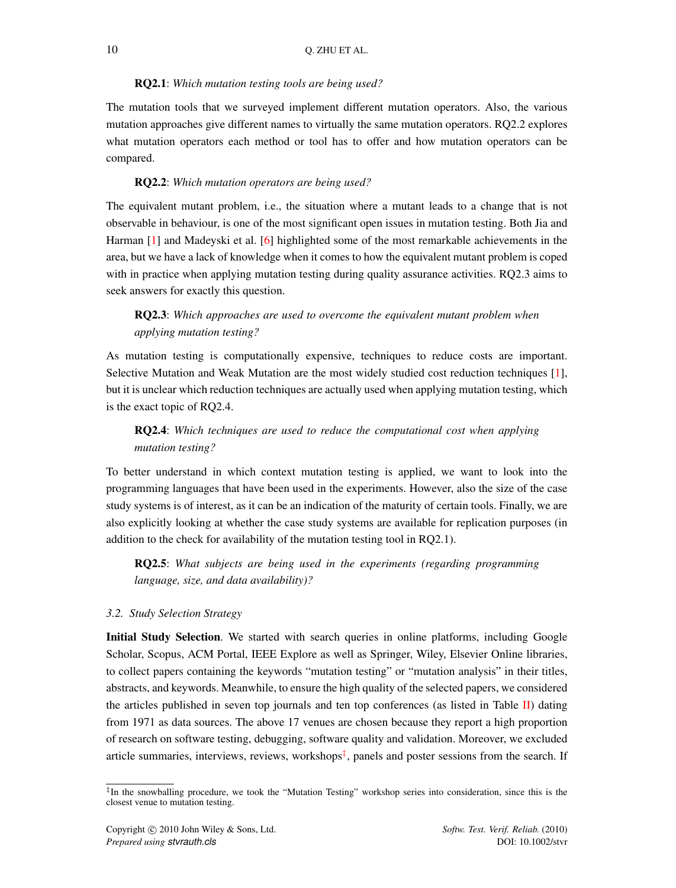## RQ2.1: *Which mutation testing tools are being used?*

The mutation tools that we surveyed implement different mutation operators. Also, the various mutation approaches give different names to virtually the same mutation operators. RQ2.2 explores what mutation operators each method or tool has to offer and how mutation operators can be compared.

#### RQ2.2: *Which mutation operators are being used?*

The equivalent mutant problem, i.e., the situation where a mutant leads to a change that is not observable in behaviour, is one of the most significant open issues in mutation testing. Both Jia and Harman [\[1\]](#page-51-0) and Madeyski et al. [\[6\]](#page-51-5) highlighted some of the most remarkable achievements in the area, but we have a lack of knowledge when it comes to how the equivalent mutant problem is coped with in practice when applying mutation testing during quality assurance activities. RQ2.3 aims to seek answers for exactly this question.

# RQ2.3: *Which approaches are used to overcome the equivalent mutant problem when applying mutation testing?*

As mutation testing is computationally expensive, techniques to reduce costs are important. Selective Mutation and Weak Mutation are the most widely studied cost reduction techniques [\[1\]](#page-51-0), but it is unclear which reduction techniques are actually used when applying mutation testing, which is the exact topic of RQ2.4.

# RQ2.4: *Which techniques are used to reduce the computational cost when applying mutation testing?*

To better understand in which context mutation testing is applied, we want to look into the programming languages that have been used in the experiments. However, also the size of the case study systems is of interest, as it can be an indication of the maturity of certain tools. Finally, we are also explicitly looking at whether the case study systems are available for replication purposes (in addition to the check for availability of the mutation testing tool in RQ2.1).

RQ2.5: *What subjects are being used in the experiments (regarding programming language, size, and data availability)?*

#### <span id="page-10-1"></span>*3.2. Study Selection Strategy*

Initial Study Selection. We started with search queries in online platforms, including Google Scholar, Scopus, ACM Portal, IEEE Explore as well as Springer, Wiley, Elsevier Online libraries, to collect papers containing the keywords "mutation testing" or "mutation analysis" in their titles, abstracts, and keywords. Meanwhile, to ensure the high quality of the selected papers, we considered the articles published in seven top journals and ten top conferences (as listed in Table [II\)](#page-11-0) dating from 1971 as data sources. The above 17 venues are chosen because they report a high proportion of research on software testing, debugging, software quality and validation. Moreover, we excluded article summaries, interviews, reviews, workshops<sup>[‡](#page-10-0)</sup>, panels and poster sessions from the search. If

<span id="page-10-0"></span><sup>‡</sup> In the snowballing procedure, we took the "Mutation Testing" workshop series into consideration, since this is the closest venue to mutation testing.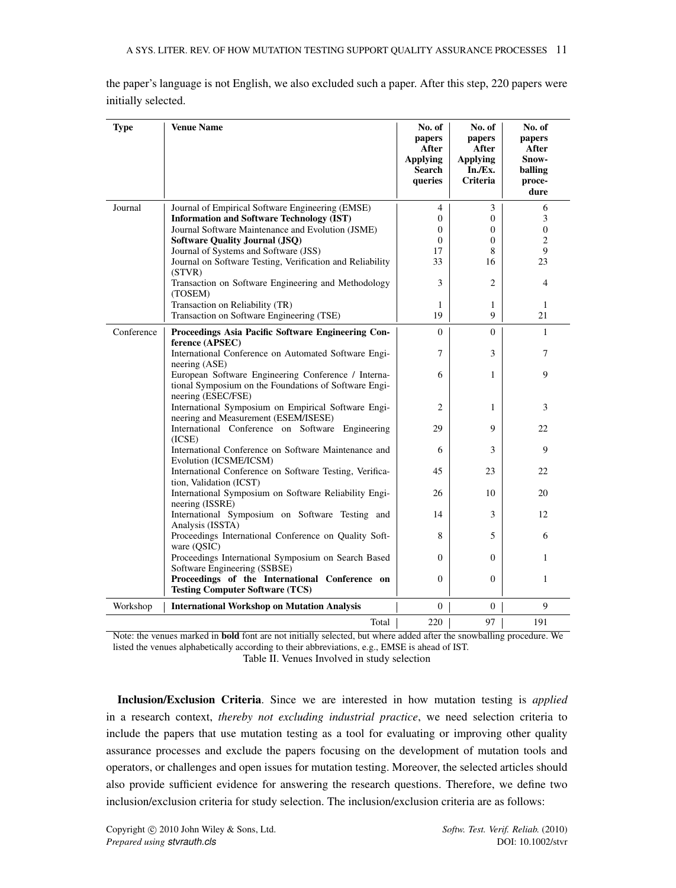<span id="page-11-0"></span>

| <b>Type</b> | <b>Venue Name</b>                                                                                                                  | No. of<br>papers<br>After<br><b>Applying</b><br><b>Search</b><br>queries | No. of<br>papers<br>After<br><b>Applying</b><br>In./Ex.<br><b>Criteria</b> | No. of<br>papers<br>After<br>Snow-<br>balling<br>proce-<br>dure |
|-------------|------------------------------------------------------------------------------------------------------------------------------------|--------------------------------------------------------------------------|----------------------------------------------------------------------------|-----------------------------------------------------------------|
| Journal     | Journal of Empirical Software Engineering (EMSE)                                                                                   | $\overline{4}$                                                           | 3                                                                          | 6                                                               |
|             | <b>Information and Software Technology (IST)</b>                                                                                   | $\Omega$                                                                 | 0                                                                          | 3                                                               |
|             | Journal Software Maintenance and Evolution (JSME)                                                                                  | $\Omega$                                                                 | $\boldsymbol{0}$                                                           | $\overline{0}$                                                  |
|             | <b>Software Quality Journal (JSQ)</b>                                                                                              | $\mathbf{0}$                                                             | $\boldsymbol{0}$                                                           | 2                                                               |
|             | Journal of Systems and Software (JSS)                                                                                              | 17<br>33                                                                 | 8                                                                          | 9                                                               |
|             | Journal on Software Testing, Verification and Reliability<br>(STVR)                                                                |                                                                          | 16                                                                         | 23                                                              |
|             | Transaction on Software Engineering and Methodology<br>(TOSEM)                                                                     | 3                                                                        | $\overline{c}$                                                             | $\overline{4}$                                                  |
|             | Transaction on Reliability (TR)                                                                                                    | 1                                                                        | $\mathbf{1}$                                                               | $\mathbf{1}$                                                    |
|             | Transaction on Software Engineering (TSE)                                                                                          | 19                                                                       | 9                                                                          | 21                                                              |
| Conference  | Proceedings Asia Pacific Software Engineering Con-<br>ference (APSEC)                                                              | $\Omega$                                                                 | $\theta$                                                                   | $\mathbf{1}$                                                    |
|             | International Conference on Automated Software Engi-<br>neering (ASE)                                                              | 7                                                                        | 3                                                                          | 7                                                               |
|             | European Software Engineering Conference / Interna-<br>tional Symposium on the Foundations of Software Engi-<br>neering (ESEC/FSE) | 6                                                                        | $\mathbf{1}$                                                               | 9                                                               |
|             | International Symposium on Empirical Software Engi-<br>neering and Measurement (ESEM/ISESE)                                        | 2                                                                        | 1                                                                          | 3                                                               |
|             | International Conference on Software Engineering<br>(ICSE)                                                                         | 29                                                                       | 9                                                                          | 22                                                              |
|             | International Conference on Software Maintenance and<br>Evolution (ICSME/ICSM)                                                     | 6                                                                        | 3                                                                          | 9                                                               |
|             | International Conference on Software Testing, Verifica-<br>tion, Validation (ICST)                                                 | 45                                                                       | 23                                                                         | 22                                                              |
|             | International Symposium on Software Reliability Engi-<br>neering (ISSRE)                                                           | 26                                                                       | 10                                                                         | 20                                                              |
|             | International Symposium on Software Testing and<br>Analysis (ISSTA)                                                                | 14                                                                       | 3                                                                          | 12                                                              |
|             | Proceedings International Conference on Quality Soft-<br>ware (OSIC)                                                               | 8                                                                        | 5                                                                          | 6                                                               |
|             | Proceedings International Symposium on Search Based<br>Software Engineering (SSBSE)                                                | $\Omega$                                                                 | $\mathbf{0}$                                                               | 1                                                               |
|             | Proceedings of the International Conference on<br><b>Testing Computer Software (TCS)</b>                                           | $\Omega$                                                                 | $\Omega$                                                                   | 1                                                               |
| Workshop    | <b>International Workshop on Mutation Analysis</b>                                                                                 | $\Omega$                                                                 | $\overline{0}$                                                             | 9                                                               |
|             | Total                                                                                                                              | 220                                                                      | 97                                                                         | 191                                                             |

the paper's language is not English, we also excluded such a paper. After this step, 220 papers were initially selected.

Note: the venues marked in bold font are not initially selected, but where added after the snowballing procedure. We listed the venues alphabetically according to their abbreviations, e.g., EMSE is ahead of IST.

Table II. Venues Involved in study selection

Inclusion/Exclusion Criteria. Since we are interested in how mutation testing is *applied* in a research context, *thereby not excluding industrial practice*, we need selection criteria to include the papers that use mutation testing as a tool for evaluating or improving other quality assurance processes and exclude the papers focusing on the development of mutation tools and operators, or challenges and open issues for mutation testing. Moreover, the selected articles should also provide sufficient evidence for answering the research questions. Therefore, we define two inclusion/exclusion criteria for study selection. The inclusion/exclusion criteria are as follows: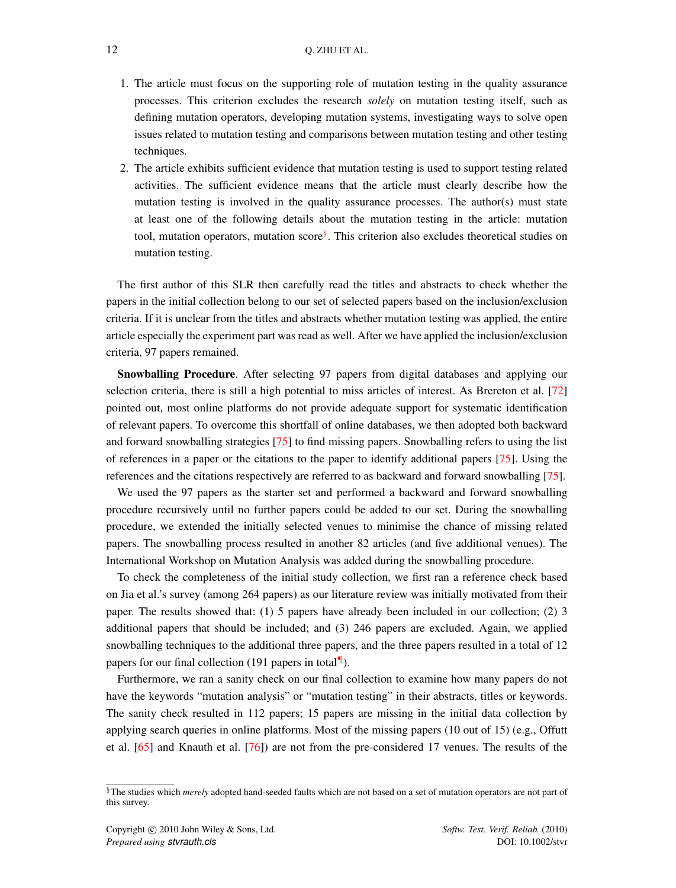- 1. The article must focus on the supporting role of mutation testing in the quality assurance processes. This criterion excludes the research *solely* on mutation testing itself, such as defining mutation operators, developing mutation systems, investigating ways to solve open issues related to mutation testing and comparisons between mutation testing and other testing techniques.
- 2. The article exhibits sufficient evidence that mutation testing is used to support testing related activities. The sufficient evidence means that the article must clearly describe how the mutation testing is involved in the quality assurance processes. The author(s) must state at least one of the following details about the mutation testing in the article: mutation tool, mutation operators, mutation score<sup>[§](#page-12-0)</sup>. This criterion also excludes theoretical studies on mutation testing.

The first author of this SLR then carefully read the titles and abstracts to check whether the papers in the initial collection belong to our set of selected papers based on the inclusion/exclusion criteria. If it is unclear from the titles and abstracts whether mutation testing was applied, the entire article especially the experiment part was read as well. After we have applied the inclusion/exclusion criteria, 97 papers remained.

Snowballing Procedure. After selecting 97 papers from digital databases and applying our selection criteria, there is still a high potential to miss articles of interest. As Brereton et al. [\[72\]](#page-53-13) pointed out, most online platforms do not provide adequate support for systematic identification of relevant papers. To overcome this shortfall of online databases, we then adopted both backward and forward snowballing strategies [\[75\]](#page-53-16) to find missing papers. Snowballing refers to using the list of references in a paper or the citations to the paper to identify additional papers [\[75\]](#page-53-16). Using the references and the citations respectively are referred to as backward and forward snowballing [\[75\]](#page-53-16).

We used the 97 papers as the starter set and performed a backward and forward snowballing procedure recursively until no further papers could be added to our set. During the snowballing procedure, we extended the initially selected venues to minimise the chance of missing related papers. The snowballing process resulted in another 82 articles (and five additional venues). The International Workshop on Mutation Analysis was added during the snowballing procedure.

To check the completeness of the initial study collection, we first ran a reference check based on Jia et al.'s survey (among 264 papers) as our literature review was initially motivated from their paper. The results showed that: (1) 5 papers have already been included in our collection; (2) 3 additional papers that should be included; and (3) 246 papers are excluded. Again, we applied snowballing techniques to the additional three papers, and the three papers resulted in a total of 12 papers for our final collection (191 papers in total $\P$ ).

Furthermore, we ran a sanity check on our final collection to examine how many papers do not have the keywords "mutation analysis" or "mutation testing" in their abstracts, titles or keywords. The sanity check resulted in 112 papers; 15 papers are missing in the initial data collection by applying search queries in online platforms. Most of the missing papers (10 out of 15) (e.g., Offutt et al. [\[65\]](#page-53-6) and Knauth et al. [\[76\]](#page-53-17)) are not from the pre-considered 17 venues. The results of the

<span id="page-12-0"></span><sup>§</sup>The studies which *merely* adopted hand-seeded faults which are not based on a set of mutation operators are not part of this survey.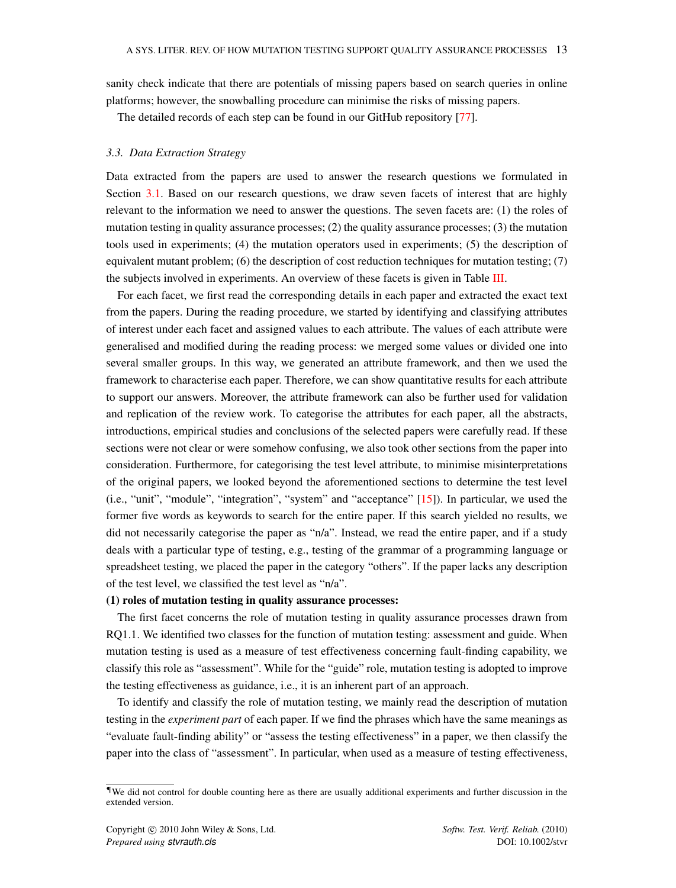sanity check indicate that there are potentials of missing papers based on search queries in online platforms; however, the snowballing procedure can minimise the risks of missing papers.

The detailed records of each step can be found in our GitHub repository [\[77\]](#page-53-18).

#### <span id="page-13-1"></span>*3.3. Data Extraction Strategy*

Data extracted from the papers are used to answer the research questions we formulated in Section [3.1.](#page-9-1) Based on our research questions, we draw seven facets of interest that are highly relevant to the information we need to answer the questions. The seven facets are: (1) the roles of mutation testing in quality assurance processes; (2) the quality assurance processes; (3) the mutation tools used in experiments; (4) the mutation operators used in experiments; (5) the description of equivalent mutant problem; (6) the description of cost reduction techniques for mutation testing; (7) the subjects involved in experiments. An overview of these facets is given in Table [III.](#page-20-0)

For each facet, we first read the corresponding details in each paper and extracted the exact text from the papers. During the reading procedure, we started by identifying and classifying attributes of interest under each facet and assigned values to each attribute. The values of each attribute were generalised and modified during the reading process: we merged some values or divided one into several smaller groups. In this way, we generated an attribute framework, and then we used the framework to characterise each paper. Therefore, we can show quantitative results for each attribute to support our answers. Moreover, the attribute framework can also be further used for validation and replication of the review work. To categorise the attributes for each paper, all the abstracts, introductions, empirical studies and conclusions of the selected papers were carefully read. If these sections were not clear or were somehow confusing, we also took other sections from the paper into consideration. Furthermore, for categorising the test level attribute, to minimise misinterpretations of the original papers, we looked beyond the aforementioned sections to determine the test level (i.e., "unit", "module", "integration", "system" and "acceptance" [\[15\]](#page-51-13)). In particular, we used the former five words as keywords to search for the entire paper. If this search yielded no results, we did not necessarily categorise the paper as "n/a". Instead, we read the entire paper, and if a study deals with a particular type of testing, e.g., testing of the grammar of a programming language or spreadsheet testing, we placed the paper in the category "others". If the paper lacks any description of the test level, we classified the test level as "n/a".

#### (1) roles of mutation testing in quality assurance processes:

The first facet concerns the role of mutation testing in quality assurance processes drawn from RQ1.1. We identified two classes for the function of mutation testing: assessment and guide. When mutation testing is used as a measure of test effectiveness concerning fault-finding capability, we classify this role as "assessment". While for the "guide" role, mutation testing is adopted to improve the testing effectiveness as guidance, i.e., it is an inherent part of an approach.

To identify and classify the role of mutation testing, we mainly read the description of mutation testing in the *experiment part* of each paper. If we find the phrases which have the same meanings as "evaluate fault-finding ability" or "assess the testing effectiveness" in a paper, we then classify the paper into the class of "assessment". In particular, when used as a measure of testing effectiveness,

<span id="page-13-0"></span><sup>¶</sup>We did not control for double counting here as there are usually additional experiments and further discussion in the extended version.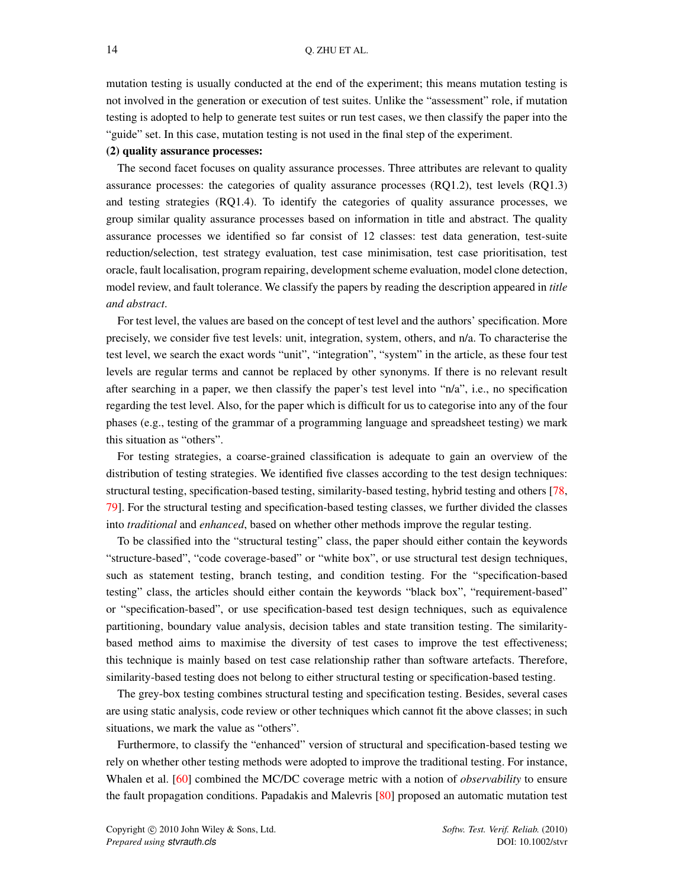mutation testing is usually conducted at the end of the experiment; this means mutation testing is not involved in the generation or execution of test suites. Unlike the "assessment" role, if mutation testing is adopted to help to generate test suites or run test cases, we then classify the paper into the "guide" set. In this case, mutation testing is not used in the final step of the experiment.

### (2) quality assurance processes:

The second facet focuses on quality assurance processes. Three attributes are relevant to quality assurance processes: the categories of quality assurance processes (RQ1.2), test levels (RQ1.3) and testing strategies (RQ1.4). To identify the categories of quality assurance processes, we group similar quality assurance processes based on information in title and abstract. The quality assurance processes we identified so far consist of 12 classes: test data generation, test-suite reduction/selection, test strategy evaluation, test case minimisation, test case prioritisation, test oracle, fault localisation, program repairing, development scheme evaluation, model clone detection, model review, and fault tolerance. We classify the papers by reading the description appeared in *title and abstract*.

For test level, the values are based on the concept of test level and the authors' specification. More precisely, we consider five test levels: unit, integration, system, others, and n/a. To characterise the test level, we search the exact words "unit", "integration", "system" in the article, as these four test levels are regular terms and cannot be replaced by other synonyms. If there is no relevant result after searching in a paper, we then classify the paper's test level into "n/a", i.e., no specification regarding the test level. Also, for the paper which is difficult for us to categorise into any of the four phases (e.g., testing of the grammar of a programming language and spreadsheet testing) we mark this situation as "others".

For testing strategies, a coarse-grained classification is adequate to gain an overview of the distribution of testing strategies. We identified five classes according to the test design techniques: structural testing, specification-based testing, similarity-based testing, hybrid testing and others [\[78,](#page-53-19) [79\]](#page-53-20). For the structural testing and specification-based testing classes, we further divided the classes into *traditional* and *enhanced*, based on whether other methods improve the regular testing.

To be classified into the "structural testing" class, the paper should either contain the keywords "structure-based", "code coverage-based" or "white box", or use structural test design techniques, such as statement testing, branch testing, and condition testing. For the "specification-based testing" class, the articles should either contain the keywords "black box", "requirement-based" or "specification-based", or use specification-based test design techniques, such as equivalence partitioning, boundary value analysis, decision tables and state transition testing. The similaritybased method aims to maximise the diversity of test cases to improve the test effectiveness; this technique is mainly based on test case relationship rather than software artefacts. Therefore, similarity-based testing does not belong to either structural testing or specification-based testing.

The grey-box testing combines structural testing and specification testing. Besides, several cases are using static analysis, code review or other techniques which cannot fit the above classes; in such situations, we mark the value as "others".

Furthermore, to classify the "enhanced" version of structural and specification-based testing we rely on whether other testing methods were adopted to improve the traditional testing. For instance, Whalen et al. [\[60\]](#page-53-1) combined the MC/DC coverage metric with a notion of *observability* to ensure the fault propagation conditions. Papadakis and Malevris [\[80\]](#page-53-21) proposed an automatic mutation test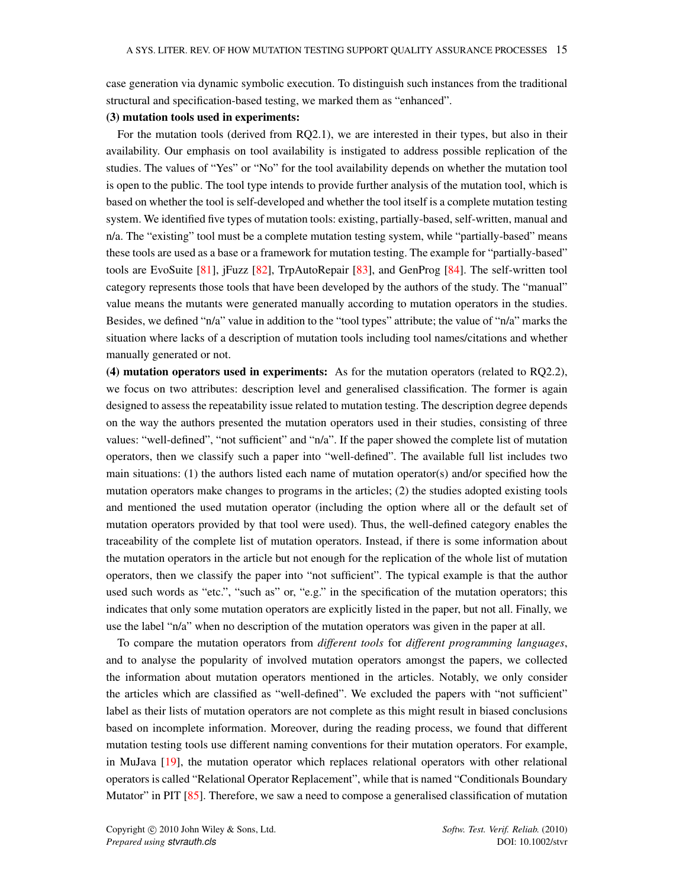case generation via dynamic symbolic execution. To distinguish such instances from the traditional structural and specification-based testing, we marked them as "enhanced".

# (3) mutation tools used in experiments:

For the mutation tools (derived from RQ2.1), we are interested in their types, but also in their availability. Our emphasis on tool availability is instigated to address possible replication of the studies. The values of "Yes" or "No" for the tool availability depends on whether the mutation tool is open to the public. The tool type intends to provide further analysis of the mutation tool, which is based on whether the tool is self-developed and whether the tool itself is a complete mutation testing system. We identified five types of mutation tools: existing, partially-based, self-written, manual and n/a. The "existing" tool must be a complete mutation testing system, while "partially-based" means these tools are used as a base or a framework for mutation testing. The example for "partially-based" tools are EvoSuite [\[81\]](#page-53-22), jFuzz [\[82\]](#page-53-23), TrpAutoRepair [\[83\]](#page-53-24), and GenProg [\[84\]](#page-53-25). The self-written tool category represents those tools that have been developed by the authors of the study. The "manual" value means the mutants were generated manually according to mutation operators in the studies. Besides, we defined "n/a" value in addition to the "tool types" attribute; the value of "n/a" marks the situation where lacks of a description of mutation tools including tool names/citations and whether manually generated or not.

(4) mutation operators used in experiments: As for the mutation operators (related to RQ2.2), we focus on two attributes: description level and generalised classification. The former is again designed to assess the repeatability issue related to mutation testing. The description degree depends on the way the authors presented the mutation operators used in their studies, consisting of three values: "well-defined", "not sufficient" and "n/a". If the paper showed the complete list of mutation operators, then we classify such a paper into "well-defined". The available full list includes two main situations: (1) the authors listed each name of mutation operator(s) and/or specified how the mutation operators make changes to programs in the articles; (2) the studies adopted existing tools and mentioned the used mutation operator (including the option where all or the default set of mutation operators provided by that tool were used). Thus, the well-defined category enables the traceability of the complete list of mutation operators. Instead, if there is some information about the mutation operators in the article but not enough for the replication of the whole list of mutation operators, then we classify the paper into "not sufficient". The typical example is that the author used such words as "etc.", "such as" or, "e.g." in the specification of the mutation operators; this indicates that only some mutation operators are explicitly listed in the paper, but not all. Finally, we use the label "n/a" when no description of the mutation operators was given in the paper at all.

To compare the mutation operators from *different tools* for *different programming languages*, and to analyse the popularity of involved mutation operators amongst the papers, we collected the information about mutation operators mentioned in the articles. Notably, we only consider the articles which are classified as "well-defined". We excluded the papers with "not sufficient" label as their lists of mutation operators are not complete as this might result in biased conclusions based on incomplete information. Moreover, during the reading process, we found that different mutation testing tools use different naming conventions for their mutation operators. For example, in MuJava [\[19\]](#page-51-17), the mutation operator which replaces relational operators with other relational operators is called "Relational Operator Replacement", while that is named "Conditionals Boundary Mutator" in PIT [\[85\]](#page-53-26). Therefore, we saw a need to compose a generalised classification of mutation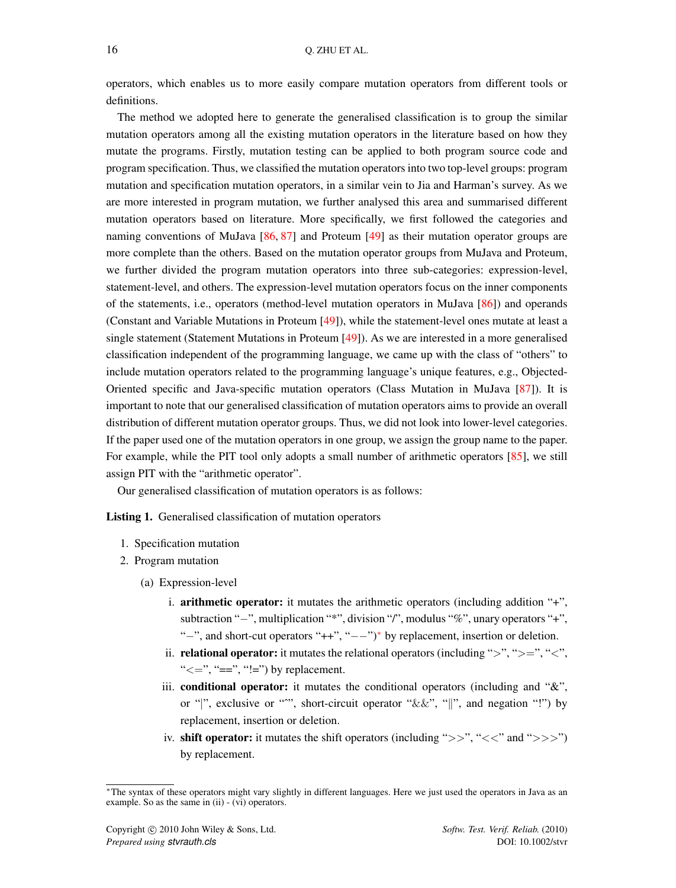operators, which enables us to more easily compare mutation operators from different tools or definitions.

The method we adopted here to generate the generalised classification is to group the similar mutation operators among all the existing mutation operators in the literature based on how they mutate the programs. Firstly, mutation testing can be applied to both program source code and program specification. Thus, we classified the mutation operators into two top-level groups: program mutation and specification mutation operators, in a similar vein to Jia and Harman's survey. As we are more interested in program mutation, we further analysed this area and summarised different mutation operators based on literature. More specifically, we first followed the categories and naming conventions of MuJava [\[86,](#page-54-0) [87\]](#page-54-1) and Proteum [\[49\]](#page-52-17) as their mutation operator groups are more complete than the others. Based on the mutation operator groups from MuJava and Proteum, we further divided the program mutation operators into three sub-categories: expression-level, statement-level, and others. The expression-level mutation operators focus on the inner components of the statements, i.e., operators (method-level mutation operators in MuJava [\[86\]](#page-54-0)) and operands (Constant and Variable Mutations in Proteum [\[49\]](#page-52-17)), while the statement-level ones mutate at least a single statement (Statement Mutations in Proteum [\[49\]](#page-52-17)). As we are interested in a more generalised classification independent of the programming language, we came up with the class of "others" to include mutation operators related to the programming language's unique features, e.g., Objected-Oriented specific and Java-specific mutation operators (Class Mutation in MuJava [\[87\]](#page-54-1)). It is important to note that our generalised classification of mutation operators aims to provide an overall distribution of different mutation operator groups. Thus, we did not look into lower-level categories. If the paper used one of the mutation operators in one group, we assign the group name to the paper. For example, while the PIT tool only adopts a small number of arithmetic operators [\[85\]](#page-53-26), we still assign PIT with the "arithmetic operator".

Our generalised classification of mutation operators is as follows:

<span id="page-16-1"></span>Listing 1. Generalised classification of mutation operators

- 1. Specification mutation
- 2. Program mutation
	- (a) Expression-level
		- i. arithmetic operator: it mutates the arithmetic operators (including addition "+", subtraction "−", multiplication "\*", division "/", modulus "%", unary operators "+", "−", and short-cut operators "++", "−−")[∗](#page-16-0) by replacement, insertion or deletion.
		- ii. **relational operator:** it mutates the relational operators (including ">", ">=", "<", " $\leq$ =", "==", "!=") by replacement.
		- iii. conditional operator: it mutates the conditional operators (including and "&", or "|", exclusive or "<sup>\*\*</sup>", short-circuit operator " $\&&"\,\,$  "|", and negation "!") by replacement, insertion or deletion.
		- iv. shift operator: it mutates the shift operators (including " $>>$ ", " $<<$ " and " $>>$ ") by replacement.

<span id="page-16-0"></span><sup>∗</sup>The syntax of these operators might vary slightly in different languages. Here we just used the operators in Java as an example. So as the same in (ii) - (vi) operators.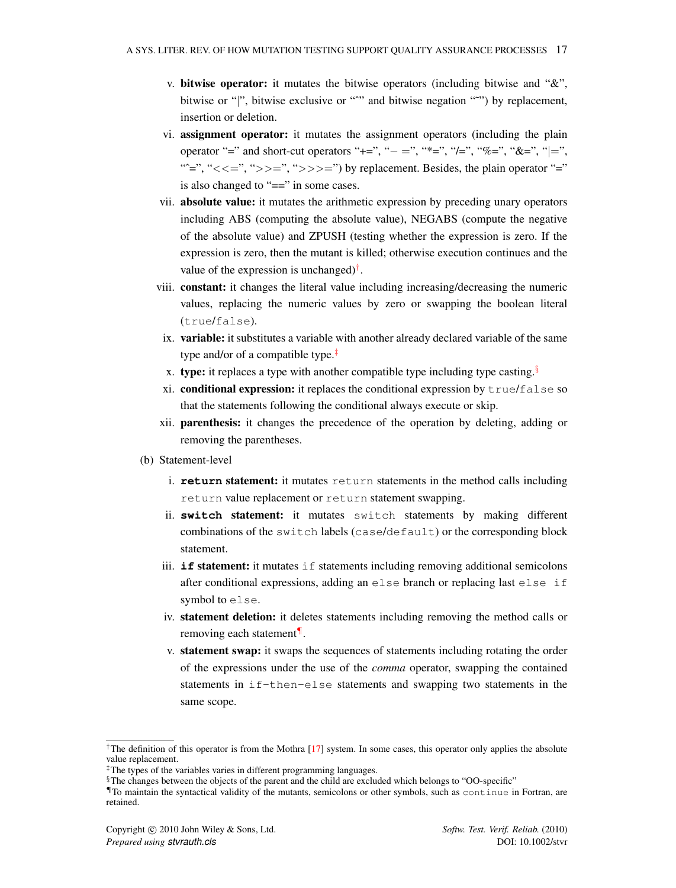- v. bitwise operator: it mutates the bitwise operators (including bitwise and "&", bitwise or "|", bitwise exclusive or "<sup>\*\*</sup>" and bitwise negation "\*\*") by replacement, insertion or deletion.
- vi. assignment operator: it mutates the assignment operators (including the plain operator "=" and short-cut operators "+=", "- =", "\*=", "/=", "%=", "&=", "|=", " $\equiv$ ", " $\lt\lt;=\equiv$ ", " $\gt\gt\gt;=\equiv$ ", " $\gt\gt\gt\gt=$ ") by replacement. Besides, the plain operator "=" is also changed to "==" in some cases.
- vii. absolute value: it mutates the arithmetic expression by preceding unary operators including ABS (computing the absolute value), NEGABS (compute the negative of the absolute value) and ZPUSH (testing whether the expression is zero. If the expression is zero, then the mutant is killed; otherwise execution continues and the value of the expression is unchanged)<sup>[†](#page-17-0)</sup>.
- viii. constant: it changes the literal value including increasing/decreasing the numeric values, replacing the numeric values by zero or swapping the boolean literal (true/false).
- ix. variable: it substitutes a variable with another already declared variable of the same type and/or of a compatible type.[‡](#page-17-1)
- x. type: it replaces a type with another compatible type including type casting.<sup>[§](#page-17-2)</sup>
- xi. conditional expression: it replaces the conditional expression by  $true/fales$  so that the statements following the conditional always execute or skip.
- xii. parenthesis: it changes the precedence of the operation by deleting, adding or removing the parentheses.
- (b) Statement-level
	- i. **return** statement: it mutates return statements in the method calls including return value replacement or return statement swapping.
	- ii. **switch** statement: it mutates switch statements by making different combinations of the switch labels (case/default) or the corresponding block statement.
	- iii. **if** statement: it mutates if statements including removing additional semicolons after conditional expressions, adding an else branch or replacing last else if symbol to else.
	- iv. statement deletion: it deletes statements including removing the method calls or removing each statement[¶](#page-17-3).
	- v. statement swap: it swaps the sequences of statements including rotating the order of the expressions under the use of the *comma* operator, swapping the contained statements in  $if$ -then-else statements and swapping two statements in the same scope.

<span id="page-17-0"></span><sup>&</sup>lt;sup>†</sup>The definition of this operator is from the Mothra  $[17]$  system. In some cases, this operator only applies the absolute value replacement.

<span id="page-17-1"></span><sup>‡</sup>The types of the variables varies in different programming languages.

<span id="page-17-2"></span><sup>§</sup>The changes between the objects of the parent and the child are excluded which belongs to "OO-specific"

<span id="page-17-3"></span><sup>¶</sup>To maintain the syntactical validity of the mutants, semicolons or other symbols, such as continue in Fortran, are retained.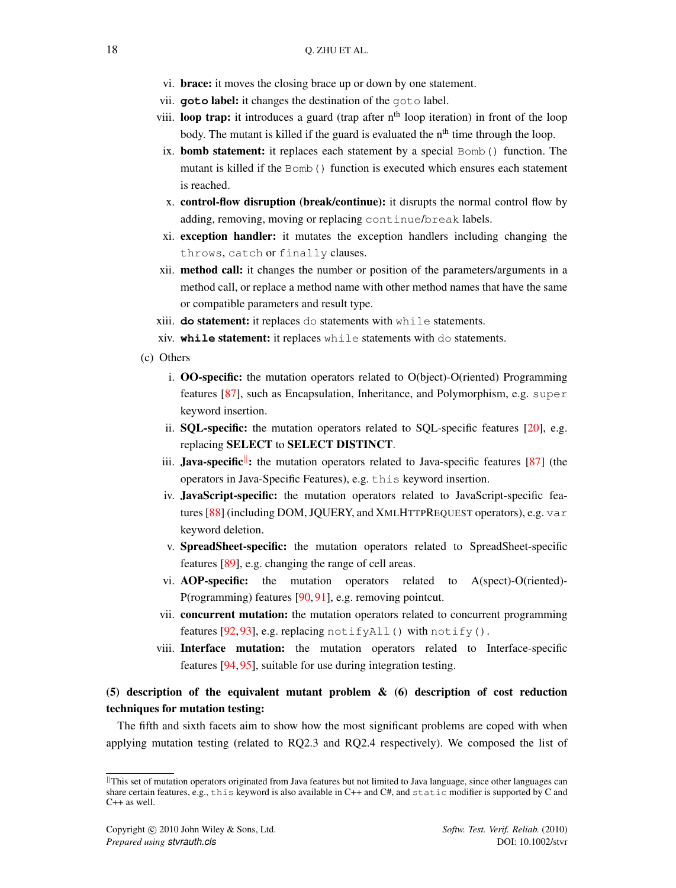- vi. brace: it moves the closing brace up or down by one statement.
- vii. **goto** label: it changes the destination of the goto label.
- viii. **loop trap:** it introduces a guard (trap after  $n<sup>th</sup>$  loop iteration) in front of the loop body. The mutant is killed if the guard is evaluated the  $n<sup>th</sup>$  time through the loop.
- ix. **bomb statement:** it replaces each statement by a special  $Bomb($ ) function. The mutant is killed if the Bomb() function is executed which ensures each statement is reached.
- x. control-flow disruption (break/continue): it disrupts the normal control flow by adding, removing, moving or replacing continue/break labels.
- xi. exception handler: it mutates the exception handlers including changing the throws, catch or finally clauses.
- xii. method call: it changes the number or position of the parameters/arguments in a method call, or replace a method name with other method names that have the same or compatible parameters and result type.
- xiii. **do** statement: it replaces do statements with while statements.
- xiv. **while** statement: it replaces while statements with do statements.
- (c) Others
	- i. OO-specific: the mutation operators related to O(bject)-O(riented) Programming features [\[87\]](#page-54-1), such as Encapsulation, Inheritance, and Polymorphism, e.g. super keyword insertion.
	- ii. SQL-specific: the mutation operators related to SQL-specific features [\[20\]](#page-51-18), e.g. replacing SELECT to SELECT DISTINCT.
	- iii. Java-specific<sup>||</sup>: the mutation operators related to Java-specific features [\[87\]](#page-54-1) (the operators in Java-Specific Features), e.g. this keyword insertion.
	- iv. JavaScript-specific: the mutation operators related to JavaScript-specific features [\[88\]](#page-54-2) (including DOM, JQUERY, and XMLHTTPREQUEST operators), e.g. var keyword deletion.
	- v. SpreadSheet-specific: the mutation operators related to SpreadSheet-specific features [\[89\]](#page-54-3), e.g. changing the range of cell areas.
	- vi. AOP-specific: the mutation operators related to A(spect)-O(riented)- P(rogramming) features [\[90,](#page-54-4) [91\]](#page-54-5), e.g. removing pointcut.
	- vii. concurrent mutation: the mutation operators related to concurrent programming features [\[92,](#page-54-6) [93\]](#page-54-7), e.g. replacing notifyAll() with notify().
	- viii. Interface mutation: the mutation operators related to Interface-specific features [\[94,](#page-54-8) [95\]](#page-54-9), suitable for use during integration testing.

# (5) description of the equivalent mutant problem & (6) description of cost reduction techniques for mutation testing:

The fifth and sixth facets aim to show how the most significant problems are coped with when applying mutation testing (related to RQ2.3 and RQ2.4 respectively). We composed the list of

<span id="page-18-0"></span>Il This set of mutation operators originated from Java features but not limited to Java language, since other languages can share certain features, e.g., this keyword is also available in C++ and C#, and static modifier is supported by C and C++ as well.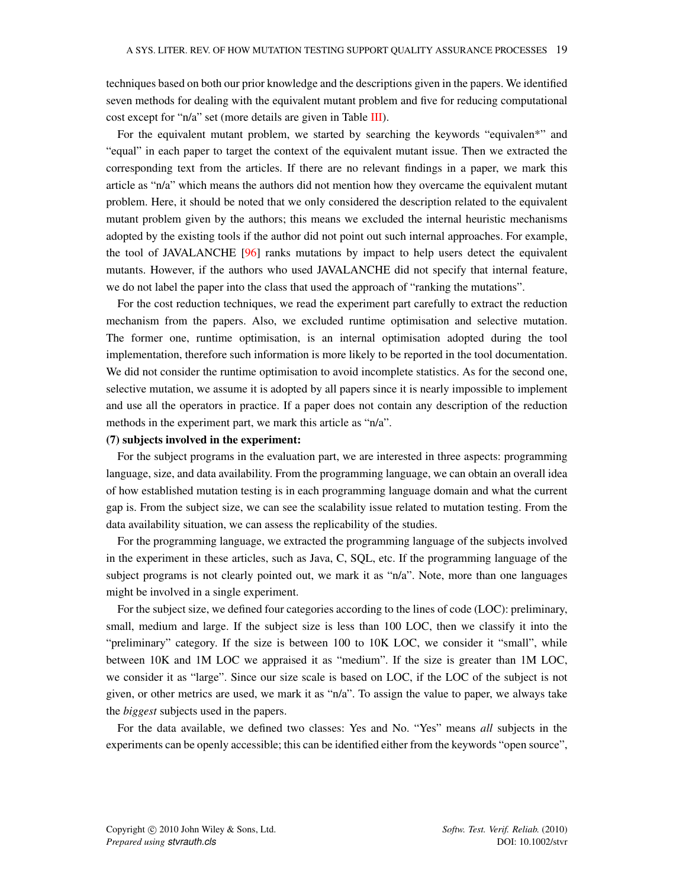techniques based on both our prior knowledge and the descriptions given in the papers. We identified seven methods for dealing with the equivalent mutant problem and five for reducing computational cost except for "n/a" set (more details are given in Table [III\)](#page-20-0).

For the equivalent mutant problem, we started by searching the keywords "equivalen\*" and "equal" in each paper to target the context of the equivalent mutant issue. Then we extracted the corresponding text from the articles. If there are no relevant findings in a paper, we mark this article as "n/a" which means the authors did not mention how they overcame the equivalent mutant problem. Here, it should be noted that we only considered the description related to the equivalent mutant problem given by the authors; this means we excluded the internal heuristic mechanisms adopted by the existing tools if the author did not point out such internal approaches. For example, the tool of JAVALANCHE [\[96\]](#page-54-10) ranks mutations by impact to help users detect the equivalent mutants. However, if the authors who used JAVALANCHE did not specify that internal feature, we do not label the paper into the class that used the approach of "ranking the mutations".

For the cost reduction techniques, we read the experiment part carefully to extract the reduction mechanism from the papers. Also, we excluded runtime optimisation and selective mutation. The former one, runtime optimisation, is an internal optimisation adopted during the tool implementation, therefore such information is more likely to be reported in the tool documentation. We did not consider the runtime optimisation to avoid incomplete statistics. As for the second one, selective mutation, we assume it is adopted by all papers since it is nearly impossible to implement and use all the operators in practice. If a paper does not contain any description of the reduction methods in the experiment part, we mark this article as "n/a".

#### (7) subjects involved in the experiment:

For the subject programs in the evaluation part, we are interested in three aspects: programming language, size, and data availability. From the programming language, we can obtain an overall idea of how established mutation testing is in each programming language domain and what the current gap is. From the subject size, we can see the scalability issue related to mutation testing. From the data availability situation, we can assess the replicability of the studies.

For the programming language, we extracted the programming language of the subjects involved in the experiment in these articles, such as Java, C, SQL, etc. If the programming language of the subject programs is not clearly pointed out, we mark it as "n/a". Note, more than one languages might be involved in a single experiment.

For the subject size, we defined four categories according to the lines of code (LOC): preliminary, small, medium and large. If the subject size is less than 100 LOC, then we classify it into the "preliminary" category. If the size is between 100 to 10K LOC, we consider it "small", while between 10K and 1M LOC we appraised it as "medium". If the size is greater than 1M LOC, we consider it as "large". Since our size scale is based on LOC, if the LOC of the subject is not given, or other metrics are used, we mark it as "n/a". To assign the value to paper, we always take the *biggest* subjects used in the papers.

For the data available, we defined two classes: Yes and No. "Yes" means *all* subjects in the experiments can be openly accessible; this can be identified either from the keywords "open source",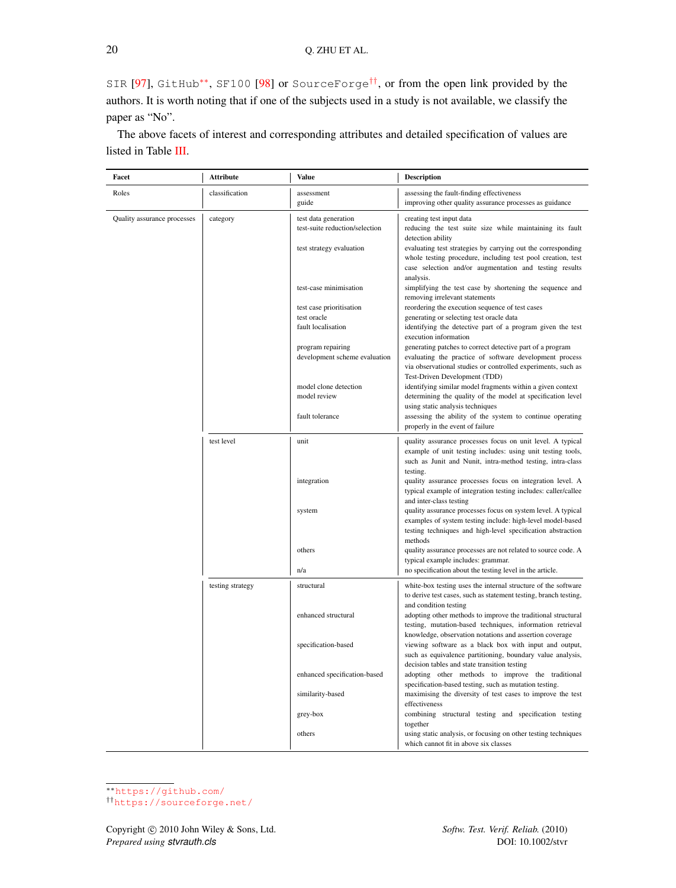SIR [\[97\]](#page-54-11), GitHub\*\*, SF100 [\[98\]](#page-54-12) or SourceForge<sup>[††](#page-20-2)</sup>, or from the open link provided by the authors. It is worth noting that if one of the subjects used in a study is not available, we classify the paper as "No".

The above facets of interest and corresponding attributes and detailed specification of values are listed in Table [III.](#page-20-0)

<span id="page-20-0"></span>

| Facet                       | <b>Attribute</b> | Value                                                                              | Description                                                                                                                                                                                                                                                                                        |
|-----------------------------|------------------|------------------------------------------------------------------------------------|----------------------------------------------------------------------------------------------------------------------------------------------------------------------------------------------------------------------------------------------------------------------------------------------------|
| Roles                       | classification   | assessment<br>guide                                                                | assessing the fault-finding effectiveness<br>improving other quality assurance processes as guidance                                                                                                                                                                                               |
| Quality assurance processes | category         | test data generation<br>test-suite reduction/selection<br>test strategy evaluation | creating test input data<br>reducing the test suite size while maintaining its fault<br>detection ability<br>evaluating test strategies by carrying out the corresponding<br>whole testing procedure, including test pool creation, test<br>case selection and/or augmentation and testing results |
|                             |                  | test-case minimisation<br>test case prioritisation<br>test oracle                  | analysis.<br>simplifying the test case by shortening the sequence and<br>removing irrelevant statements<br>reordering the execution sequence of test cases<br>generating or selecting test oracle data                                                                                             |
|                             |                  | fault localisation<br>program repairing<br>development scheme evaluation           | identifying the detective part of a program given the test<br>execution information<br>generating patches to correct detective part of a program<br>evaluating the practice of software development process<br>via observational studies or controlled experiments, such as                        |
|                             |                  | model clone detection<br>model review                                              | Test-Driven Development (TDD)<br>identifying similar model fragments within a given context<br>determining the quality of the model at specification level<br>using static analysis techniques                                                                                                     |
|                             |                  | fault tolerance                                                                    | assessing the ability of the system to continue operating<br>properly in the event of failure                                                                                                                                                                                                      |
|                             | test level       | unit                                                                               | quality assurance processes focus on unit level. A typical<br>example of unit testing includes: using unit testing tools,<br>such as Junit and Nunit, intra-method testing, intra-class<br>testing.                                                                                                |
|                             |                  | integration                                                                        | quality assurance processes focus on integration level. A<br>typical example of integration testing includes: caller/callee<br>and inter-class testing                                                                                                                                             |
|                             |                  | system                                                                             | quality assurance processes focus on system level. A typical<br>examples of system testing include: high-level model-based<br>testing techniques and high-level specification abstraction<br>methods                                                                                               |
|                             |                  | others<br>n/a                                                                      | quality assurance processes are not related to source code. A<br>typical example includes: grammar.<br>no specification about the testing level in the article.                                                                                                                                    |
|                             | testing strategy | structural                                                                         | white-box testing uses the internal structure of the software<br>to derive test cases, such as statement testing, branch testing,                                                                                                                                                                  |
|                             |                  | enhanced structural                                                                | and condition testing<br>adopting other methods to improve the traditional structural<br>testing, mutation-based techniques, information retrieval                                                                                                                                                 |
|                             |                  | specification-based                                                                | knowledge, observation notations and assertion coverage<br>viewing software as a black box with input and output,<br>such as equivalence partitioning, boundary value analysis,<br>decision tables and state transition testing                                                                    |
|                             |                  | enhanced specification-based                                                       | adopting other methods to improve the traditional<br>specification-based testing, such as mutation testing.                                                                                                                                                                                        |
|                             |                  | similarity-based                                                                   | maximising the diversity of test cases to improve the test<br>effectiveness                                                                                                                                                                                                                        |
|                             |                  | grey-box<br>others                                                                 | combining structural testing and specification testing<br>together<br>using static analysis, or focusing on other testing techniques                                                                                                                                                               |
|                             |                  |                                                                                    | which cannot fit in above six classes                                                                                                                                                                                                                                                              |

<span id="page-20-1"></span><sup>∗∗</sup><https://github.com/>

<span id="page-20-2"></span><sup>††</sup><https://sourceforge.net/>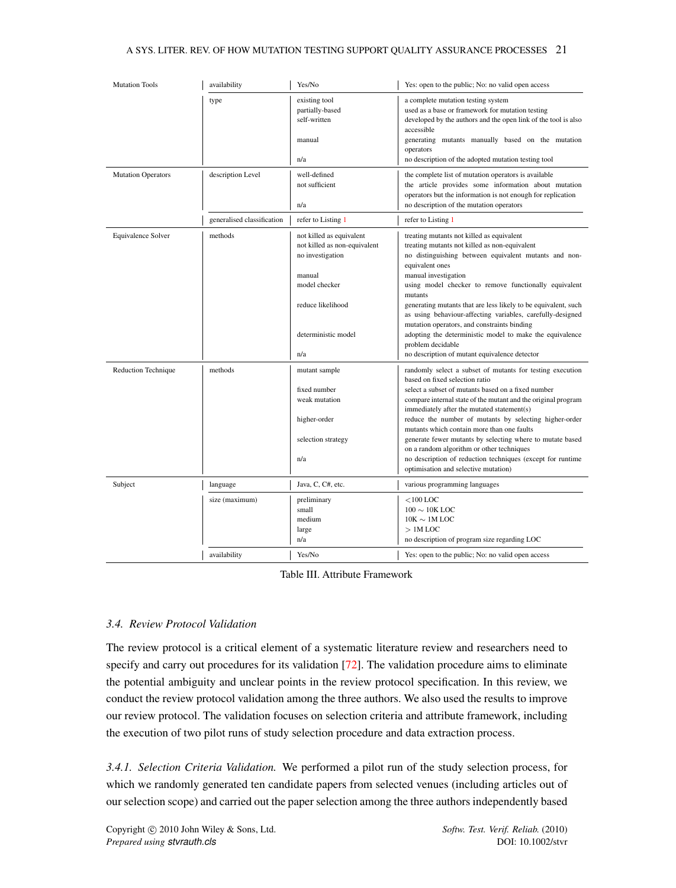| <b>Mutation Tools</b>     | availability               | Yes/No                                                                                                                                                     | Yes: open to the public; No: no valid open access                                                                                                                                                                                                                                                                                                                                                                                                                                                                                                                                        |
|---------------------------|----------------------------|------------------------------------------------------------------------------------------------------------------------------------------------------------|------------------------------------------------------------------------------------------------------------------------------------------------------------------------------------------------------------------------------------------------------------------------------------------------------------------------------------------------------------------------------------------------------------------------------------------------------------------------------------------------------------------------------------------------------------------------------------------|
|                           | type                       | existing tool<br>partially-based<br>self-written<br>manual                                                                                                 | a complete mutation testing system<br>used as a base or framework for mutation testing<br>developed by the authors and the open link of the tool is also<br>accessible<br>generating mutants manually based on the mutation<br>operators                                                                                                                                                                                                                                                                                                                                                 |
|                           |                            | n/a                                                                                                                                                        | no description of the adopted mutation testing tool                                                                                                                                                                                                                                                                                                                                                                                                                                                                                                                                      |
| <b>Mutation Operators</b> | description Level          | well-defined<br>not sufficient<br>n/a                                                                                                                      | the complete list of mutation operators is available<br>the article provides some information about mutation<br>operators but the information is not enough for replication<br>no description of the mutation operators                                                                                                                                                                                                                                                                                                                                                                  |
|                           | generalised classification | refer to Listing 1                                                                                                                                         | refer to Listing 1                                                                                                                                                                                                                                                                                                                                                                                                                                                                                                                                                                       |
| Equivalence Solver        | methods                    | not killed as equivalent<br>not killed as non-equivalent<br>no investigation<br>manual<br>model checker<br>reduce likelihood<br>deterministic model<br>n/a | treating mutants not killed as equivalent<br>treating mutants not killed as non-equivalent<br>no distinguishing between equivalent mutants and non-<br>equivalent ones<br>manual investigation<br>using model checker to remove functionally equivalent<br>mutants<br>generating mutants that are less likely to be equivalent, such<br>as using behaviour-affecting variables, carefully-designed<br>mutation operators, and constraints binding<br>adopting the deterministic model to make the equivalence<br>problem decidable<br>no description of mutant equivalence detector      |
| Reduction Technique       | methods                    | mutant sample<br>fixed number<br>weak mutation<br>higher-order<br>selection strategy<br>n/a                                                                | randomly select a subset of mutants for testing execution<br>based on fixed selection ratio<br>select a subset of mutants based on a fixed number<br>compare internal state of the mutant and the original program<br>immediately after the mutated statement(s)<br>reduce the number of mutants by selecting higher-order<br>mutants which contain more than one faults<br>generate fewer mutants by selecting where to mutate based<br>on a random algorithm or other techniques<br>no description of reduction techniques (except for runtime<br>optimisation and selective mutation) |
| Subject                   | language                   | Java, C, C#, etc.                                                                                                                                          | various programming languages                                                                                                                                                                                                                                                                                                                                                                                                                                                                                                                                                            |
|                           | size (maximum)             | preliminary<br>small<br>medium<br>large<br>n/a                                                                                                             | $<$ 100 LOC<br>$100 \sim 10$ K LOC<br>$10K \sim 1M$ LOC<br>$>1M$ LOC<br>no description of program size regarding LOC                                                                                                                                                                                                                                                                                                                                                                                                                                                                     |
|                           | availability               | Yes/No                                                                                                                                                     | Yes: open to the public; No: no valid open access                                                                                                                                                                                                                                                                                                                                                                                                                                                                                                                                        |

Table III. Attribute Framework

# *3.4. Review Protocol Validation*

The review protocol is a critical element of a systematic literature review and researchers need to specify and carry out procedures for its validation [\[72\]](#page-53-13). The validation procedure aims to eliminate the potential ambiguity and unclear points in the review protocol specification. In this review, we conduct the review protocol validation among the three authors. We also used the results to improve our review protocol. The validation focuses on selection criteria and attribute framework, including the execution of two pilot runs of study selection procedure and data extraction process.

*3.4.1. Selection Criteria Validation.* We performed a pilot run of the study selection process, for which we randomly generated ten candidate papers from selected venues (including articles out of our selection scope) and carried out the paper selection among the three authors independently based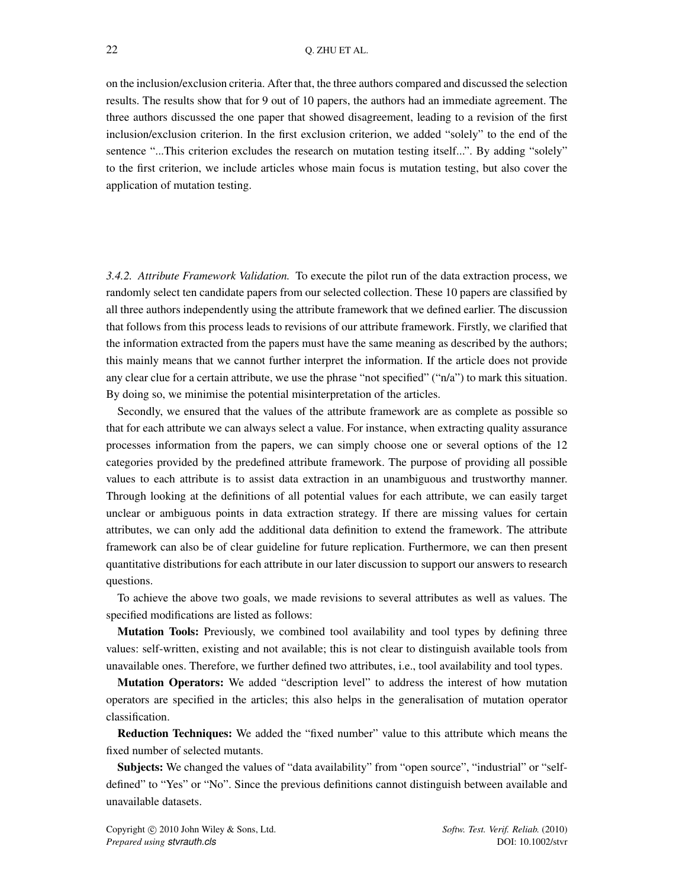on the inclusion/exclusion criteria. After that, the three authors compared and discussed the selection results. The results show that for 9 out of 10 papers, the authors had an immediate agreement. The three authors discussed the one paper that showed disagreement, leading to a revision of the first inclusion/exclusion criterion. In the first exclusion criterion, we added "solely" to the end of the sentence "...This criterion excludes the research on mutation testing itself...". By adding "solely" to the first criterion, we include articles whose main focus is mutation testing, but also cover the application of mutation testing.

*3.4.2. Attribute Framework Validation.* To execute the pilot run of the data extraction process, we randomly select ten candidate papers from our selected collection. These 10 papers are classified by all three authors independently using the attribute framework that we defined earlier. The discussion that follows from this process leads to revisions of our attribute framework. Firstly, we clarified that the information extracted from the papers must have the same meaning as described by the authors; this mainly means that we cannot further interpret the information. If the article does not provide any clear clue for a certain attribute, we use the phrase "not specified" ("n/a") to mark this situation. By doing so, we minimise the potential misinterpretation of the articles.

Secondly, we ensured that the values of the attribute framework are as complete as possible so that for each attribute we can always select a value. For instance, when extracting quality assurance processes information from the papers, we can simply choose one or several options of the 12 categories provided by the predefined attribute framework. The purpose of providing all possible values to each attribute is to assist data extraction in an unambiguous and trustworthy manner. Through looking at the definitions of all potential values for each attribute, we can easily target unclear or ambiguous points in data extraction strategy. If there are missing values for certain attributes, we can only add the additional data definition to extend the framework. The attribute framework can also be of clear guideline for future replication. Furthermore, we can then present quantitative distributions for each attribute in our later discussion to support our answers to research questions.

To achieve the above two goals, we made revisions to several attributes as well as values. The specified modifications are listed as follows:

Mutation Tools: Previously, we combined tool availability and tool types by defining three values: self-written, existing and not available; this is not clear to distinguish available tools from unavailable ones. Therefore, we further defined two attributes, i.e., tool availability and tool types.

Mutation Operators: We added "description level" to address the interest of how mutation operators are specified in the articles; this also helps in the generalisation of mutation operator classification.

Reduction Techniques: We added the "fixed number" value to this attribute which means the fixed number of selected mutants.

Subjects: We changed the values of "data availability" from "open source", "industrial" or "selfdefined" to "Yes" or "No". Since the previous definitions cannot distinguish between available and unavailable datasets.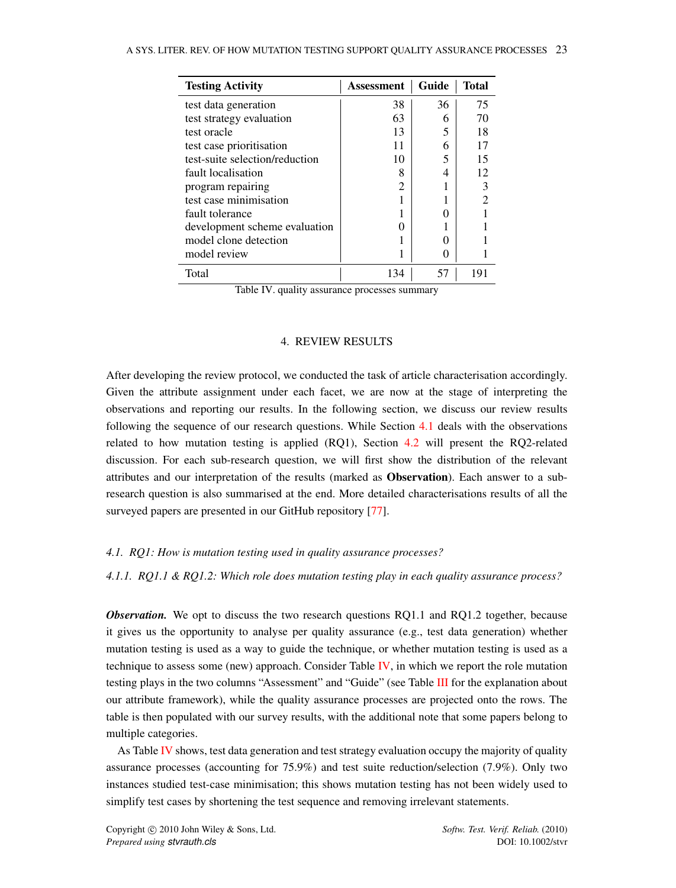<span id="page-23-2"></span>

| <b>Testing Activity</b>        | Assessment     | Guide | <b>Total</b> |
|--------------------------------|----------------|-------|--------------|
| test data generation           | 38             | 36    | 75           |
| test strategy evaluation       | 63             | 6     | 70           |
| test oracle                    | 13             | 5     | 18           |
| test case prioritisation       | 11             | 6     | 17           |
| test-suite selection/reduction | 10             | 5     | 15           |
| fault localisation             | 8              |       | 12           |
| program repairing              | $\overline{c}$ |       |              |
| test case minimisation         |                |       | っ            |
| fault tolerance                |                |       |              |
| development scheme evaluation  |                |       |              |
| model clone detection          |                |       |              |
| model review                   |                |       |              |
| Total                          | 134            | 57    | 191          |

Table IV. quality assurance processes summary

# 4. REVIEW RESULTS

<span id="page-23-0"></span>After developing the review protocol, we conducted the task of article characterisation accordingly. Given the attribute assignment under each facet, we are now at the stage of interpreting the observations and reporting our results. In the following section, we discuss our review results following the sequence of our research questions. While Section [4.1](#page-23-1) deals with the observations related to how mutation testing is applied (RQ1), Section [4.2](#page-29-0) will present the RQ2-related discussion. For each sub-research question, we will first show the distribution of the relevant attributes and our interpretation of the results (marked as Observation). Each answer to a subresearch question is also summarised at the end. More detailed characterisations results of all the surveyed papers are presented in our GitHub repository [\[77\]](#page-53-18).

#### <span id="page-23-1"></span>*4.1. RQ1: How is mutation testing used in quality assurance processes?*

<span id="page-23-3"></span>*4.1.1. RQ1.1 & RQ1.2: Which role does mutation testing play in each quality assurance process?*

*Observation*. We opt to discuss the two research questions RQ1.1 and RQ1.2 together, because it gives us the opportunity to analyse per quality assurance (e.g., test data generation) whether mutation testing is used as a way to guide the technique, or whether mutation testing is used as a technique to assess some (new) approach. Consider Table [IV,](#page-23-2) in which we report the role mutation testing plays in the two columns "Assessment" and "Guide" (see Table [III](#page-20-0) for the explanation about our attribute framework), while the quality assurance processes are projected onto the rows. The table is then populated with our survey results, with the additional note that some papers belong to multiple categories.

As Table [IV](#page-23-2) shows, test data generation and test strategy evaluation occupy the majority of quality assurance processes (accounting for 75.9%) and test suite reduction/selection (7.9%). Only two instances studied test-case minimisation; this shows mutation testing has not been widely used to simplify test cases by shortening the test sequence and removing irrelevant statements.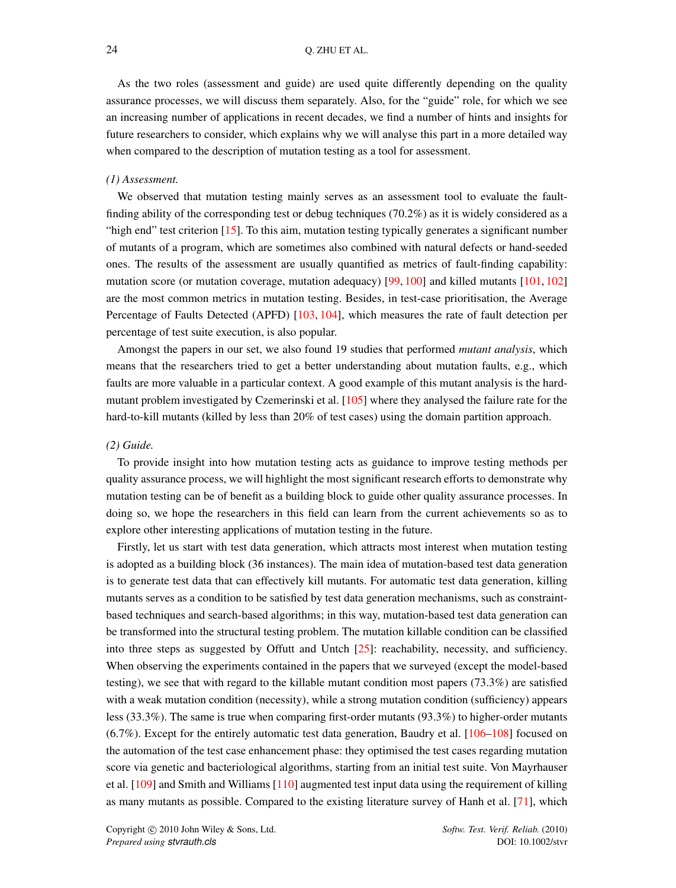As the two roles (assessment and guide) are used quite differently depending on the quality assurance processes, we will discuss them separately. Also, for the "guide" role, for which we see an increasing number of applications in recent decades, we find a number of hints and insights for future researchers to consider, which explains why we will analyse this part in a more detailed way when compared to the description of mutation testing as a tool for assessment.

#### *(1) Assessment.*

We observed that mutation testing mainly serves as an assessment tool to evaluate the faultfinding ability of the corresponding test or debug techniques (70.2%) as it is widely considered as a "high end" test criterion [\[15\]](#page-51-13). To this aim, mutation testing typically generates a significant number of mutants of a program, which are sometimes also combined with natural defects or hand-seeded ones. The results of the assessment are usually quantified as metrics of fault-finding capability: mutation score (or mutation coverage, mutation adequacy) [\[99,](#page-54-13) [100\]](#page-54-14) and killed mutants [\[101,](#page-54-15) [102\]](#page-54-16) are the most common metrics in mutation testing. Besides, in test-case prioritisation, the Average Percentage of Faults Detected (APFD) [\[103,](#page-54-17) [104\]](#page-54-18), which measures the rate of fault detection per percentage of test suite execution, is also popular.

Amongst the papers in our set, we also found 19 studies that performed *mutant analysis*, which means that the researchers tried to get a better understanding about mutation faults, e.g., which faults are more valuable in a particular context. A good example of this mutant analysis is the hardmutant problem investigated by Czemerinski et al. [\[105\]](#page-54-19) where they analysed the failure rate for the hard-to-kill mutants (killed by less than 20% of test cases) using the domain partition approach.

#### *(2) Guide.*

To provide insight into how mutation testing acts as guidance to improve testing methods per quality assurance process, we will highlight the most significant research efforts to demonstrate why mutation testing can be of benefit as a building block to guide other quality assurance processes. In doing so, we hope the researchers in this field can learn from the current achievements so as to explore other interesting applications of mutation testing in the future.

Firstly, let us start with test data generation, which attracts most interest when mutation testing is adopted as a building block (36 instances). The main idea of mutation-based test data generation is to generate test data that can effectively kill mutants. For automatic test data generation, killing mutants serves as a condition to be satisfied by test data generation mechanisms, such as constraintbased techniques and search-based algorithms; in this way, mutation-based test data generation can be transformed into the structural testing problem. The mutation killable condition can be classified into three steps as suggested by Offutt and Untch [\[25\]](#page-51-23): reachability, necessity, and sufficiency. When observing the experiments contained in the papers that we surveyed (except the model-based testing), we see that with regard to the killable mutant condition most papers (73.3%) are satisfied with a weak mutation condition (necessity), while a strong mutation condition (sufficiency) appears less (33.3%). The same is true when comparing first-order mutants (93.3%) to higher-order mutants (6.7%). Except for the entirely automatic test data generation, Baudry et al. [\[106](#page-54-20)[–108\]](#page-54-21) focused on the automation of the test case enhancement phase: they optimised the test cases regarding mutation score via genetic and bacteriological algorithms, starting from an initial test suite. Von Mayrhauser et al. [\[109\]](#page-54-22) and Smith and Williams [\[110\]](#page-55-0) augmented test input data using the requirement of killing as many mutants as possible. Compared to the existing literature survey of Hanh et al. [\[71\]](#page-53-10), which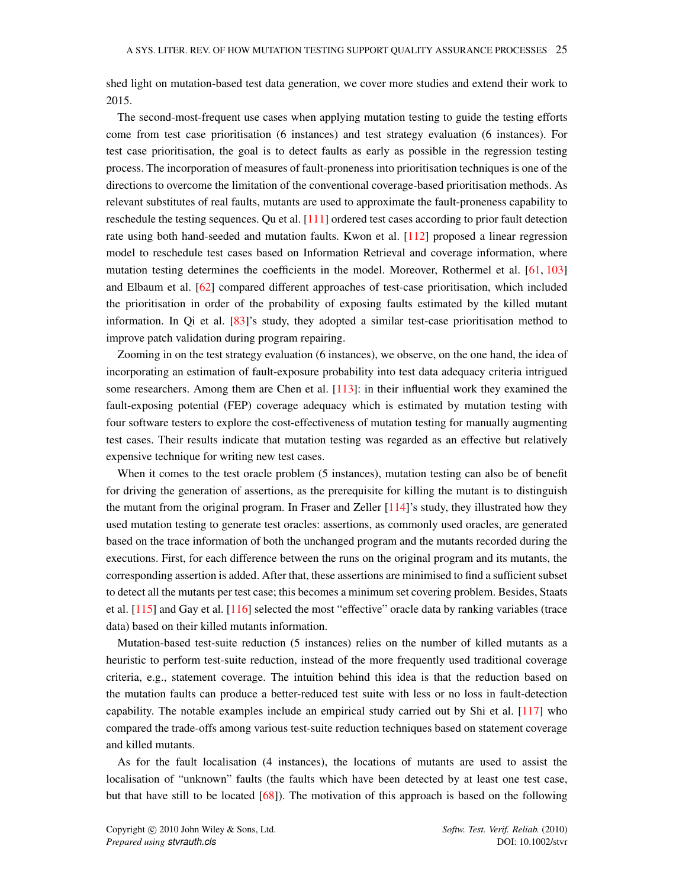shed light on mutation-based test data generation, we cover more studies and extend their work to 2015.

The second-most-frequent use cases when applying mutation testing to guide the testing efforts come from test case prioritisation (6 instances) and test strategy evaluation (6 instances). For test case prioritisation, the goal is to detect faults as early as possible in the regression testing process. The incorporation of measures of fault-proneness into prioritisation techniques is one of the directions to overcome the limitation of the conventional coverage-based prioritisation methods. As relevant substitutes of real faults, mutants are used to approximate the fault-proneness capability to reschedule the testing sequences. Qu et al. [\[111\]](#page-55-1) ordered test cases according to prior fault detection rate using both hand-seeded and mutation faults. Kwon et al. [\[112\]](#page-55-2) proposed a linear regression model to reschedule test cases based on Information Retrieval and coverage information, where mutation testing determines the coefficients in the model. Moreover, Rothermel et al. [\[61,](#page-53-2) [103\]](#page-54-17) and Elbaum et al. [\[62\]](#page-53-3) compared different approaches of test-case prioritisation, which included the prioritisation in order of the probability of exposing faults estimated by the killed mutant information. In Qi et al. [\[83\]](#page-53-24)'s study, they adopted a similar test-case prioritisation method to improve patch validation during program repairing.

Zooming in on the test strategy evaluation (6 instances), we observe, on the one hand, the idea of incorporating an estimation of fault-exposure probability into test data adequacy criteria intrigued some researchers. Among them are Chen et al.  $[113]$ : in their influential work they examined the fault-exposing potential (FEP) coverage adequacy which is estimated by mutation testing with four software testers to explore the cost-effectiveness of mutation testing for manually augmenting test cases. Their results indicate that mutation testing was regarded as an effective but relatively expensive technique for writing new test cases.

When it comes to the test oracle problem (5 instances), mutation testing can also be of benefit for driving the generation of assertions, as the prerequisite for killing the mutant is to distinguish the mutant from the original program. In Fraser and Zeller [\[114\]](#page-55-4)'s study, they illustrated how they used mutation testing to generate test oracles: assertions, as commonly used oracles, are generated based on the trace information of both the unchanged program and the mutants recorded during the executions. First, for each difference between the runs on the original program and its mutants, the corresponding assertion is added. After that, these assertions are minimised to find a sufficient subset to detect all the mutants per test case; this becomes a minimum set covering problem. Besides, Staats et al. [\[115\]](#page-55-5) and Gay et al. [\[116\]](#page-55-6) selected the most "effective" oracle data by ranking variables (trace data) based on their killed mutants information.

Mutation-based test-suite reduction (5 instances) relies on the number of killed mutants as a heuristic to perform test-suite reduction, instead of the more frequently used traditional coverage criteria, e.g., statement coverage. The intuition behind this idea is that the reduction based on the mutation faults can produce a better-reduced test suite with less or no loss in fault-detection capability. The notable examples include an empirical study carried out by Shi et al. [\[117\]](#page-55-7) who compared the trade-offs among various test-suite reduction techniques based on statement coverage and killed mutants.

As for the fault localisation (4 instances), the locations of mutants are used to assist the localisation of "unknown" faults (the faults which have been detected by at least one test case, but that have still to be located [\[68\]](#page-53-11)). The motivation of this approach is based on the following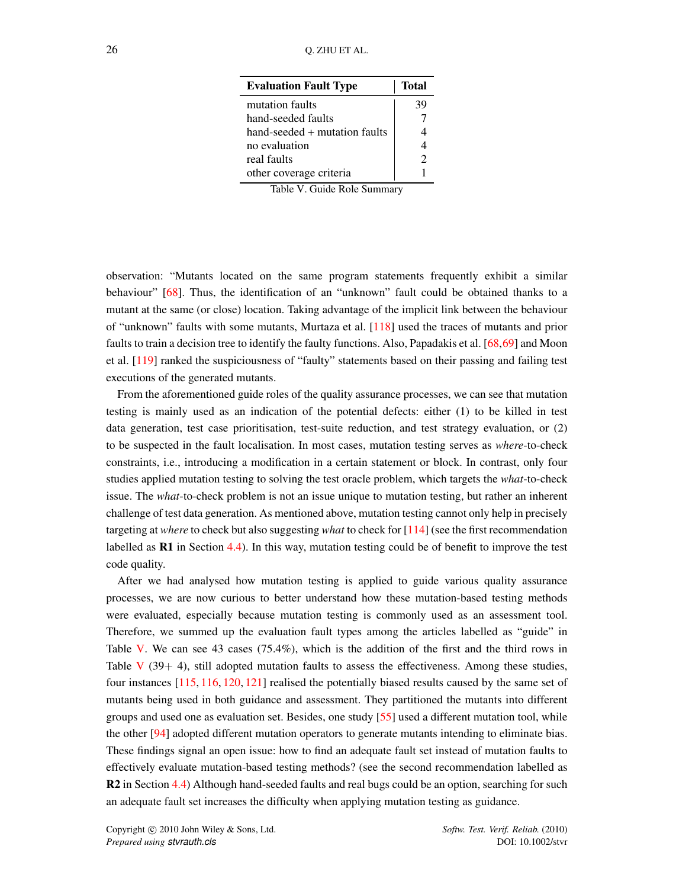<span id="page-26-0"></span>

| <b>Evaluation Fault Type</b>  | <b>Total</b>                |
|-------------------------------|-----------------------------|
| mutation faults               | 39                          |
| hand-seeded faults            |                             |
| hand-seeded + mutation faults | 4                           |
| no evaluation                 | 4                           |
| real faults                   | $\mathcal{D}_{\mathcal{A}}$ |
| other coverage criteria       |                             |

Table V. Guide Role Summary

observation: "Mutants located on the same program statements frequently exhibit a similar behaviour" [\[68\]](#page-53-11). Thus, the identification of an "unknown" fault could be obtained thanks to a mutant at the same (or close) location. Taking advantage of the implicit link between the behaviour of "unknown" faults with some mutants, Murtaza et al. [\[118\]](#page-55-8) used the traces of mutants and prior faults to train a decision tree to identify the faulty functions. Also, Papadakis et al. [\[68,](#page-53-11)[69\]](#page-53-12) and Moon et al. [\[119\]](#page-55-9) ranked the suspiciousness of "faulty" statements based on their passing and failing test executions of the generated mutants.

From the aforementioned guide roles of the quality assurance processes, we can see that mutation testing is mainly used as an indication of the potential defects: either (1) to be killed in test data generation, test case prioritisation, test-suite reduction, and test strategy evaluation, or (2) to be suspected in the fault localisation. In most cases, mutation testing serves as *where*-to-check constraints, i.e., introducing a modification in a certain statement or block. In contrast, only four studies applied mutation testing to solving the test oracle problem, which targets the *what*-to-check issue. The *what*-to-check problem is not an issue unique to mutation testing, but rather an inherent challenge of test data generation. As mentioned above, mutation testing cannot only help in precisely targeting at *where* to check but also suggesting *what* to check for [\[114\]](#page-55-4) (see the first recommendation labelled as  $\mathbf{R}1$  in Section [4.4\)](#page-45-0). In this way, mutation testing could be of benefit to improve the test code quality.

After we had analysed how mutation testing is applied to guide various quality assurance processes, we are now curious to better understand how these mutation-based testing methods were evaluated, especially because mutation testing is commonly used as an assessment tool. Therefore, we summed up the evaluation fault types among the articles labelled as "guide" in Table [V.](#page-26-0) We can see 43 cases (75.4%), which is the addition of the first and the third rows in Table  $V$  (39+ 4), still adopted mutation faults to assess the effectiveness. Among these studies, four instances [\[115,](#page-55-5) [116,](#page-55-6) [120,](#page-55-10) [121\]](#page-55-11) realised the potentially biased results caused by the same set of mutants being used in both guidance and assessment. They partitioned the mutants into different groups and used one as evaluation set. Besides, one study [\[55\]](#page-52-22) used a different mutation tool, while the other [\[94\]](#page-54-8) adopted different mutation operators to generate mutants intending to eliminate bias. These findings signal an open issue: how to find an adequate fault set instead of mutation faults to effectively evaluate mutation-based testing methods? (see the second recommendation labelled as R2 in Section [4.4\)](#page-45-0) Although hand-seeded faults and real bugs could be an option, searching for such an adequate fault set increases the difficulty when applying mutation testing as guidance.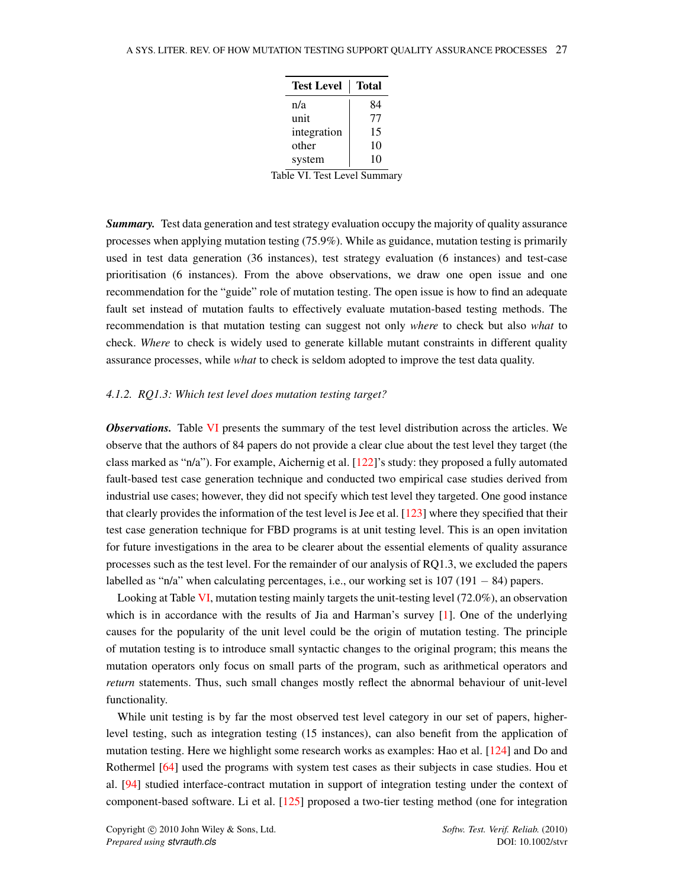| <b>Test Level</b> | <b>Total</b> |
|-------------------|--------------|
| n/a               | 84           |
| unit              | 77           |
| integration       | 15           |
| other             | 10           |
| system            | 10           |

Table VI. Test Level Summary

<span id="page-27-0"></span>*Summary.* Test data generation and test strategy evaluation occupy the majority of quality assurance processes when applying mutation testing (75.9%). While as guidance, mutation testing is primarily used in test data generation (36 instances), test strategy evaluation (6 instances) and test-case prioritisation (6 instances). From the above observations, we draw one open issue and one recommendation for the "guide" role of mutation testing. The open issue is how to find an adequate fault set instead of mutation faults to effectively evaluate mutation-based testing methods. The recommendation is that mutation testing can suggest not only *where* to check but also *what* to check. *Where* to check is widely used to generate killable mutant constraints in different quality assurance processes, while *what* to check is seldom adopted to improve the test data quality.

### <span id="page-27-1"></span>*4.1.2. RQ1.3: Which test level does mutation testing target?*

*Observations.* Table [VI](#page-27-0) presents the summary of the test level distribution across the articles. We observe that the authors of 84 papers do not provide a clear clue about the test level they target (the class marked as "n/a"). For example, Aichernig et al. [\[122\]](#page-55-12)'s study: they proposed a fully automated fault-based test case generation technique and conducted two empirical case studies derived from industrial use cases; however, they did not specify which test level they targeted. One good instance that clearly provides the information of the test level is Jee et al. [\[123\]](#page-55-13) where they specified that their test case generation technique for FBD programs is at unit testing level. This is an open invitation for future investigations in the area to be clearer about the essential elements of quality assurance processes such as the test level. For the remainder of our analysis of RQ1.3, we excluded the papers labelled as "n/a" when calculating percentages, i.e., our working set is  $107 (191 - 84)$  papers.

Looking at Table [VI,](#page-27-0) mutation testing mainly targets the unit-testing level (72.0%), an observation which is in accordance with the results of Jia and Harman's survey  $[1]$ . One of the underlying causes for the popularity of the unit level could be the origin of mutation testing. The principle of mutation testing is to introduce small syntactic changes to the original program; this means the mutation operators only focus on small parts of the program, such as arithmetical operators and *return* statements. Thus, such small changes mostly reflect the abnormal behaviour of unit-level functionality.

While unit testing is by far the most observed test level category in our set of papers, higherlevel testing, such as integration testing (15 instances), can also benefit from the application of mutation testing. Here we highlight some research works as examples: Hao et al. [\[124\]](#page-55-14) and Do and Rothermel [\[64\]](#page-53-5) used the programs with system test cases as their subjects in case studies. Hou et al. [\[94\]](#page-54-8) studied interface-contract mutation in support of integration testing under the context of component-based software. Li et al. [\[125\]](#page-55-15) proposed a two-tier testing method (one for integration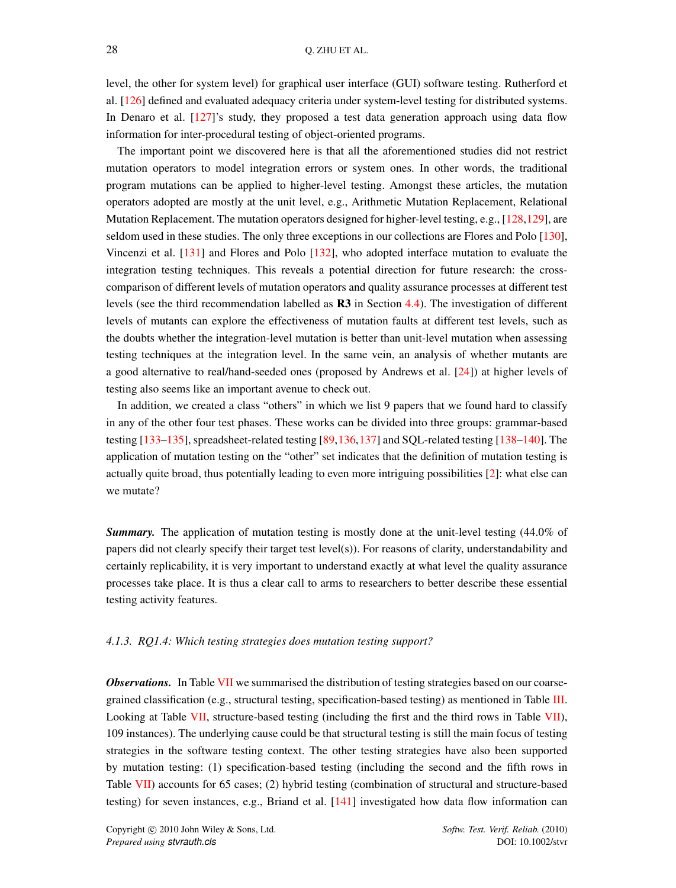level, the other for system level) for graphical user interface (GUI) software testing. Rutherford et al. [\[126\]](#page-55-16) defined and evaluated adequacy criteria under system-level testing for distributed systems. In Denaro et al. [\[127\]](#page-55-17)'s study, they proposed a test data generation approach using data flow information for inter-procedural testing of object-oriented programs.

The important point we discovered here is that all the aforementioned studies did not restrict mutation operators to model integration errors or system ones. In other words, the traditional program mutations can be applied to higher-level testing. Amongst these articles, the mutation operators adopted are mostly at the unit level, e.g., Arithmetic Mutation Replacement, Relational Mutation Replacement. The mutation operators designed for higher-level testing, e.g., [\[128](#page-55-18)[,129\]](#page-55-19), are seldom used in these studies. The only three exceptions in our collections are Flores and Polo [\[130\]](#page-55-20), Vincenzi et al. [\[131\]](#page-55-21) and Flores and Polo [\[132\]](#page-55-22), who adopted interface mutation to evaluate the integration testing techniques. This reveals a potential direction for future research: the crosscomparison of different levels of mutation operators and quality assurance processes at different test levels (see the third recommendation labelled as R3 in Section [4.4\)](#page-45-0). The investigation of different levels of mutants can explore the effectiveness of mutation faults at different test levels, such as the doubts whether the integration-level mutation is better than unit-level mutation when assessing testing techniques at the integration level. In the same vein, an analysis of whether mutants are a good alternative to real/hand-seeded ones (proposed by Andrews et al. [\[24\]](#page-51-22)) at higher levels of testing also seems like an important avenue to check out.

In addition, we created a class "others" in which we list 9 papers that we found hard to classify in any of the other four test phases. These works can be divided into three groups: grammar-based testing [\[133–](#page-55-23)[135\]](#page-55-24), spreadsheet-related testing [\[89,](#page-54-3)[136,](#page-55-25)[137\]](#page-56-0) and SQL-related testing [\[138](#page-56-1)[–140\]](#page-56-2). The application of mutation testing on the "other" set indicates that the definition of mutation testing is actually quite broad, thus potentially leading to even more intriguing possibilities [\[2\]](#page-51-1): what else can we mutate?

*Summary.* The application of mutation testing is mostly done at the unit-level testing (44.0% of papers did not clearly specify their target test level(s)). For reasons of clarity, understandability and certainly replicability, it is very important to understand exactly at what level the quality assurance processes take place. It is thus a clear call to arms to researchers to better describe these essential testing activity features.

#### *4.1.3. RQ1.4: Which testing strategies does mutation testing support?*

*Observations.* In Table [VII](#page-29-1) we summarised the distribution of testing strategies based on our coarsegrained classification (e.g., structural testing, specification-based testing) as mentioned in Table [III.](#page-20-0) Looking at Table [VII,](#page-29-1) structure-based testing (including the first and the third rows in Table [VII\)](#page-29-1), 109 instances). The underlying cause could be that structural testing is still the main focus of testing strategies in the software testing context. The other testing strategies have also been supported by mutation testing: (1) specification-based testing (including the second and the fifth rows in Table [VII\)](#page-29-1) accounts for 65 cases; (2) hybrid testing (combination of structural and structure-based testing) for seven instances, e.g., Briand et al. [\[141\]](#page-56-3) investigated how data flow information can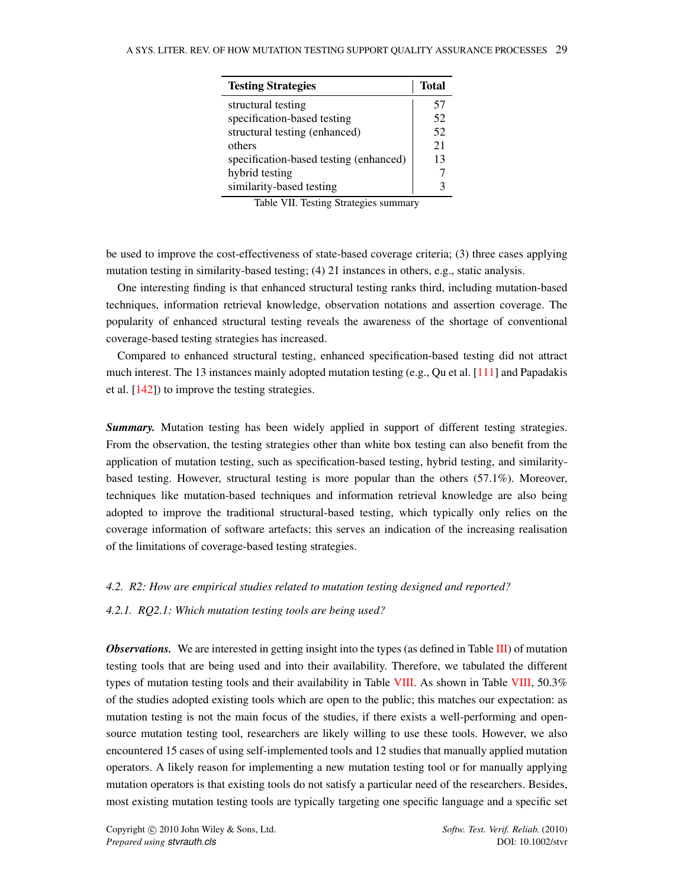<span id="page-29-1"></span>

| <b>Testing Strategies</b>              | Total |
|----------------------------------------|-------|
| structural testing                     | 57    |
| specification-based testing            | 52    |
| structural testing (enhanced)          | 52    |
| others                                 | 21    |
| specification-based testing (enhanced) | 13    |
| hybrid testing                         |       |
| similarity-based testing               |       |

Table VII. Testing Strategies summary

be used to improve the cost-effectiveness of state-based coverage criteria; (3) three cases applying mutation testing in similarity-based testing; (4) 21 instances in others, e.g., static analysis.

One interesting finding is that enhanced structural testing ranks third, including mutation-based techniques, information retrieval knowledge, observation notations and assertion coverage. The popularity of enhanced structural testing reveals the awareness of the shortage of conventional coverage-based testing strategies has increased.

Compared to enhanced structural testing, enhanced specification-based testing did not attract much interest. The 13 instances mainly adopted mutation testing (e.g., Qu et al. [\[111\]](#page-55-1) and Papadakis et al. [\[142\]](#page-56-4)) to improve the testing strategies.

*Summary.* Mutation testing has been widely applied in support of different testing strategies. From the observation, the testing strategies other than white box testing can also benefit from the application of mutation testing, such as specification-based testing, hybrid testing, and similaritybased testing. However, structural testing is more popular than the others (57.1%). Moreover, techniques like mutation-based techniques and information retrieval knowledge are also being adopted to improve the traditional structural-based testing, which typically only relies on the coverage information of software artefacts; this serves an indication of the increasing realisation of the limitations of coverage-based testing strategies.

#### <span id="page-29-0"></span>*4.2. R2: How are empirical studies related to mutation testing designed and reported?*

<span id="page-29-2"></span>*4.2.1. RQ2.1: Which mutation testing tools are being used?*

*Observations.* We are interested in getting insight into the types (as defined in Table [III\)](#page-20-0) of mutation testing tools that are being used and into their availability. Therefore, we tabulated the different types of mutation testing tools and their availability in Table [VIII.](#page-30-0) As shown in Table [VIII,](#page-30-0) 50.3% of the studies adopted existing tools which are open to the public; this matches our expectation: as mutation testing is not the main focus of the studies, if there exists a well-performing and opensource mutation testing tool, researchers are likely willing to use these tools. However, we also encountered 15 cases of using self-implemented tools and 12 studies that manually applied mutation operators. A likely reason for implementing a new mutation testing tool or for manually applying mutation operators is that existing tools do not satisfy a particular need of the researchers. Besides, most existing mutation testing tools are typically targeting one specific language and a specific set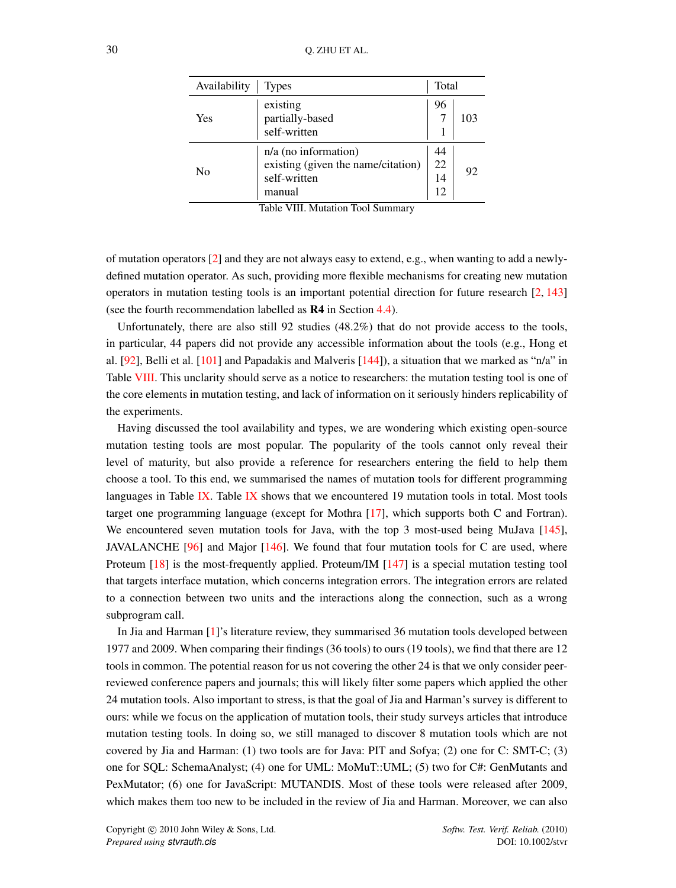<span id="page-30-0"></span>

| Availability | <b>Types</b>                                                                           | Total                |     |
|--------------|----------------------------------------------------------------------------------------|----------------------|-----|
| Yes          | existing<br>partially-based<br>self-written                                            | 96                   | 103 |
| Nο           | $n/a$ (no information)<br>existing (given the name/citation)<br>self-written<br>manual | 44<br>22<br>14<br>12 | 92  |

Table VIII. Mutation Tool Summary

of mutation operators [\[2\]](#page-51-1) and they are not always easy to extend, e.g., when wanting to add a newlydefined mutation operator. As such, providing more flexible mechanisms for creating new mutation operators in mutation testing tools is an important potential direction for future research  $\lceil 2, 143 \rceil$ (see the fourth recommendation labelled as R4 in Section [4.4\)](#page-45-0).

Unfortunately, there are also still 92 studies (48.2%) that do not provide access to the tools, in particular, 44 papers did not provide any accessible information about the tools (e.g., Hong et al. [\[92\]](#page-54-6), Belli et al. [\[101\]](#page-54-15) and Papadakis and Malveris [\[144\]](#page-56-6)), a situation that we marked as "n/a" in Table [VIII.](#page-30-0) This unclarity should serve as a notice to researchers: the mutation testing tool is one of the core elements in mutation testing, and lack of information on it seriously hinders replicability of the experiments.

Having discussed the tool availability and types, we are wondering which existing open-source mutation testing tools are most popular. The popularity of the tools cannot only reveal their level of maturity, but also provide a reference for researchers entering the field to help them choose a tool. To this end, we summarised the names of mutation tools for different programming languages in Table [IX.](#page-31-0) Table [IX](#page-31-0) shows that we encountered 19 mutation tools in total. Most tools target one programming language (except for Mothra [\[17\]](#page-51-15), which supports both C and Fortran). We encountered seven mutation tools for Java, with the top 3 most-used being MuJava [\[145\]](#page-56-7), JAVALANCHE [\[96\]](#page-54-10) and Major [\[146\]](#page-56-8). We found that four mutation tools for C are used, where Proteum [\[18\]](#page-51-16) is the most-frequently applied. Proteum/IM [\[147\]](#page-56-9) is a special mutation testing tool that targets interface mutation, which concerns integration errors. The integration errors are related to a connection between two units and the interactions along the connection, such as a wrong subprogram call.

In Jia and Harman [\[1\]](#page-51-0)'s literature review, they summarised 36 mutation tools developed between 1977 and 2009. When comparing their findings (36 tools) to ours (19 tools), we find that there are 12 tools in common. The potential reason for us not covering the other 24 is that we only consider peerreviewed conference papers and journals; this will likely filter some papers which applied the other 24 mutation tools. Also important to stress, is that the goal of Jia and Harman's survey is different to ours: while we focus on the application of mutation tools, their study surveys articles that introduce mutation testing tools. In doing so, we still managed to discover 8 mutation tools which are not covered by Jia and Harman: (1) two tools are for Java: PIT and Sofya; (2) one for C: SMT-C; (3) one for SQL: SchemaAnalyst; (4) one for UML: MoMuT::UML; (5) two for C#: GenMutants and PexMutator; (6) one for JavaScript: MUTANDIS. Most of these tools were released after 2009, which makes them too new to be included in the review of Jia and Harman. Moreover, we can also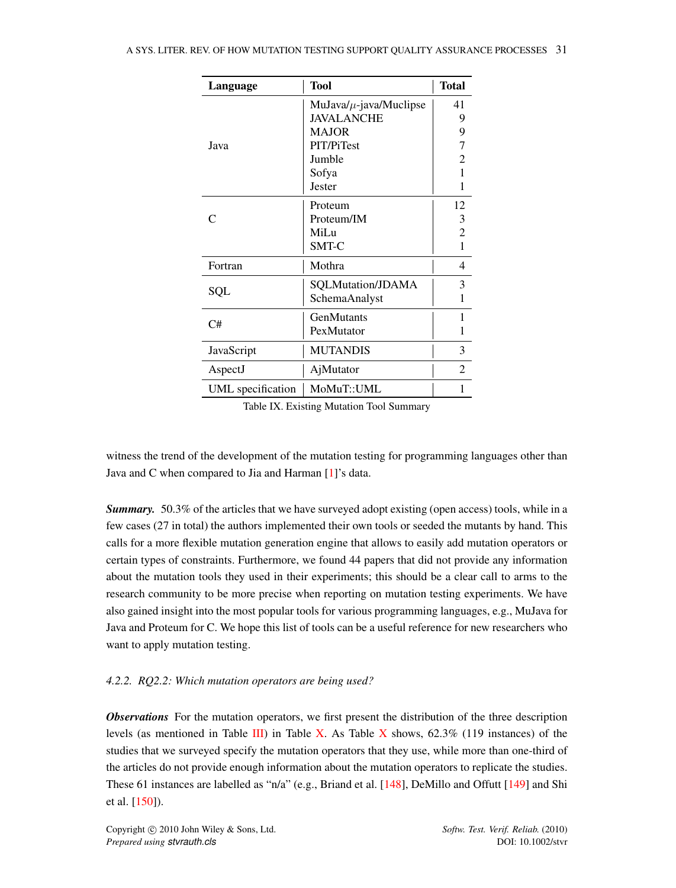<span id="page-31-0"></span>

| Language          | <b>Tool</b>                 | <b>Total</b>   |
|-------------------|-----------------------------|----------------|
|                   | $MuJava/\mu$ -java/Muclipse | 41             |
|                   | <b>JAVALANCHE</b>           | 9              |
|                   | <b>MAJOR</b>                | 9              |
| Java              | <b>PIT/PiTest</b>           |                |
|                   | Jumble                      | 2              |
|                   | Sofya                       | 1              |
|                   | Jester                      | 1              |
|                   | Proteum                     | 12             |
|                   | Proteum/IM                  | 3              |
|                   | MiLu                        | 2              |
|                   | SMT-C                       | 1              |
| Fortran           | Mothra                      | 4              |
|                   | SQLMutation/JDAMA           | 3              |
| SQL               | SchemaAnalyst               | 1              |
| C#                | <b>GenMutants</b>           | 1              |
|                   | PexMutator                  | 1              |
| JavaScript        | <b>MUTANDIS</b>             | 3              |
| AspectJ           | AjMutator                   | $\mathfrak{D}$ |
| UML specification | MoMuT::UML                  | 1              |

Table IX. Existing Mutation Tool Summary

witness the trend of the development of the mutation testing for programming languages other than Java and C when compared to Jia and Harman [\[1\]](#page-51-0)'s data.

*Summary.* 50.3% of the articles that we have surveyed adopt existing (open access) tools, while in a few cases (27 in total) the authors implemented their own tools or seeded the mutants by hand. This calls for a more flexible mutation generation engine that allows to easily add mutation operators or certain types of constraints. Furthermore, we found 44 papers that did not provide any information about the mutation tools they used in their experiments; this should be a clear call to arms to the research community to be more precise when reporting on mutation testing experiments. We have also gained insight into the most popular tools for various programming languages, e.g., MuJava for Java and Proteum for C. We hope this list of tools can be a useful reference for new researchers who want to apply mutation testing.

# <span id="page-31-1"></span>*4.2.2. RQ2.2: Which mutation operators are being used?*

*Observations* For the mutation operators, we first present the distribution of the three description levels (as mentioned in Table [III\)](#page-20-0) in Table [X.](#page-32-0) As Table [X](#page-32-0) shows,  $62.3\%$  (119 instances) of the studies that we surveyed specify the mutation operators that they use, while more than one-third of the articles do not provide enough information about the mutation operators to replicate the studies. These 61 instances are labelled as "n/a" (e.g., Briand et al. [\[148\]](#page-56-10), DeMillo and Offutt [\[149\]](#page-56-11) and Shi et al. [\[150\]](#page-56-12)).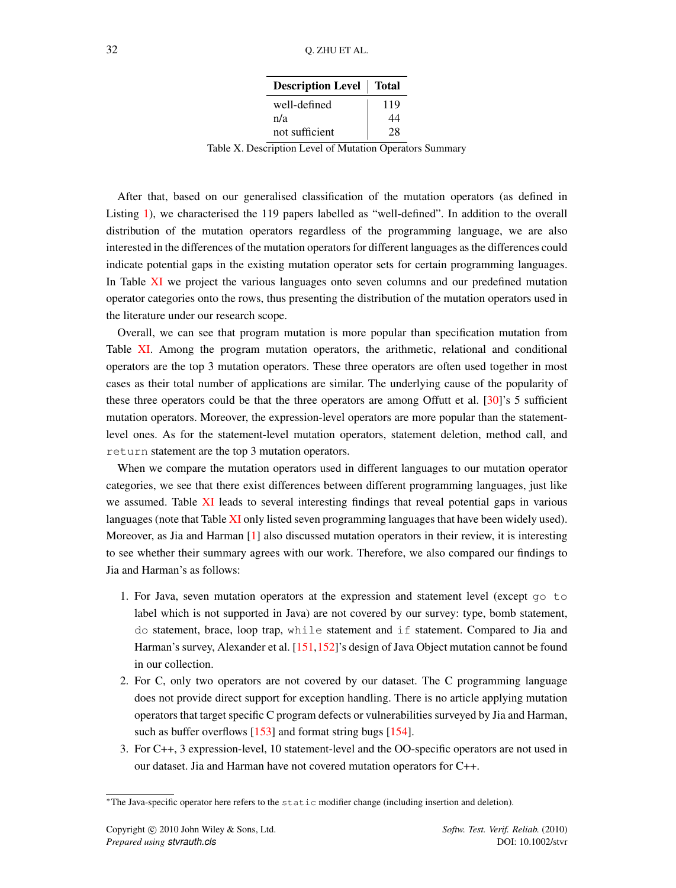| <b>Description Level</b> Total |     |
|--------------------------------|-----|
| well-defined                   | 119 |
| n/a                            | 44  |
| not sufficient                 | 28  |

Table X. Description Level of Mutation Operators Summary

<span id="page-32-0"></span>After that, based on our generalised classification of the mutation operators (as defined in Listing [1\)](#page-16-1), we characterised the 119 papers labelled as "well-defined". In addition to the overall distribution of the mutation operators regardless of the programming language, we are also interested in the differences of the mutation operators for different languages as the differences could indicate potential gaps in the existing mutation operator sets for certain programming languages. In Table [XI](#page-33-0) we project the various languages onto seven columns and our predefined mutation operator categories onto the rows, thus presenting the distribution of the mutation operators used in the literature under our research scope.

Overall, we can see that program mutation is more popular than specification mutation from Table [XI.](#page-33-0) Among the program mutation operators, the arithmetic, relational and conditional operators are the top 3 mutation operators. These three operators are often used together in most cases as their total number of applications are similar. The underlying cause of the popularity of these three operators could be that the three operators are among Offutt et al. [\[30\]](#page-51-28)'s 5 sufficient mutation operators. Moreover, the expression-level operators are more popular than the statementlevel ones. As for the statement-level mutation operators, statement deletion, method call, and return statement are the top 3 mutation operators.

When we compare the mutation operators used in different languages to our mutation operator categories, we see that there exist differences between different programming languages, just like we assumed. Table [XI](#page-33-0) leads to several interesting findings that reveal potential gaps in various languages (note that Table [XI](#page-33-0) only listed seven programming languages that have been widely used). Moreover, as Jia and Harman [\[1\]](#page-51-0) also discussed mutation operators in their review, it is interesting to see whether their summary agrees with our work. Therefore, we also compared our findings to Jia and Harman's as follows:

- 1. For Java, seven mutation operators at the expression and statement level (except go to label which is not supported in Java) are not covered by our survey: type, bomb statement, do statement, brace, loop trap, while statement and if statement. Compared to Jia and Harman's survey, Alexander et al. [\[151,](#page-56-13)[152\]](#page-56-14)'s design of Java Object mutation cannot be found in our collection.
- 2. For C, only two operators are not covered by our dataset. The C programming language does not provide direct support for exception handling. There is no article applying mutation operators that target specific C program defects or vulnerabilities surveyed by Jia and Harman, such as buffer overflows [\[153\]](#page-56-15) and format string bugs [\[154\]](#page-56-16).
- 3. For C++, 3 expression-level, 10 statement-level and the OO-specific operators are not used in our dataset. Jia and Harman have not covered mutation operators for C++.

<span id="page-32-1"></span><sup>∗</sup>The Java-specific operator here refers to the static modifier change (including insertion and deletion).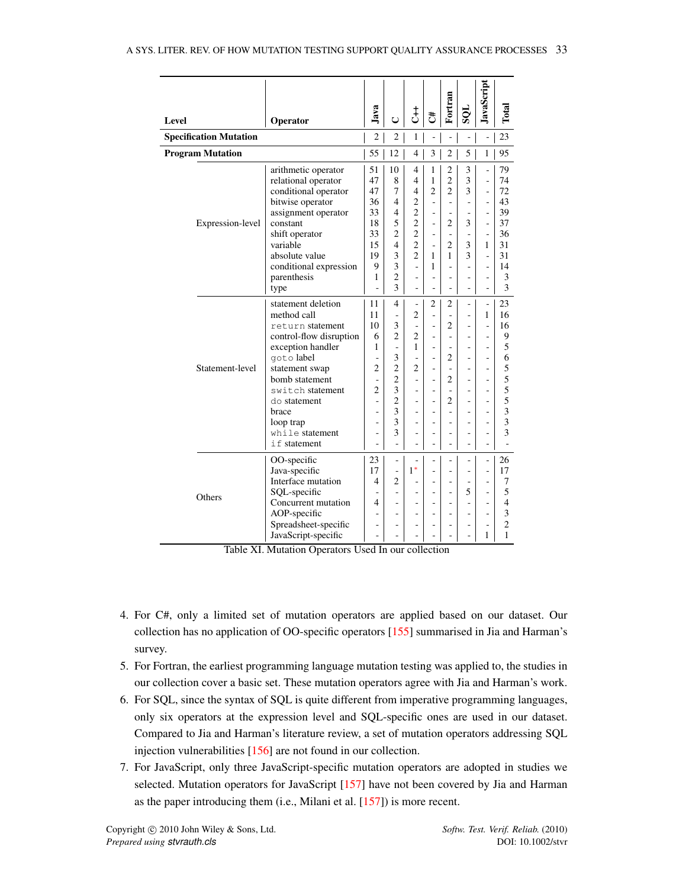<span id="page-33-0"></span>

| <b>Level</b>                  | Operator                                                                                                                                                                                                                                             | Java                                                                                                               | $\cup$                                                                                                                            | $\rm \dot{t}$                                                                                                                                                                                | đ,                                                                  | Fortran                                                                                                                 | TÒS                                                                                  | JavaScript                                                                                                           | Total                                                                         |
|-------------------------------|------------------------------------------------------------------------------------------------------------------------------------------------------------------------------------------------------------------------------------------------------|--------------------------------------------------------------------------------------------------------------------|-----------------------------------------------------------------------------------------------------------------------------------|----------------------------------------------------------------------------------------------------------------------------------------------------------------------------------------------|---------------------------------------------------------------------|-------------------------------------------------------------------------------------------------------------------------|--------------------------------------------------------------------------------------|----------------------------------------------------------------------------------------------------------------------|-------------------------------------------------------------------------------|
| <b>Specification Mutation</b> |                                                                                                                                                                                                                                                      | $\overline{c}$                                                                                                     | $\overline{c}$                                                                                                                    | $\mathbf{1}$                                                                                                                                                                                 | ÷,                                                                  | ÷,                                                                                                                      |                                                                                      | ÷,                                                                                                                   | 23                                                                            |
| <b>Program Mutation</b>       |                                                                                                                                                                                                                                                      | 55                                                                                                                 | 12                                                                                                                                | $\overline{4}$                                                                                                                                                                               | 3                                                                   | $\overline{c}$                                                                                                          | 5                                                                                    | 1                                                                                                                    | 95                                                                            |
| Expression-level              | arithmetic operator<br>relational operator<br>conditional operator<br>bitwise operator<br>assignment operator<br>constant<br>shift operator<br>variable<br>absolute value<br>conditional expression<br>parenthesis<br>type                           | 51<br>47<br>47<br>36<br>33<br>18<br>33<br>15<br>19<br>9<br>1<br>÷,                                                 | 10<br>8<br>7<br>$\overline{\mathcal{A}}$<br>$\overline{\mathcal{L}}$<br>5<br>$\overline{2}$<br>4<br>3<br>3<br>$\overline{c}$<br>3 | $\overline{4}$<br>$\overline{4}$<br>$\overline{4}$<br>$\overline{2}$<br>$\overline{2}$<br>$\overline{2}$<br>$\overline{2}$<br>$\overline{2}$<br>$\overline{2}$<br>$\overline{a}$<br>÷,<br>÷, | 1<br>1<br>$\overline{2}$<br>ä,<br>÷<br>÷<br>÷<br>1<br>1<br>÷,<br>÷, | $\overline{c}$<br>$\overline{c}$<br>$\overline{2}$<br>÷<br>÷<br>$\overline{c}$<br>ä,<br>$\overline{2}$<br>1<br>÷.<br>÷, | 3<br>3<br>3<br>÷,<br>÷,<br>3<br>$\bar{a}$<br>3<br>3<br>÷,<br>÷,<br>÷,                | $\frac{1}{2}$<br>÷,<br>÷,<br>÷,<br>÷,<br>÷,<br>÷,<br>1<br>÷,<br>÷,<br>÷,<br>$\overline{a}$                           | 79<br>74<br>72<br>43<br>39<br>37<br>36<br>31<br>31<br>14<br>3<br>3            |
| Statement-level               | statement deletion<br>method call<br>return statement<br>control-flow disruption<br>exception handler<br>goto label<br>statement swap<br>bomb statement<br>switch statement<br>do statement<br>brace<br>loop trap<br>while statement<br>if statement | 11<br>11<br>10<br>6<br>1<br>÷,<br>$\overline{2}$<br>÷<br>$\overline{2}$<br>$\qquad \qquad \blacksquare$<br>L<br>ä, | 4<br>÷,<br>3<br>$\overline{c}$<br>L.<br>3<br>$\overline{2}$<br>$\overline{c}$<br>3<br>$\overline{2}$<br>3<br>3<br>3               | $\overline{2}$<br>$\overline{2}$<br>1<br>$\overline{c}$<br>÷,<br>ä,<br>÷,<br>ä,<br>$\overline{\phantom{a}}$<br>$\overline{\phantom{a}}$                                                      | 2<br>÷,<br>ä,<br>÷<br>÷,<br>÷<br>÷<br>÷,<br>÷,<br>÷,                | 2<br>÷,<br>$\overline{c}$<br>÷,<br>ä,<br>$\overline{2}$<br>$\overline{2}$<br>÷,<br>$\overline{2}$<br>÷,<br>÷,<br>÷,     | L.<br>$\overline{a}$<br>÷,<br>L,<br>÷,<br>÷,<br>L,<br>$\overline{\phantom{0}}$<br>÷, | ÷,<br>1<br>÷,<br>÷,<br>L.<br>÷,<br>$\frac{1}{2}$<br>÷,<br>$\overline{\phantom{m}}$<br>$\overline{\phantom{m}}$<br>÷, | 23<br>16<br>16<br>9<br>5<br>6<br>5<br>5<br>5<br>5<br>3<br>3<br>$\overline{3}$ |
| Others                        | OO-specific<br>Java-specific<br>Interface mutation<br>SQL-specific<br>Concurrent mutation<br>AOP-specific<br>Spreadsheet-specific<br>JavaScript-specific                                                                                             | 23<br>17<br>4<br>4<br>÷,<br>L.                                                                                     | 2<br>÷,<br>٠<br>$\overline{a}$<br>$\overline{a}$                                                                                  | $1*$<br>÷,<br>$\overline{a}$<br>-<br>$\overline{\phantom{a}}$<br>$\overline{a}$                                                                                                              | ٠<br>٠<br>٠<br>٠                                                    | ÷<br>÷,<br>٠<br>۰                                                                                                       | 5<br>$\overline{\phantom{a}}$<br>÷,<br>$\overline{\phantom{0}}$                      | ÷,<br>÷,<br>$\frac{1}{2}$<br>÷,<br>$\overline{\phantom{a}}$<br>÷,<br>$\overline{\phantom{m}}$<br>1                   | 26<br>17<br>7<br>5<br>$\overline{4}$<br>3<br>$\overline{2}$<br>1              |

Table XI. Mutation Operators Used In our collection

- 4. For C#, only a limited set of mutation operators are applied based on our dataset. Our collection has no application of OO-specific operators [\[155\]](#page-56-17) summarised in Jia and Harman's survey.
- 5. For Fortran, the earliest programming language mutation testing was applied to, the studies in our collection cover a basic set. These mutation operators agree with Jia and Harman's work.
- 6. For SQL, since the syntax of SQL is quite different from imperative programming languages, only six operators at the expression level and SQL-specific ones are used in our dataset. Compared to Jia and Harman's literature review, a set of mutation operators addressing SQL injection vulnerabilities [\[156\]](#page-56-18) are not found in our collection.
- 7. For JavaScript, only three JavaScript-specific mutation operators are adopted in studies we selected. Mutation operators for JavaScript [\[157\]](#page-56-19) have not been covered by Jia and Harman as the paper introducing them (i.e., Milani et al. [\[157\]](#page-56-19)) is more recent.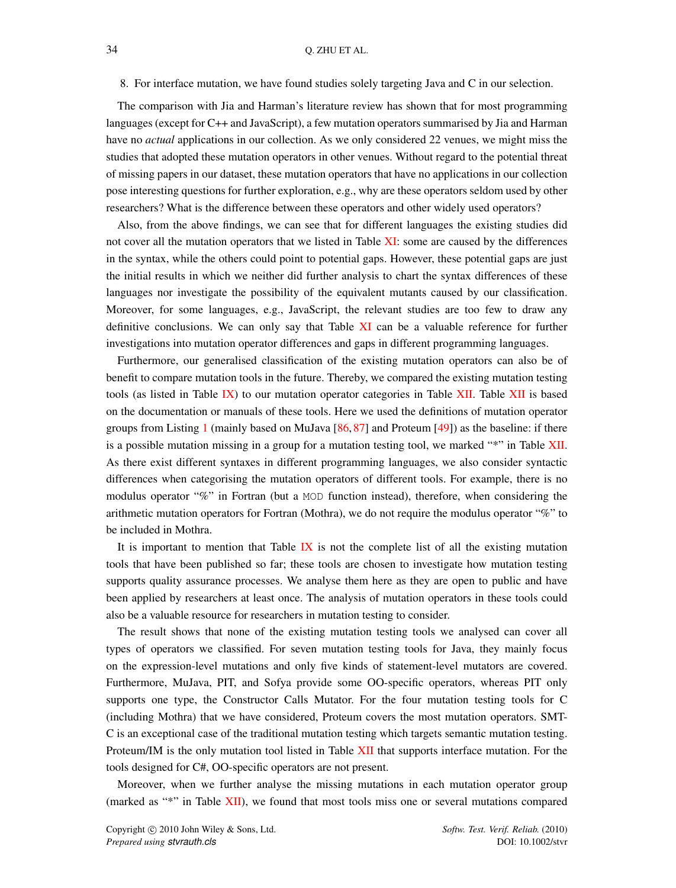The comparison with Jia and Harman's literature review has shown that for most programming languages (except for C++ and JavaScript), a few mutation operators summarised by Jia and Harman have no *actual* applications in our collection. As we only considered 22 venues, we might miss the studies that adopted these mutation operators in other venues. Without regard to the potential threat of missing papers in our dataset, these mutation operators that have no applications in our collection pose interesting questions for further exploration, e.g., why are these operators seldom used by other researchers? What is the difference between these operators and other widely used operators?

Also, from the above findings, we can see that for different languages the existing studies did not cover all the mutation operators that we listed in Table [XI:](#page-33-0) some are caused by the differences in the syntax, while the others could point to potential gaps. However, these potential gaps are just the initial results in which we neither did further analysis to chart the syntax differences of these languages nor investigate the possibility of the equivalent mutants caused by our classification. Moreover, for some languages, e.g., JavaScript, the relevant studies are too few to draw any definitive conclusions. We can only say that Table [XI](#page-33-0) can be a valuable reference for further investigations into mutation operator differences and gaps in different programming languages.

Furthermore, our generalised classification of the existing mutation operators can also be of benefit to compare mutation tools in the future. Thereby, we compared the existing mutation testing tools (as listed in Table [IX\)](#page-31-0) to our mutation operator categories in Table [XII.](#page-35-0) Table [XII](#page-35-0) is based on the documentation or manuals of these tools. Here we used the definitions of mutation operator groups from Listing [1](#page-16-1) (mainly based on MuJava [\[86,](#page-54-0) [87\]](#page-54-1) and Proteum [\[49\]](#page-52-17)) as the baseline: if there is a possible mutation missing in a group for a mutation testing tool, we marked "\*" in Table [XII.](#page-35-0) As there exist different syntaxes in different programming languages, we also consider syntactic differences when categorising the mutation operators of different tools. For example, there is no modulus operator "%" in Fortran (but a MOD function instead), therefore, when considering the arithmetic mutation operators for Fortran (Mothra), we do not require the modulus operator "%" to be included in Mothra.

It is important to mention that Table [IX](#page-31-0) is not the complete list of all the existing mutation tools that have been published so far; these tools are chosen to investigate how mutation testing supports quality assurance processes. We analyse them here as they are open to public and have been applied by researchers at least once. The analysis of mutation operators in these tools could also be a valuable resource for researchers in mutation testing to consider.

The result shows that none of the existing mutation testing tools we analysed can cover all types of operators we classified. For seven mutation testing tools for Java, they mainly focus on the expression-level mutations and only five kinds of statement-level mutators are covered. Furthermore, MuJava, PIT, and Sofya provide some OO-specific operators, whereas PIT only supports one type, the Constructor Calls Mutator. For the four mutation testing tools for C (including Mothra) that we have considered, Proteum covers the most mutation operators. SMT-C is an exceptional case of the traditional mutation testing which targets semantic mutation testing. Proteum/IM is the only mutation tool listed in Table [XII](#page-35-0) that supports interface mutation. For the tools designed for C#, OO-specific operators are not present.

Moreover, when we further analyse the missing mutations in each mutation operator group (marked as "\*" in Table [XII\)](#page-35-0), we found that most tools miss one or several mutations compared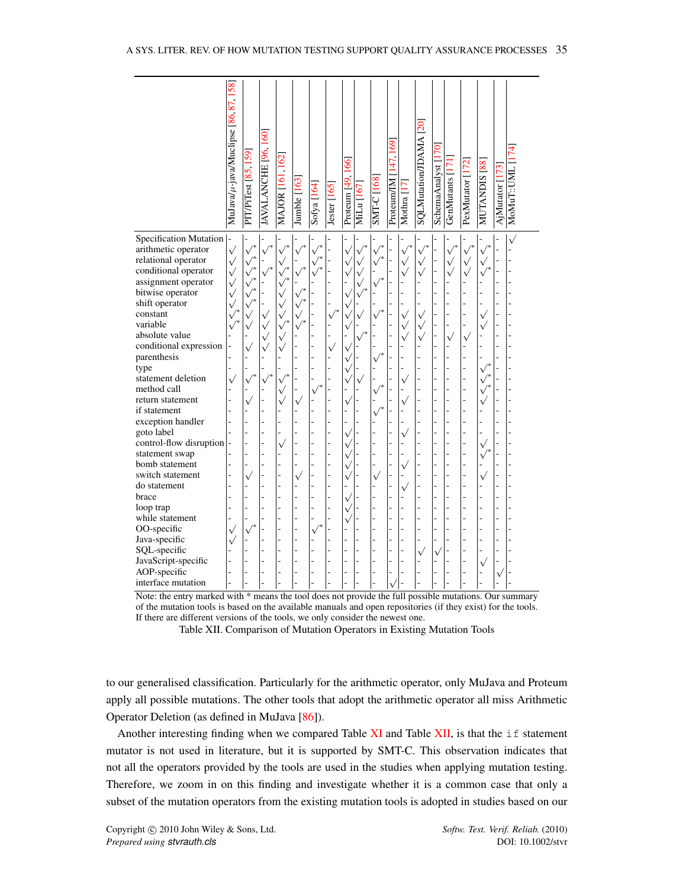<span id="page-35-0"></span>

|                            | MuJava/µ-java/Muclipse [86,87,158] | PIT/PiTest [85, 159] | JAVALANCHE [96,160] | MAJOR [161,162]        | Jumble [163] | Sofya [164] | Jester [165] | 66<br>Proteum [49, | MiLu [167]   | SMT-C [168]  | 169<br>47<br>Proteum/IM | Mothra [17]  | $\overline{20}$<br>SQLMutation/JDAMA | SchemaAnalyst [170] | GenMutants [171] | PexMutator [172] | MUTANDIS [88]   | AjMutator [173] | MoMuT::UML |
|----------------------------|------------------------------------|----------------------|---------------------|------------------------|--------------|-------------|--------------|--------------------|--------------|--------------|-------------------------|--------------|--------------------------------------|---------------------|------------------|------------------|-----------------|-----------------|------------|
| Specification Mutation     |                                    |                      |                     |                        |              |             |              |                    |              |              |                         |              |                                      |                     |                  |                  |                 |                 |            |
| arithmetic operator        | $\sqrt{}$                          | $\mathcal{p}^*$      | ν                   |                        |              |             |              |                    |              | $\sqrt{}$    |                         |              |                                      |                     | $\mathcal{p}^*$  |                  | $\checkmark$    |                 |            |
| relational operator        | $\checkmark$                       | $\sqrt{*}$           |                     | $\checkmark$           |              |             |              | ν                  | $\checkmark$ | ν            |                         | $\checkmark$ | $\checkmark$                         |                     | $\checkmark$     | $\checkmark$     | $\sqrt{}$       |                 |            |
| conditional operator       | $\checkmark$                       | $\sqrt{*}$           | $\checkmark$        | $\sqrt{\phantom{a}^*}$ | ٧            |             |              |                    |              |              |                         | $\sqrt{ }$   | $\checkmark$                         |                     | $\checkmark$     | $\checkmark$     | $\mathcal{p}^*$ |                 |            |
| assignment operator        | $\checkmark$                       | $\sqrt{*}$           |                     | $\sqrt{*}$             |              |             |              |                    |              |              |                         |              |                                      |                     |                  |                  |                 |                 |            |
| bitwise operator           | $\checkmark$                       |                      |                     | $\checkmark$           | ν            |             |              | r                  |              |              |                         |              |                                      |                     |                  |                  |                 |                 |            |
| shift operator             | $\checkmark$                       |                      |                     | $\sqrt{}$              |              |             |              |                    |              |              |                         |              |                                      |                     |                  |                  |                 |                 |            |
| constant                   | $\checkmark$                       |                      | $\checkmark$        | $\checkmark$           |              |             | ν            |                    |              |              |                         | $\checkmark$ | $\checkmark$                         |                     |                  |                  | $\checkmark$    |                 |            |
| variable                   | $\sqrt{2}$                         | $\checkmark$         | $\sqrt{}$           | $\sqrt{\phantom{a}^*}$ |              |             |              |                    |              |              |                         | $\checkmark$ | $\checkmark$                         |                     |                  |                  | $\checkmark$    |                 |            |
| absolute value             |                                    |                      | $\sqrt{}$           | $\sqrt{}$              |              |             |              |                    |              |              |                         | $\sqrt{}$    | $\sqrt{}$                            |                     | $\checkmark$     | $\checkmark$     |                 |                 |            |
| conditional expression     |                                    |                      | $\sqrt{}$           | $\sqrt{}$              |              |             | $\checkmark$ |                    |              |              |                         |              |                                      |                     |                  |                  |                 |                 |            |
| parenthesis                |                                    |                      |                     |                        |              |             |              |                    |              | $\checkmark$ |                         |              |                                      |                     |                  |                  |                 |                 |            |
| type<br>statement deletion |                                    |                      |                     |                        |              |             |              |                    |              |              |                         |              |                                      |                     |                  |                  | $\checkmark$    |                 |            |
| method call                | $\checkmark$                       |                      | $\checkmark$        | $\mathsf{v}$           |              |             |              | ٦                  |              |              |                         | $\checkmark$ |                                      | L,                  |                  |                  | $\sqrt{}$       |                 |            |
| return statement           |                                    |                      |                     | $\sqrt{}$              |              |             |              |                    |              | ν            |                         |              |                                      |                     |                  |                  | $\checkmark$    |                 |            |
| if statement               |                                    |                      |                     | $\checkmark$           | $\checkmark$ |             |              | ν                  |              |              |                         | $\checkmark$ |                                      |                     |                  |                  |                 |                 |            |
| exception handler          |                                    |                      |                     |                        |              |             |              | L                  |              | ν            |                         |              |                                      |                     |                  |                  |                 |                 |            |
| goto label                 |                                    |                      |                     |                        |              |             |              | ν                  |              |              |                         | $\checkmark$ |                                      |                     |                  |                  | L               |                 |            |
| control-flow disruption    |                                    |                      |                     | ν                      |              |             |              |                    |              |              |                         |              |                                      |                     |                  |                  | $\checkmark$    |                 |            |
| statement swap             |                                    |                      |                     |                        |              |             |              | r                  |              |              |                         |              |                                      |                     |                  |                  | $\checkmark$    |                 |            |
| bomb statement             |                                    |                      |                     |                        |              |             |              | r                  |              | -            |                         | $\checkmark$ |                                      |                     |                  |                  |                 |                 |            |
| switch statement           |                                    |                      |                     |                        |              |             |              |                    |              | $\checkmark$ |                         |              |                                      |                     |                  |                  |                 |                 |            |
| do statement               |                                    |                      |                     |                        |              |             |              |                    |              |              |                         | $\sqrt{ }$   |                                      | L,                  |                  |                  |                 |                 |            |
| brace                      |                                    |                      |                     |                        |              |             |              | ν                  |              |              |                         |              |                                      |                     |                  |                  |                 |                 |            |
| loop trap                  |                                    |                      |                     |                        |              |             |              |                    |              |              |                         |              |                                      |                     |                  |                  |                 |                 |            |
| while statement            |                                    |                      |                     |                        |              |             |              |                    |              |              |                         |              |                                      | L,                  |                  |                  |                 |                 |            |
| OO-specific                | $\checkmark$                       |                      |                     |                        |              |             |              |                    |              |              |                         |              |                                      |                     |                  |                  |                 |                 |            |
| Java-specific              | $\checkmark$                       |                      |                     |                        |              |             |              |                    |              |              |                         |              |                                      |                     |                  |                  |                 |                 |            |
| SQL-specific               |                                    |                      |                     |                        |              |             |              |                    |              |              |                         |              | ν                                    | ٦                   |                  |                  |                 |                 |            |
| JavaScript-specific        |                                    |                      |                     |                        |              |             |              | L                  |              |              |                         |              | L,                                   | L.                  |                  |                  | $\checkmark$    |                 |            |
| AOP-specific               |                                    |                      |                     |                        |              |             |              | L                  |              |              |                         |              |                                      |                     |                  |                  |                 |                 |            |
| interface mutation         |                                    |                      |                     |                        |              |             |              |                    |              |              |                         |              |                                      |                     |                  |                  |                 |                 |            |

Note: the entry marked with \* means the tool does not provide the full possible mutations. Our summary of the mutation tools is based on the available manuals and open repositories (if they exist) for the tools. If there are different versions of the tools, we only consider the newest one.

Table XII. Comparison of Mutation Operators in Existing Mutation Tools

to our generalised classification. Particularly for the arithmetic operator, only MuJava and Proteum apply all possible mutations. The other tools that adopt the arithmetic operator all miss Arithmetic Operator Deletion (as defined in MuJava [\[86\]](#page-54-0)).

Another interesting finding when we compared Table [XI](#page-33-0) and Table [XII,](#page-35-0) is that the  $\pm$  f statement mutator is not used in literature, but it is supported by SMT-C. This observation indicates that not all the operators provided by the tools are used in the studies when applying mutation testing. Therefore, we zoom in on this finding and investigate whether it is a common case that only a subset of the mutation operators from the existing mutation tools is adopted in studies based on our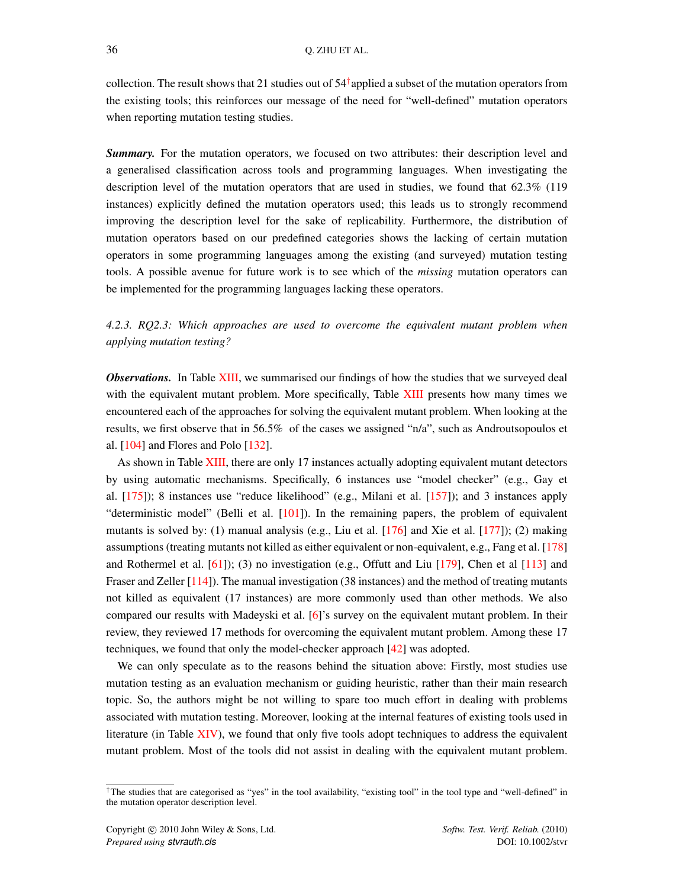collection. The result shows that 21 studies out of  $54^{\dagger}$  applied a subset of the mutation operators from the existing tools; this reinforces our message of the need for "well-defined" mutation operators when reporting mutation testing studies.

*Summary.* For the mutation operators, we focused on two attributes: their description level and a generalised classification across tools and programming languages. When investigating the description level of the mutation operators that are used in studies, we found that 62.3% (119 instances) explicitly defined the mutation operators used; this leads us to strongly recommend improving the description level for the sake of replicability. Furthermore, the distribution of mutation operators based on our predefined categories shows the lacking of certain mutation operators in some programming languages among the existing (and surveyed) mutation testing tools. A possible avenue for future work is to see which of the *missing* mutation operators can be implemented for the programming languages lacking these operators.

<span id="page-36-1"></span>*4.2.3. RQ2.3: Which approaches are used to overcome the equivalent mutant problem when applying mutation testing?*

*Observations.* In Table [XIII,](#page-37-0) we summarised our findings of how the studies that we surveyed deal with the equivalent mutant problem. More specifically, Table [XIII](#page-37-0) presents how many times we encountered each of the approaches for solving the equivalent mutant problem. When looking at the results, we first observe that in 56.5% of the cases we assigned "n/a", such as Androutsopoulos et al. [\[104\]](#page-54-18) and Flores and Polo [\[132\]](#page-55-22).

As shown in Table [XIII,](#page-37-0) there are only 17 instances actually adopting equivalent mutant detectors by using automatic mechanisms. Specifically, 6 instances use "model checker" (e.g., Gay et al. [\[175\]](#page-57-12)); 8 instances use "reduce likelihood" (e.g., Milani et al. [\[157\]](#page-56-19)); and 3 instances apply "deterministic model" (Belli et al. [\[101\]](#page-54-15)). In the remaining papers, the problem of equivalent mutants is solved by: (1) manual analysis (e.g., Liu et al. [\[176\]](#page-57-13) and Xie et al. [\[177\]](#page-57-14)); (2) making assumptions (treating mutants not killed as either equivalent or non-equivalent, e.g., Fang et al. [\[178\]](#page-57-15) and Rothermel et al. [\[61\]](#page-53-2)); (3) no investigation (e.g., Offutt and Liu [\[179\]](#page-57-16), Chen et al [\[113\]](#page-55-3) and Fraser and Zeller [\[114\]](#page-55-4)). The manual investigation (38 instances) and the method of treating mutants not killed as equivalent (17 instances) are more commonly used than other methods. We also compared our results with Madeyski et al. [\[6\]](#page-51-5)'s survey on the equivalent mutant problem. In their review, they reviewed 17 methods for overcoming the equivalent mutant problem. Among these 17 techniques, we found that only the model-checker approach [\[42\]](#page-52-9) was adopted.

We can only speculate as to the reasons behind the situation above: Firstly, most studies use mutation testing as an evaluation mechanism or guiding heuristic, rather than their main research topic. So, the authors might be not willing to spare too much effort in dealing with problems associated with mutation testing. Moreover, looking at the internal features of existing tools used in literature (in Table [XIV\)](#page-38-0), we found that only five tools adopt techniques to address the equivalent mutant problem. Most of the tools did not assist in dealing with the equivalent mutant problem.

<span id="page-36-0"></span><sup>†</sup>The studies that are categorised as "yes" in the tool availability, "existing tool" in the tool type and "well-defined" in the mutation operator description level.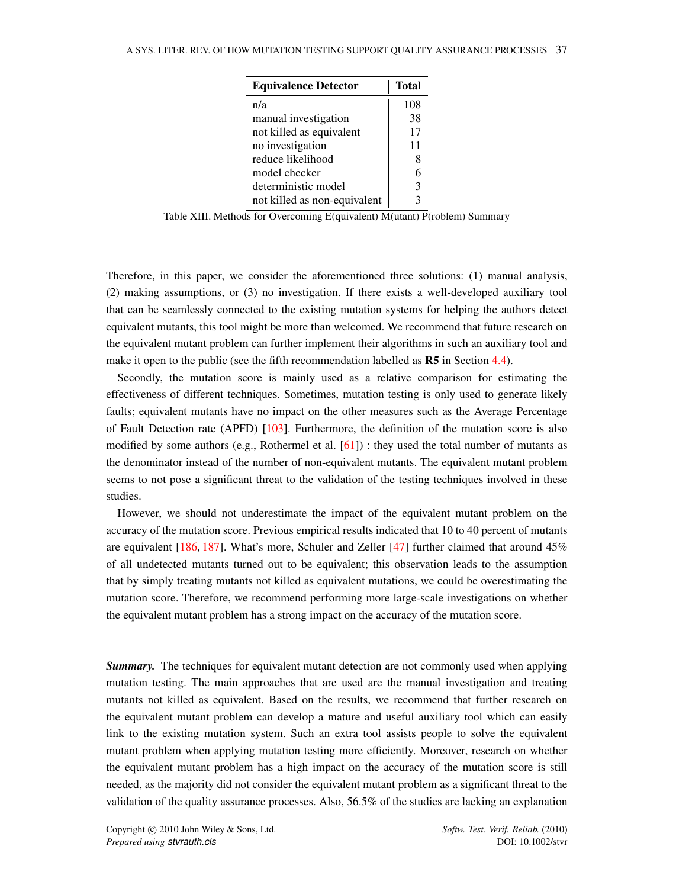<span id="page-37-0"></span>

| <b>Equivalence Detector</b>  | <b>Total</b> |
|------------------------------|--------------|
| n/a                          | 108          |
| manual investigation         | 38           |
| not killed as equivalent     | 17           |
| no investigation             | 11           |
| reduce likelihood            | 8            |
| model checker                |              |
| deterministic model          | 3            |
| not killed as non-equivalent |              |

Table XIII. Methods for Overcoming E(quivalent) M(utant) P(roblem) Summary

Therefore, in this paper, we consider the aforementioned three solutions: (1) manual analysis, (2) making assumptions, or (3) no investigation. If there exists a well-developed auxiliary tool that can be seamlessly connected to the existing mutation systems for helping the authors detect equivalent mutants, this tool might be more than welcomed. We recommend that future research on the equivalent mutant problem can further implement their algorithms in such an auxiliary tool and make it open to the public (see the fifth recommendation labelled as  $\mathbb{R}5$  in Section [4.4\)](#page-45-0).

Secondly, the mutation score is mainly used as a relative comparison for estimating the effectiveness of different techniques. Sometimes, mutation testing is only used to generate likely faults; equivalent mutants have no impact on the other measures such as the Average Percentage of Fault Detection rate (APFD) [\[103\]](#page-54-17). Furthermore, the definition of the mutation score is also modified by some authors (e.g., Rothermel et al.  $[61]$ ) : they used the total number of mutants as the denominator instead of the number of non-equivalent mutants. The equivalent mutant problem seems to not pose a significant threat to the validation of the testing techniques involved in these studies.

However, we should not underestimate the impact of the equivalent mutant problem on the accuracy of the mutation score. Previous empirical results indicated that 10 to 40 percent of mutants are equivalent [\[186,](#page-57-17) [187\]](#page-57-18). What's more, Schuler and Zeller [\[47\]](#page-52-15) further claimed that around 45% of all undetected mutants turned out to be equivalent; this observation leads to the assumption that by simply treating mutants not killed as equivalent mutations, we could be overestimating the mutation score. Therefore, we recommend performing more large-scale investigations on whether the equivalent mutant problem has a strong impact on the accuracy of the mutation score.

**Summary.** The techniques for equivalent mutant detection are not commonly used when applying mutation testing. The main approaches that are used are the manual investigation and treating mutants not killed as equivalent. Based on the results, we recommend that further research on the equivalent mutant problem can develop a mature and useful auxiliary tool which can easily link to the existing mutation system. Such an extra tool assists people to solve the equivalent mutant problem when applying mutation testing more efficiently. Moreover, research on whether the equivalent mutant problem has a high impact on the accuracy of the mutation score is still needed, as the majority did not consider the equivalent mutant problem as a significant threat to the validation of the quality assurance processes. Also, 56.5% of the studies are lacking an explanation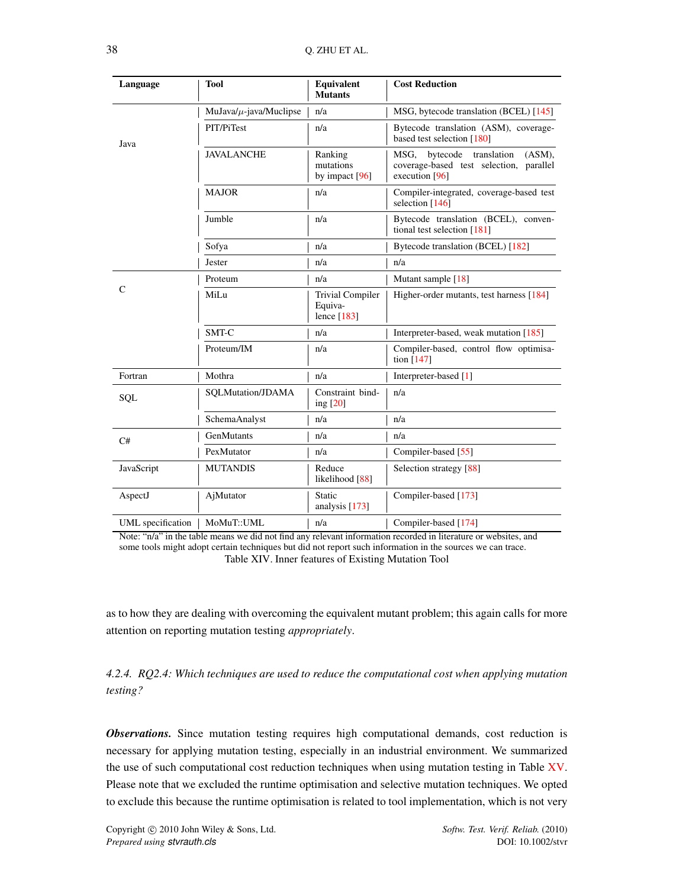<span id="page-38-0"></span>

| Language          | <b>Tool</b>                  | Equivalent<br><b>Mutants</b>                        | <b>Cost Reduction</b>                                                                                 |  |  |  |
|-------------------|------------------------------|-----------------------------------------------------|-------------------------------------------------------------------------------------------------------|--|--|--|
|                   | MuJava/ $\mu$ -java/Muclipse | n/a                                                 | MSG, bytecode translation (BCEL) [145]                                                                |  |  |  |
| Java              | PIT/PiTest                   | n/a                                                 | Bytecode translation (ASM), coverage-<br>based test selection [180]                                   |  |  |  |
|                   | <b>JAVALANCHE</b>            | Ranking<br>mutations<br>by impact $[96]$            | MSG,<br>bytecode translation<br>(ASM).<br>coverage-based test selection, parallel<br>execution $[96]$ |  |  |  |
|                   | <b>MAJOR</b>                 | n/a                                                 | Compiler-integrated, coverage-based test<br>selection [146]                                           |  |  |  |
|                   | Jumble                       | n/a                                                 | Bytecode translation (BCEL), conven-<br>tional test selection [181]                                   |  |  |  |
|                   | Sofya                        | n/a                                                 | Bytecode translation (BCEL) [182]                                                                     |  |  |  |
|                   | Jester                       | n/a                                                 | n/a                                                                                                   |  |  |  |
|                   | Proteum                      | n/a                                                 | Mutant sample [18]                                                                                    |  |  |  |
| C                 | MiLu                         | <b>Trivial Compiler</b><br>Equiva-<br>lence $[183]$ | Higher-order mutants, test harness [184]                                                              |  |  |  |
|                   | SMT-C                        | n/a                                                 | Interpreter-based, weak mutation [185]                                                                |  |  |  |
|                   | Proteum/IM                   | n/a                                                 | Compiler-based, control flow optimisa-<br>tion [147]                                                  |  |  |  |
| Fortran           | Mothra                       | n/a                                                 | Interpreter-based [1]                                                                                 |  |  |  |
| SQL               | SQLMutation/JDAMA            | Constraint bind-<br>ing $[20]$                      | n/a                                                                                                   |  |  |  |
|                   | SchemaAnalyst                | n/a                                                 | n/a                                                                                                   |  |  |  |
| C#                | GenMutants                   | n/a                                                 | n/a                                                                                                   |  |  |  |
|                   | PexMutator                   | n/a                                                 | Compiler-based [55]                                                                                   |  |  |  |
| JavaScript        | <b>MUTANDIS</b>              | Reduce<br>likelihood [88]                           | Selection strategy [88]                                                                               |  |  |  |
| AspectJ           | AjMutator                    | Static<br>analysis $[173]$                          | Compiler-based [173]                                                                                  |  |  |  |
| UML specification | MoMuT::UML                   | n/a                                                 | Compiler-based [174]                                                                                  |  |  |  |

Note: "n/a" in the table means we did not find any relevant information recorded in literature or websites, and some tools might adopt certain techniques but did not report such information in the sources we can trace. Table XIV. Inner features of Existing Mutation Tool

as to how they are dealing with overcoming the equivalent mutant problem; this again calls for more attention on reporting mutation testing *appropriately*.

<span id="page-38-1"></span>*4.2.4. RQ2.4: Which techniques are used to reduce the computational cost when applying mutation testing?*

**Observations.** Since mutation testing requires high computational demands, cost reduction is necessary for applying mutation testing, especially in an industrial environment. We summarized the use of such computational cost reduction techniques when using mutation testing in Table [XV.](#page-39-0) Please note that we excluded the runtime optimisation and selective mutation techniques. We opted to exclude this because the runtime optimisation is related to tool implementation, which is not very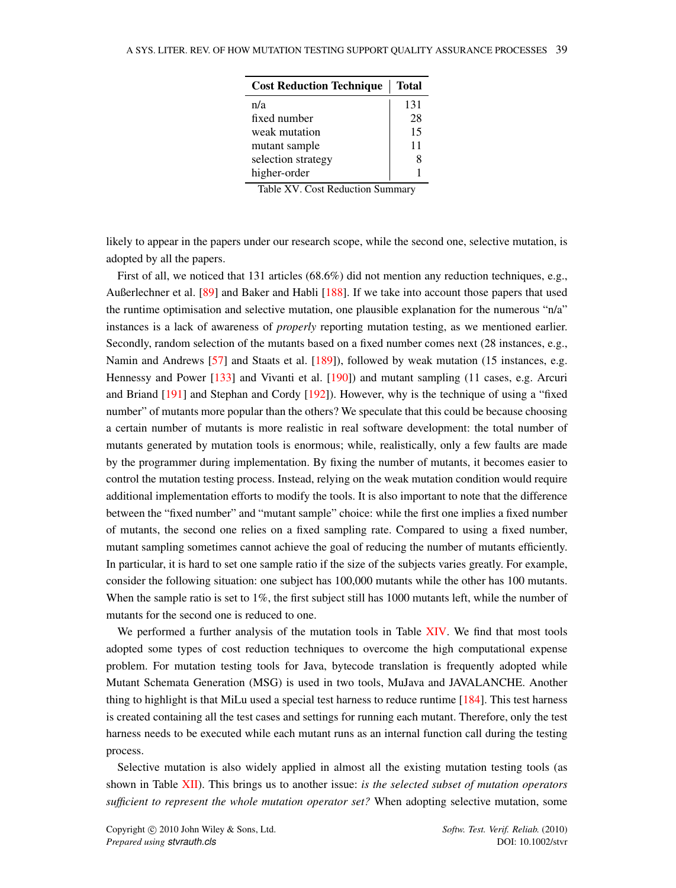<span id="page-39-0"></span>

| <b>Cost Reduction Technique</b> | <b>Total</b> |
|---------------------------------|--------------|
| n/a                             | 131          |
| fixed number                    | 28           |
| weak mutation                   | 15           |
| mutant sample                   | 11           |
| selection strategy              |              |
| higher-order                    |              |

Table XV. Cost Reduction Summary

likely to appear in the papers under our research scope, while the second one, selective mutation, is adopted by all the papers.

First of all, we noticed that 131 articles (68.6%) did not mention any reduction techniques, e.g., Außerlechner et al. [\[89\]](#page-54-3) and Baker and Habli [\[188\]](#page-57-25). If we take into account those papers that used the runtime optimisation and selective mutation, one plausible explanation for the numerous "n/a" instances is a lack of awareness of *properly* reporting mutation testing, as we mentioned earlier. Secondly, random selection of the mutants based on a fixed number comes next (28 instances, e.g., Namin and Andrews [\[57\]](#page-52-24) and Staats et al. [\[189\]](#page-57-26)), followed by weak mutation (15 instances, e.g. Hennessy and Power [\[133\]](#page-55-23) and Vivanti et al. [\[190\]](#page-57-27)) and mutant sampling (11 cases, e.g. Arcuri and Briand [\[191\]](#page-58-0) and Stephan and Cordy [\[192\]](#page-58-1)). However, why is the technique of using a "fixed number" of mutants more popular than the others? We speculate that this could be because choosing a certain number of mutants is more realistic in real software development: the total number of mutants generated by mutation tools is enormous; while, realistically, only a few faults are made by the programmer during implementation. By fixing the number of mutants, it becomes easier to control the mutation testing process. Instead, relying on the weak mutation condition would require additional implementation efforts to modify the tools. It is also important to note that the difference between the "fixed number" and "mutant sample" choice: while the first one implies a fixed number of mutants, the second one relies on a fixed sampling rate. Compared to using a fixed number, mutant sampling sometimes cannot achieve the goal of reducing the number of mutants efficiently. In particular, it is hard to set one sample ratio if the size of the subjects varies greatly. For example, consider the following situation: one subject has 100,000 mutants while the other has 100 mutants. When the sample ratio is set to 1%, the first subject still has 1000 mutants left, while the number of mutants for the second one is reduced to one.

We performed a further analysis of the mutation tools in Table [XIV.](#page-38-0) We find that most tools adopted some types of cost reduction techniques to overcome the high computational expense problem. For mutation testing tools for Java, bytecode translation is frequently adopted while Mutant Schemata Generation (MSG) is used in two tools, MuJava and JAVALANCHE. Another thing to highlight is that MiLu used a special test harness to reduce runtime [\[184\]](#page-57-23). This test harness is created containing all the test cases and settings for running each mutant. Therefore, only the test harness needs to be executed while each mutant runs as an internal function call during the testing process.

Selective mutation is also widely applied in almost all the existing mutation testing tools (as shown in Table [XII\)](#page-35-0). This brings us to another issue: *is the selected subset of mutation operators sufficient to represent the whole mutation operator set?* When adopting selective mutation, some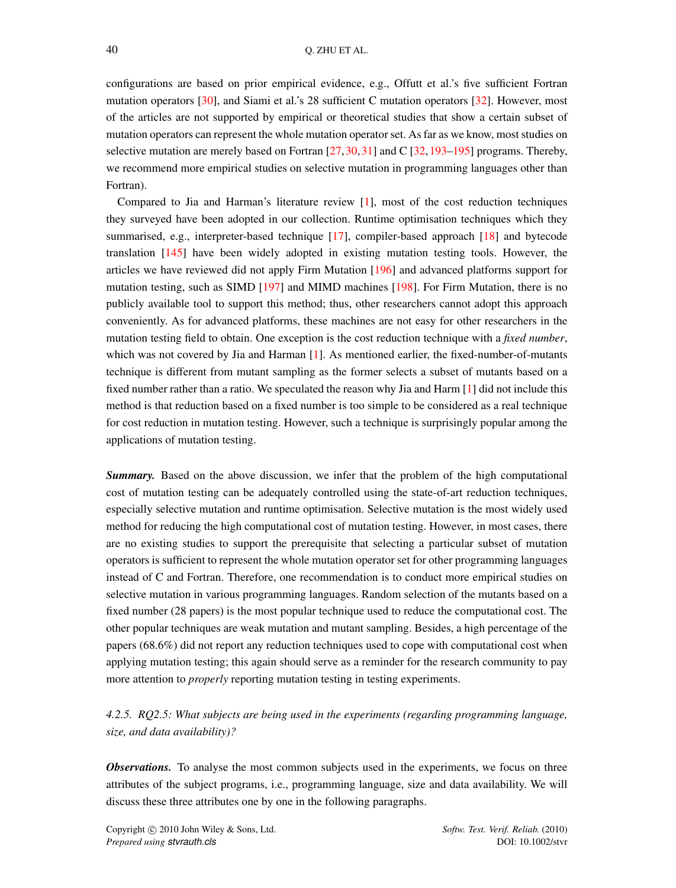configurations are based on prior empirical evidence, e.g., Offutt et al.'s five sufficient Fortran mutation operators [\[30\]](#page-51-28), and Siami et al.'s 28 sufficient C mutation operators [\[32\]](#page-52-0). However, most of the articles are not supported by empirical or theoretical studies that show a certain subset of mutation operators can represent the whole mutation operator set. As far as we know, most studies on selective mutation are merely based on Fortran  $[27,30,31]$  $[27,30,31]$  $[27,30,31]$  and C  $[32,193-195]$  $[32,193-195]$  $[32,193-195]$  programs. Thereby, we recommend more empirical studies on selective mutation in programming languages other than Fortran).

Compared to Jia and Harman's literature review [\[1\]](#page-51-0), most of the cost reduction techniques they surveyed have been adopted in our collection. Runtime optimisation techniques which they summarised, e.g., interpreter-based technique [\[17\]](#page-51-15), compiler-based approach [\[18\]](#page-51-16) and bytecode translation [\[145\]](#page-56-7) have been widely adopted in existing mutation testing tools. However, the articles we have reviewed did not apply Firm Mutation [\[196\]](#page-58-4) and advanced platforms support for mutation testing, such as SIMD [\[197\]](#page-58-5) and MIMD machines [\[198\]](#page-58-6). For Firm Mutation, there is no publicly available tool to support this method; thus, other researchers cannot adopt this approach conveniently. As for advanced platforms, these machines are not easy for other researchers in the mutation testing field to obtain. One exception is the cost reduction technique with a *fixed number*, which was not covered by Jia and Harman  $[1]$ . As mentioned earlier, the fixed-number-of-mutants technique is different from mutant sampling as the former selects a subset of mutants based on a fixed number rather than a ratio. We speculated the reason why Jia and Harm [\[1\]](#page-51-0) did not include this method is that reduction based on a fixed number is too simple to be considered as a real technique for cost reduction in mutation testing. However, such a technique is surprisingly popular among the applications of mutation testing.

*Summary.* Based on the above discussion, we infer that the problem of the high computational cost of mutation testing can be adequately controlled using the state-of-art reduction techniques, especially selective mutation and runtime optimisation. Selective mutation is the most widely used method for reducing the high computational cost of mutation testing. However, in most cases, there are no existing studies to support the prerequisite that selecting a particular subset of mutation operators is sufficient to represent the whole mutation operator set for other programming languages instead of C and Fortran. Therefore, one recommendation is to conduct more empirical studies on selective mutation in various programming languages. Random selection of the mutants based on a fixed number (28 papers) is the most popular technique used to reduce the computational cost. The other popular techniques are weak mutation and mutant sampling. Besides, a high percentage of the papers (68.6%) did not report any reduction techniques used to cope with computational cost when applying mutation testing; this again should serve as a reminder for the research community to pay more attention to *properly* reporting mutation testing in testing experiments.

# <span id="page-40-0"></span>*4.2.5. RQ2.5: What subjects are being used in the experiments (regarding programming language, size, and data availability)?*

**Observations.** To analyse the most common subjects used in the experiments, we focus on three attributes of the subject programs, i.e., programming language, size and data availability. We will discuss these three attributes one by one in the following paragraphs.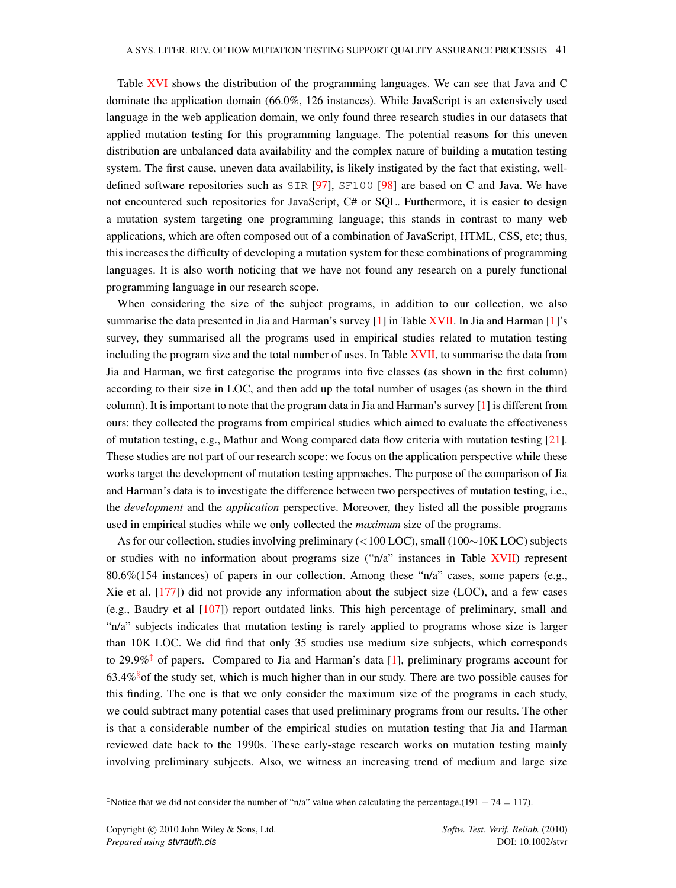Table [XVI](#page-42-0) shows the distribution of the programming languages. We can see that Java and C dominate the application domain (66.0%, 126 instances). While JavaScript is an extensively used language in the web application domain, we only found three research studies in our datasets that applied mutation testing for this programming language. The potential reasons for this uneven distribution are unbalanced data availability and the complex nature of building a mutation testing system. The first cause, uneven data availability, is likely instigated by the fact that existing, welldefined software repositories such as SIR [\[97\]](#page-54-11), SF100 [\[98\]](#page-54-12) are based on C and Java. We have not encountered such repositories for JavaScript, C# or SQL. Furthermore, it is easier to design a mutation system targeting one programming language; this stands in contrast to many web applications, which are often composed out of a combination of JavaScript, HTML, CSS, etc; thus, this increases the difficulty of developing a mutation system for these combinations of programming languages. It is also worth noticing that we have not found any research on a purely functional programming language in our research scope.

When considering the size of the subject programs, in addition to our collection, we also summarise the data presented in Jia and Harman's survey [\[1\]](#page-51-0) in Table [XVII.](#page-42-1) In Jia and Harman [1]'s survey, they summarised all the programs used in empirical studies related to mutation testing including the program size and the total number of uses. In Table [XVII,](#page-42-1) to summarise the data from Jia and Harman, we first categorise the programs into five classes (as shown in the first column) according to their size in LOC, and then add up the total number of usages (as shown in the third column). It is important to note that the program data in Jia and Harman's survey [\[1\]](#page-51-0) is different from ours: they collected the programs from empirical studies which aimed to evaluate the effectiveness of mutation testing, e.g., Mathur and Wong compared data flow criteria with mutation testing [\[21\]](#page-51-19). These studies are not part of our research scope: we focus on the application perspective while these works target the development of mutation testing approaches. The purpose of the comparison of Jia and Harman's data is to investigate the difference between two perspectives of mutation testing, i.e., the *development* and the *application* perspective. Moreover, they listed all the possible programs used in empirical studies while we only collected the *maximum* size of the programs.

As for our collection, studies involving preliminary (<100 LOC), small (100∼10K LOC) subjects or studies with no information about programs size ("n/a" instances in Table [XVII\)](#page-42-1) represent 80.6%(154 instances) of papers in our collection. Among these "n/a" cases, some papers (e.g., Xie et al. [\[177\]](#page-57-14)) did not provide any information about the subject size (LOC), and a few cases (e.g., Baudry et al [\[107\]](#page-54-23)) report outdated links. This high percentage of preliminary, small and "n/a" subjects indicates that mutation testing is rarely applied to programs whose size is larger than 10K LOC. We did find that only 35 studies use medium size subjects, which corresponds to 29.9% $\ddagger$  of papers. Compared to Jia and Harman's data [\[1\]](#page-51-0), preliminary programs account for  $63.4\%$ <sup>[§](#page-42-2)</sup> of the study set, which is much higher than in our study. There are two possible causes for this finding. The one is that we only consider the maximum size of the programs in each study, we could subtract many potential cases that used preliminary programs from our results. The other is that a considerable number of the empirical studies on mutation testing that Jia and Harman reviewed date back to the 1990s. These early-stage research works on mutation testing mainly involving preliminary subjects. Also, we witness an increasing trend of medium and large size

<span id="page-41-0"></span><sup>&</sup>lt;sup>‡</sup>Notice that we did not consider the number of "n/a" value when calculating the percentage.(191 – 74 = 117).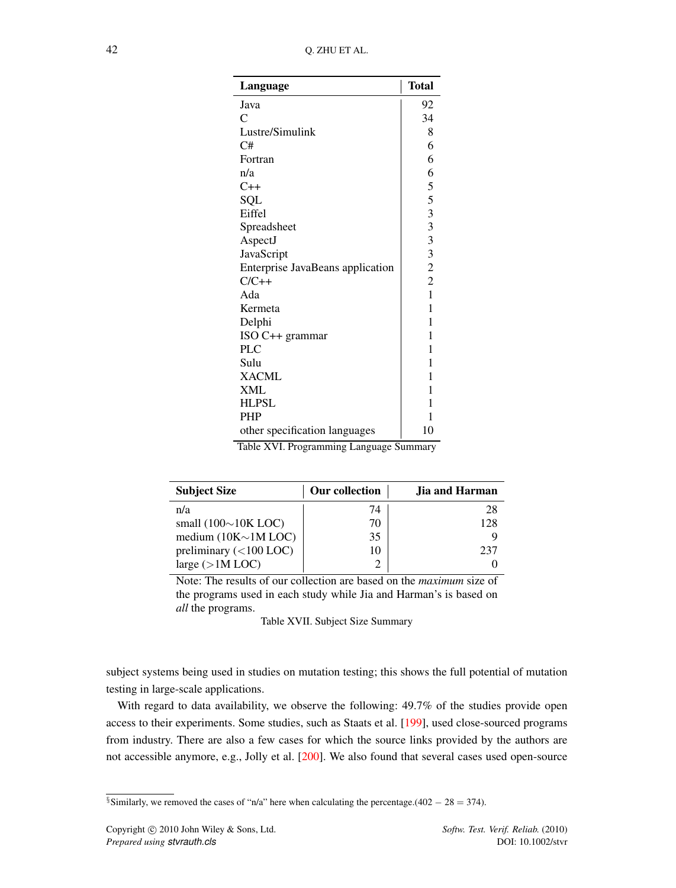<span id="page-42-0"></span>

| Language                         | <b>Total</b> |
|----------------------------------|--------------|
| Java                             | 92           |
| C                                | 34           |
| Lustre/Simulink                  | 8            |
| C#                               | 6            |
| Fortran                          | 6            |
| n/a                              | 6            |
| $C++$                            | 5            |
| SQL                              | 5            |
| Eiffel                           |              |
| Spreadsheet                      | 333322       |
| AspectJ                          |              |
| JavaScript                       |              |
| Enterprise JavaBeans application |              |
| $C/C++$                          |              |
| Ada                              | $\mathbf{1}$ |
| Kermeta                          | 1            |
| Delphi                           | 1            |
| ISO C++ grammar                  | 1            |
| <b>PLC</b>                       | 1            |
| Sulu                             | 1            |
| <b>XACML</b>                     | 1            |
| <b>XML</b>                       | 1            |
| <b>HLPSL</b>                     | 1            |
| <b>PHP</b>                       | 1            |
| other specification languages    | 10           |

Table XVI. Programming Language Summary

<span id="page-42-1"></span>

| <b>Subject Size</b>        | Our collection | <b>Jia and Harman</b> |
|----------------------------|----------------|-----------------------|
| n/a                        | 74             | 28                    |
| small $(100\sim)10K$ LOC)  | 70             | 128                   |
| medium $(10K \sim 1M$ LOC) | 35             |                       |
| preliminary $(<100$ LOC)   | 10             | 237                   |
| large $(>1M$ LOC)          |                |                       |

Note: The results of our collection are based on the *maximum* size of the programs used in each study while Jia and Harman's is based on *all* the programs.

Table XVII. Subject Size Summary

subject systems being used in studies on mutation testing; this shows the full potential of mutation testing in large-scale applications.

With regard to data availability, we observe the following: 49.7% of the studies provide open access to their experiments. Some studies, such as Staats et al. [\[199\]](#page-58-7), used close-sourced programs from industry. There are also a few cases for which the source links provided by the authors are not accessible anymore, e.g., Jolly et al. [\[200\]](#page-58-8). We also found that several cases used open-source

<span id="page-42-2"></span><sup>§</sup>Similarly, we removed the cases of "n/a" here when calculating the percentage.(402 – 28 = 374).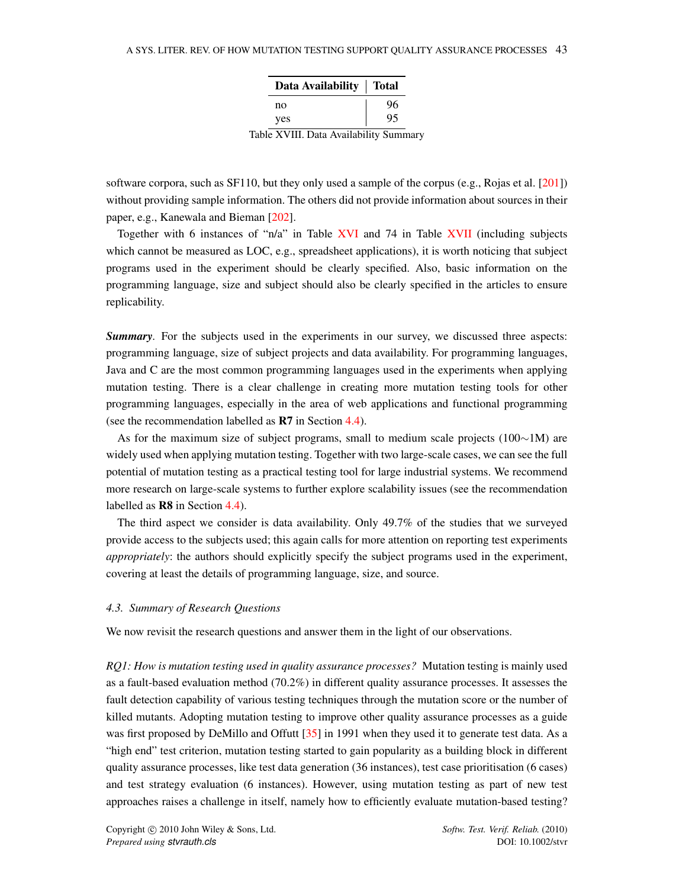| Data Availability | <b>Total</b> |
|-------------------|--------------|
| no                | 96           |
| yes               | 95           |
|                   |              |

Table XVIII. Data Availability Summary

software corpora, such as SF110, but they only used a sample of the corpus (e.g., Rojas et al. [\[201\]](#page-58-9)) without providing sample information. The others did not provide information about sources in their paper, e.g., Kanewala and Bieman [\[202\]](#page-58-10).

Together with 6 instances of "n/a" in Table [XVI](#page-42-0) and 74 in Table [XVII](#page-42-1) (including subjects which cannot be measured as LOC, e.g., spreadsheet applications), it is worth noticing that subject programs used in the experiment should be clearly specified. Also, basic information on the programming language, size and subject should also be clearly specified in the articles to ensure replicability.

*Summary.* For the subjects used in the experiments in our survey, we discussed three aspects: programming language, size of subject projects and data availability. For programming languages, Java and C are the most common programming languages used in the experiments when applying mutation testing. There is a clear challenge in creating more mutation testing tools for other programming languages, especially in the area of web applications and functional programming (see the recommendation labelled as R7 in Section [4.4\)](#page-45-0).

As for the maximum size of subject programs, small to medium scale projects (100∼1M) are widely used when applying mutation testing. Together with two large-scale cases, we can see the full potential of mutation testing as a practical testing tool for large industrial systems. We recommend more research on large-scale systems to further explore scalability issues (see the recommendation labelled as **R8** in Section [4.4\)](#page-45-0).

The third aspect we consider is data availability. Only 49.7% of the studies that we surveyed provide access to the subjects used; this again calls for more attention on reporting test experiments *appropriately*: the authors should explicitly specify the subject programs used in the experiment, covering at least the details of programming language, size, and source.

## <span id="page-43-0"></span>*4.3. Summary of Research Questions*

We now revisit the research questions and answer them in the light of our observations.

*RQ1: How is mutation testing used in quality assurance processes?* Mutation testing is mainly used as a fault-based evaluation method (70.2%) in different quality assurance processes. It assesses the fault detection capability of various testing techniques through the mutation score or the number of killed mutants. Adopting mutation testing to improve other quality assurance processes as a guide was first proposed by DeMillo and Offutt [\[35\]](#page-52-2) in 1991 when they used it to generate test data. As a "high end" test criterion, mutation testing started to gain popularity as a building block in different quality assurance processes, like test data generation (36 instances), test case prioritisation (6 cases) and test strategy evaluation (6 instances). However, using mutation testing as part of new test approaches raises a challenge in itself, namely how to efficiently evaluate mutation-based testing?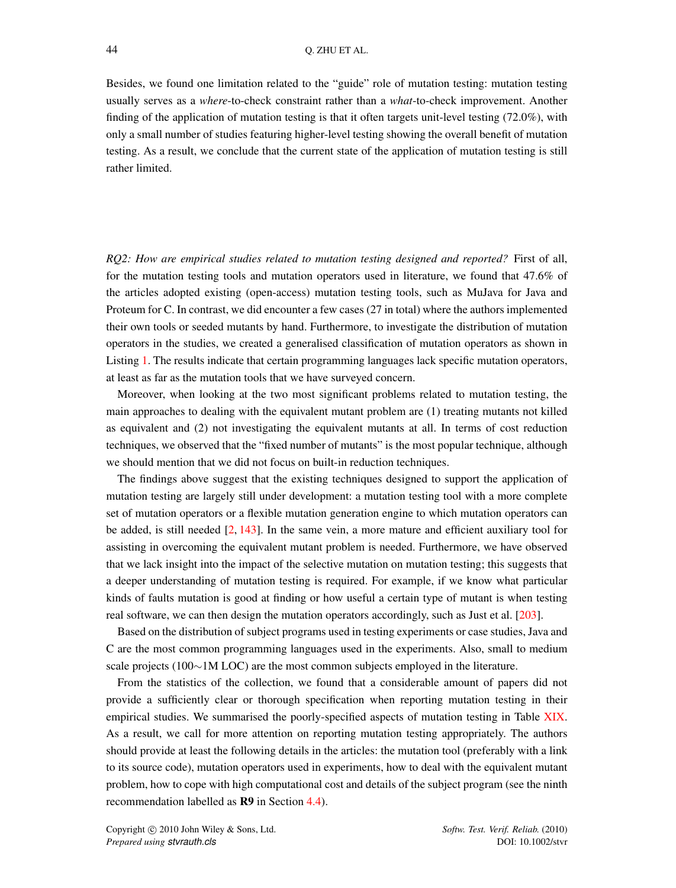Besides, we found one limitation related to the "guide" role of mutation testing: mutation testing usually serves as a *where*-to-check constraint rather than a *what*-to-check improvement. Another finding of the application of mutation testing is that it often targets unit-level testing (72.0%), with only a small number of studies featuring higher-level testing showing the overall benefit of mutation testing. As a result, we conclude that the current state of the application of mutation testing is still rather limited.

*RQ2: How are empirical studies related to mutation testing designed and reported?* First of all, for the mutation testing tools and mutation operators used in literature, we found that 47.6% of the articles adopted existing (open-access) mutation testing tools, such as MuJava for Java and Proteum for C. In contrast, we did encounter a few cases (27 in total) where the authors implemented their own tools or seeded mutants by hand. Furthermore, to investigate the distribution of mutation operators in the studies, we created a generalised classification of mutation operators as shown in Listing [1.](#page-16-1) The results indicate that certain programming languages lack specific mutation operators, at least as far as the mutation tools that we have surveyed concern.

Moreover, when looking at the two most significant problems related to mutation testing, the main approaches to dealing with the equivalent mutant problem are (1) treating mutants not killed as equivalent and (2) not investigating the equivalent mutants at all. In terms of cost reduction techniques, we observed that the "fixed number of mutants" is the most popular technique, although we should mention that we did not focus on built-in reduction techniques.

The findings above suggest that the existing techniques designed to support the application of mutation testing are largely still under development: a mutation testing tool with a more complete set of mutation operators or a flexible mutation generation engine to which mutation operators can be added, is still needed  $[2, 143]$  $[2, 143]$  $[2, 143]$ . In the same vein, a more mature and efficient auxiliary tool for assisting in overcoming the equivalent mutant problem is needed. Furthermore, we have observed that we lack insight into the impact of the selective mutation on mutation testing; this suggests that a deeper understanding of mutation testing is required. For example, if we know what particular kinds of faults mutation is good at finding or how useful a certain type of mutant is when testing real software, we can then design the mutation operators accordingly, such as Just et al. [\[203\]](#page-58-11).

Based on the distribution of subject programs used in testing experiments or case studies, Java and C are the most common programming languages used in the experiments. Also, small to medium scale projects (100∼1M LOC) are the most common subjects employed in the literature.

From the statistics of the collection, we found that a considerable amount of papers did not provide a sufficiently clear or thorough specification when reporting mutation testing in their empirical studies. We summarised the poorly-specified aspects of mutation testing in Table [XIX.](#page-45-1) As a result, we call for more attention on reporting mutation testing appropriately. The authors should provide at least the following details in the articles: the mutation tool (preferably with a link to its source code), mutation operators used in experiments, how to deal with the equivalent mutant problem, how to cope with high computational cost and details of the subject program (see the ninth recommendation labelled as R9 in Section [4.4\)](#page-45-0).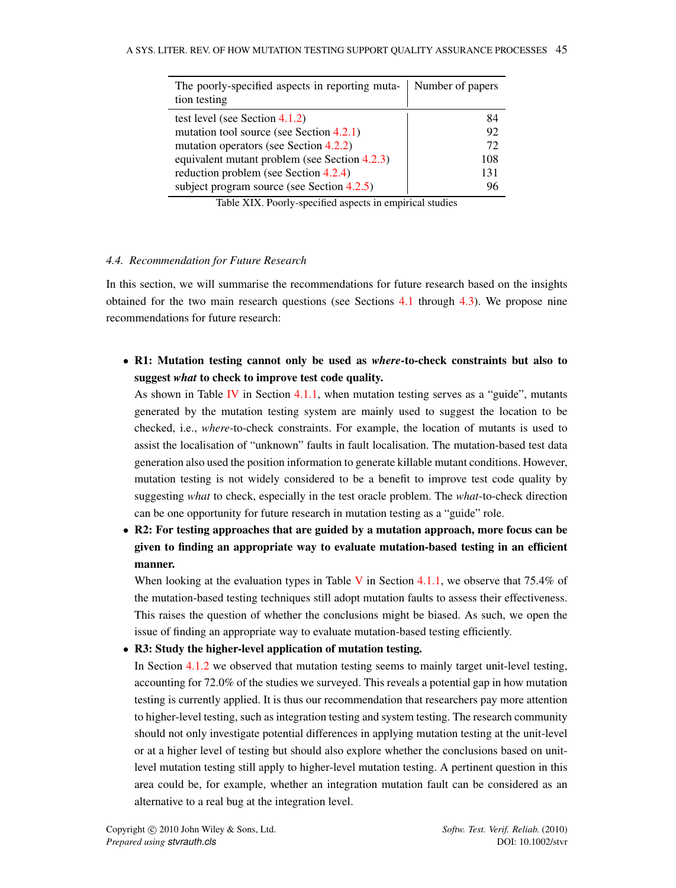<span id="page-45-1"></span>

| The poorly-specified aspects in reporting muta-<br>tion testing | Number of papers |
|-----------------------------------------------------------------|------------------|
| test level (see Section $4.1.2$ )                               | 84               |
| mutation tool source (see Section $4.2.1$ )                     | 92               |
| mutation operators (see Section 4.2.2)                          | 72               |
| equivalent mutant problem (see Section 4.2.3)                   | 108              |
| reduction problem (see Section 4.2.4)                           | 131              |
| subject program source (see Section $4.2.5$ )                   | 96               |

Table XIX. Poorly-specified aspects in empirical studies

# <span id="page-45-0"></span>*4.4. Recommendation for Future Research*

In this section, we will summarise the recommendations for future research based on the insights obtained for the two main research questions (see Sections [4.1](#page-23-1) through [4.3\)](#page-43-0). We propose nine recommendations for future research:

• R1: Mutation testing cannot only be used as *where*-to-check constraints but also to suggest *what* to check to improve test code quality.

As shown in Table [IV](#page-23-2) in Section [4.1.1,](#page-23-3) when mutation testing serves as a "guide", mutants generated by the mutation testing system are mainly used to suggest the location to be checked, i.e., *where*-to-check constraints. For example, the location of mutants is used to assist the localisation of "unknown" faults in fault localisation. The mutation-based test data generation also used the position information to generate killable mutant conditions. However, mutation testing is not widely considered to be a benefit to improve test code quality by suggesting *what* to check, especially in the test oracle problem. The *what*-to-check direction can be one opportunity for future research in mutation testing as a "guide" role.

• R2: For testing approaches that are guided by a mutation approach, more focus can be given to finding an appropriate way to evaluate mutation-based testing in an efficient manner.

When looking at the evaluation types in Table [V](#page-26-0) in Section [4.1.1,](#page-23-3) we observe that 75.4% of the mutation-based testing techniques still adopt mutation faults to assess their effectiveness. This raises the question of whether the conclusions might be biased. As such, we open the issue of finding an appropriate way to evaluate mutation-based testing efficiently.

• R3: Study the higher-level application of mutation testing.

In Section [4.1.2](#page-27-1) we observed that mutation testing seems to mainly target unit-level testing, accounting for 72.0% of the studies we surveyed. This reveals a potential gap in how mutation testing is currently applied. It is thus our recommendation that researchers pay more attention to higher-level testing, such as integration testing and system testing. The research community should not only investigate potential differences in applying mutation testing at the unit-level or at a higher level of testing but should also explore whether the conclusions based on unitlevel mutation testing still apply to higher-level mutation testing. A pertinent question in this area could be, for example, whether an integration mutation fault can be considered as an alternative to a real bug at the integration level.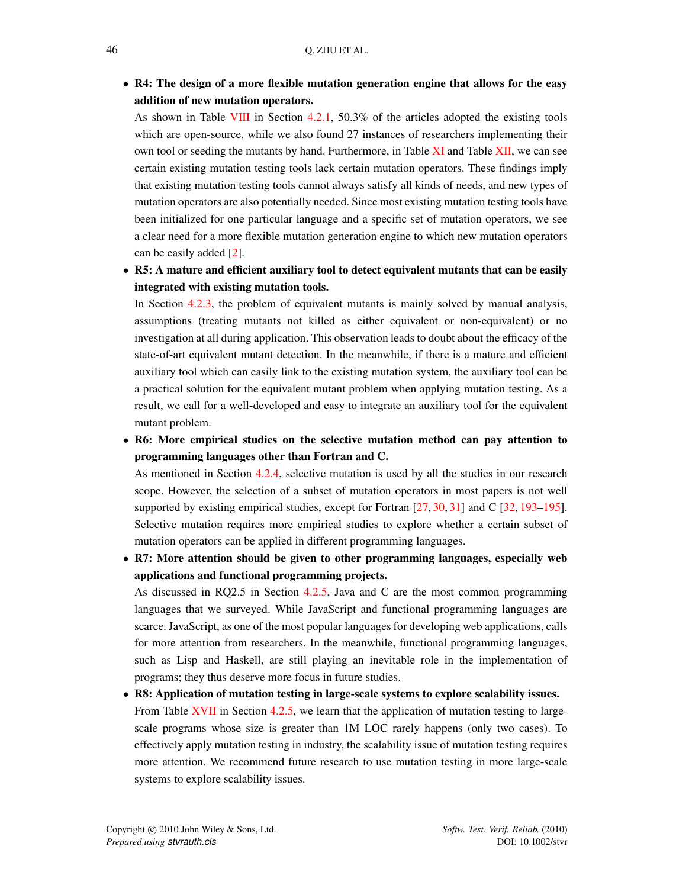• R4: The design of a more flexible mutation generation engine that allows for the easy addition of new mutation operators.

As shown in Table [VIII](#page-30-0) in Section [4.2.1,](#page-29-2) 50.3% of the articles adopted the existing tools which are open-source, while we also found 27 instances of researchers implementing their own tool or seeding the mutants by hand. Furthermore, in Table [XI](#page-33-0) and Table [XII,](#page-35-0) we can see certain existing mutation testing tools lack certain mutation operators. These findings imply that existing mutation testing tools cannot always satisfy all kinds of needs, and new types of mutation operators are also potentially needed. Since most existing mutation testing tools have been initialized for one particular language and a specific set of mutation operators, we see a clear need for a more flexible mutation generation engine to which new mutation operators can be easily added [\[2\]](#page-51-1).

• R5: A mature and efficient auxiliary tool to detect equivalent mutants that can be easily integrated with existing mutation tools.

In Section [4.2.3,](#page-36-1) the problem of equivalent mutants is mainly solved by manual analysis, assumptions (treating mutants not killed as either equivalent or non-equivalent) or no investigation at all during application. This observation leads to doubt about the efficacy of the state-of-art equivalent mutant detection. In the meanwhile, if there is a mature and efficient auxiliary tool which can easily link to the existing mutation system, the auxiliary tool can be a practical solution for the equivalent mutant problem when applying mutation testing. As a result, we call for a well-developed and easy to integrate an auxiliary tool for the equivalent mutant problem.

• R6: More empirical studies on the selective mutation method can pay attention to programming languages other than Fortran and C.

As mentioned in Section [4.2.4,](#page-38-1) selective mutation is used by all the studies in our research scope. However, the selection of a subset of mutation operators in most papers is not well supported by existing empirical studies, except for Fortran [\[27,](#page-51-25) [30,](#page-51-28) [31\]](#page-52-10) and C [\[32,](#page-52-0) [193–](#page-58-2)[195\]](#page-58-3). Selective mutation requires more empirical studies to explore whether a certain subset of mutation operators can be applied in different programming languages.

• R7: More attention should be given to other programming languages, especially web applications and functional programming projects.

As discussed in RQ2.5 in Section [4.2.5,](#page-40-0) Java and C are the most common programming languages that we surveyed. While JavaScript and functional programming languages are scarce. JavaScript, as one of the most popular languages for developing web applications, calls for more attention from researchers. In the meanwhile, functional programming languages, such as Lisp and Haskell, are still playing an inevitable role in the implementation of programs; they thus deserve more focus in future studies.

• R8: Application of mutation testing in large-scale systems to explore scalability issues. From Table [XVII](#page-42-1) in Section [4.2.5,](#page-40-0) we learn that the application of mutation testing to largescale programs whose size is greater than 1M LOC rarely happens (only two cases). To effectively apply mutation testing in industry, the scalability issue of mutation testing requires more attention. We recommend future research to use mutation testing in more large-scale systems to explore scalability issues.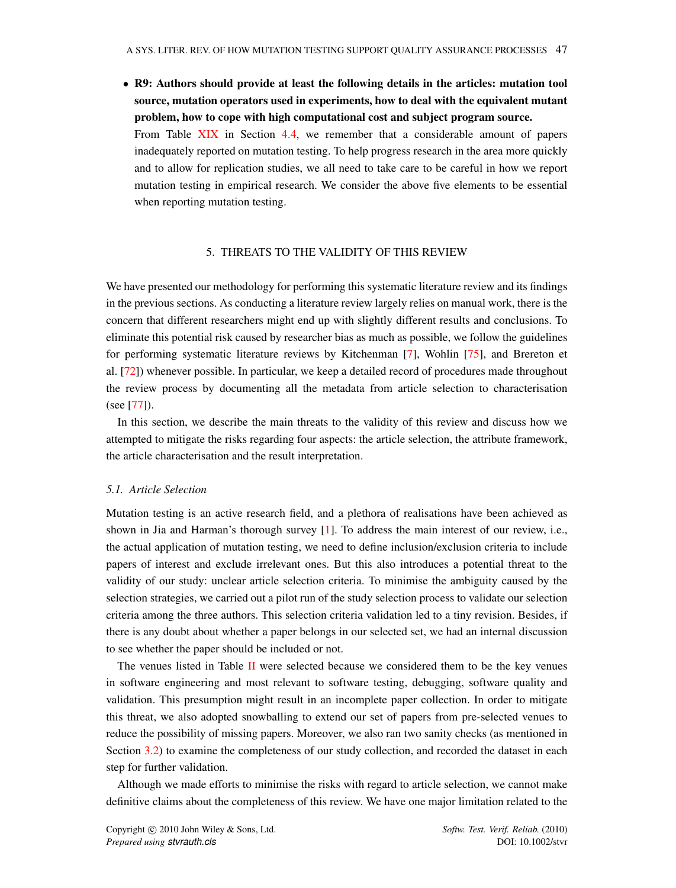• R9: Authors should provide at least the following details in the articles: mutation tool source, mutation operators used in experiments, how to deal with the equivalent mutant problem, how to cope with high computational cost and subject program source. From Table [XIX](#page-45-1) in Section [4.4,](#page-45-0) we remember that a considerable amount of papers inadequately reported on mutation testing. To help progress research in the area more quickly and to allow for replication studies, we all need to take care to be careful in how we report mutation testing in empirical research. We consider the above five elements to be essential when reporting mutation testing.

# 5. THREATS TO THE VALIDITY OF THIS REVIEW

<span id="page-47-0"></span>We have presented our methodology for performing this systematic literature review and its findings in the previous sections. As conducting a literature review largely relies on manual work, there is the concern that different researchers might end up with slightly different results and conclusions. To eliminate this potential risk caused by researcher bias as much as possible, we follow the guidelines for performing systematic literature reviews by Kitchenman [\[7\]](#page-51-6), Wohlin [\[75\]](#page-53-16), and Brereton et al. [\[72\]](#page-53-13)) whenever possible. In particular, we keep a detailed record of procedures made throughout the review process by documenting all the metadata from article selection to characterisation (see [\[77\]](#page-53-18)).

In this section, we describe the main threats to the validity of this review and discuss how we attempted to mitigate the risks regarding four aspects: the article selection, the attribute framework, the article characterisation and the result interpretation.

# *5.1. Article Selection*

Mutation testing is an active research field, and a plethora of realisations have been achieved as shown in Jia and Harman's thorough survey  $[1]$ . To address the main interest of our review, i.e., the actual application of mutation testing, we need to define inclusion/exclusion criteria to include papers of interest and exclude irrelevant ones. But this also introduces a potential threat to the validity of our study: unclear article selection criteria. To minimise the ambiguity caused by the selection strategies, we carried out a pilot run of the study selection process to validate our selection criteria among the three authors. This selection criteria validation led to a tiny revision. Besides, if there is any doubt about whether a paper belongs in our selected set, we had an internal discussion to see whether the paper should be included or not.

The venues listed in Table [II](#page-11-0) were selected because we considered them to be the key venues in software engineering and most relevant to software testing, debugging, software quality and validation. This presumption might result in an incomplete paper collection. In order to mitigate this threat, we also adopted snowballing to extend our set of papers from pre-selected venues to reduce the possibility of missing papers. Moreover, we also ran two sanity checks (as mentioned in Section [3.2\)](#page-10-1) to examine the completeness of our study collection, and recorded the dataset in each step for further validation.

Although we made efforts to minimise the risks with regard to article selection, we cannot make definitive claims about the completeness of this review. We have one major limitation related to the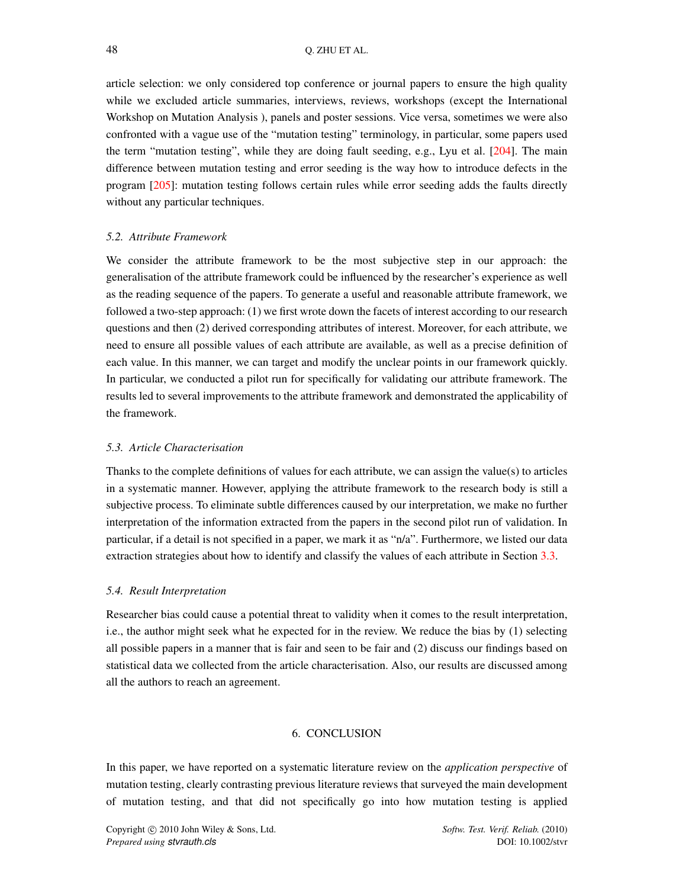article selection: we only considered top conference or journal papers to ensure the high quality while we excluded article summaries, interviews, reviews, workshops (except the International Workshop on Mutation Analysis ), panels and poster sessions. Vice versa, sometimes we were also confronted with a vague use of the "mutation testing" terminology, in particular, some papers used the term "mutation testing", while they are doing fault seeding, e.g., Lyu et al. [\[204\]](#page-58-12). The main difference between mutation testing and error seeding is the way how to introduce defects in the program [\[205\]](#page-58-13): mutation testing follows certain rules while error seeding adds the faults directly without any particular techniques.

#### *5.2. Attribute Framework*

We consider the attribute framework to be the most subjective step in our approach: the generalisation of the attribute framework could be influenced by the researcher's experience as well as the reading sequence of the papers. To generate a useful and reasonable attribute framework, we followed a two-step approach: (1) we first wrote down the facets of interest according to our research questions and then (2) derived corresponding attributes of interest. Moreover, for each attribute, we need to ensure all possible values of each attribute are available, as well as a precise definition of each value. In this manner, we can target and modify the unclear points in our framework quickly. In particular, we conducted a pilot run for specifically for validating our attribute framework. The results led to several improvements to the attribute framework and demonstrated the applicability of the framework.

# *5.3. Article Characterisation*

Thanks to the complete definitions of values for each attribute, we can assign the value(s) to articles in a systematic manner. However, applying the attribute framework to the research body is still a subjective process. To eliminate subtle differences caused by our interpretation, we make no further interpretation of the information extracted from the papers in the second pilot run of validation. In particular, if a detail is not specified in a paper, we mark it as "n/a". Furthermore, we listed our data extraction strategies about how to identify and classify the values of each attribute in Section [3.3.](#page-13-1)

#### *5.4. Result Interpretation*

Researcher bias could cause a potential threat to validity when it comes to the result interpretation, i.e., the author might seek what he expected for in the review. We reduce the bias by (1) selecting all possible papers in a manner that is fair and seen to be fair and (2) discuss our findings based on statistical data we collected from the article characterisation. Also, our results are discussed among all the authors to reach an agreement.

# 6. CONCLUSION

<span id="page-48-0"></span>In this paper, we have reported on a systematic literature review on the *application perspective* of mutation testing, clearly contrasting previous literature reviews that surveyed the main development of mutation testing, and that did not specifically go into how mutation testing is applied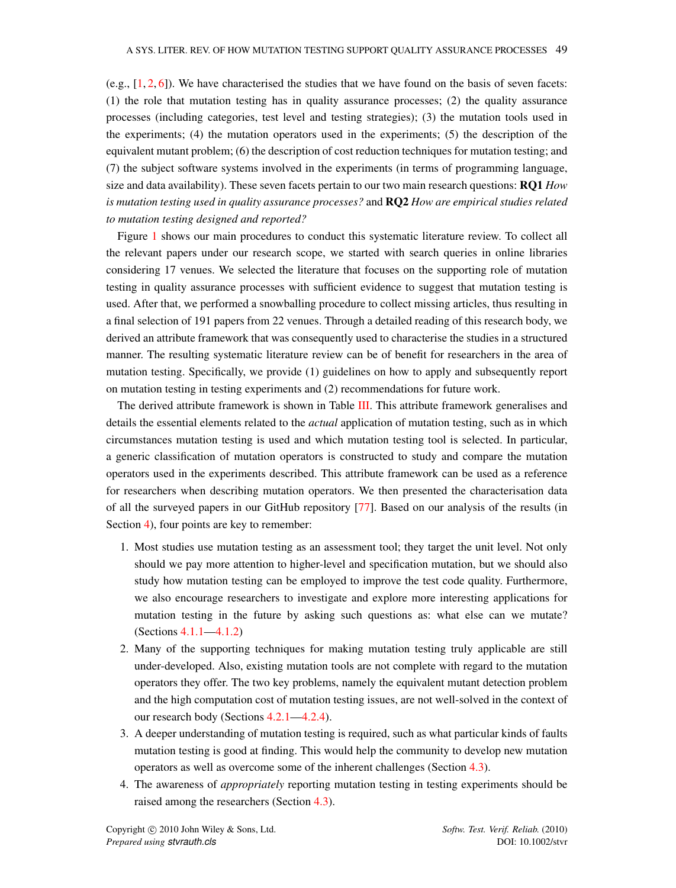(e.g.,  $[1, 2, 6]$  $[1, 2, 6]$  $[1, 2, 6]$  $[1, 2, 6]$  $[1, 2, 6]$ ). We have characterised the studies that we have found on the basis of seven facets: (1) the role that mutation testing has in quality assurance processes; (2) the quality assurance processes (including categories, test level and testing strategies); (3) the mutation tools used in the experiments; (4) the mutation operators used in the experiments; (5) the description of the equivalent mutant problem; (6) the description of cost reduction techniques for mutation testing; and (7) the subject software systems involved in the experiments (in terms of programming language, size and data availability). These seven facets pertain to our two main research questions: RQ1 *How is mutation testing used in quality assurance processes?* and RQ2 *How are empirical studies related to mutation testing designed and reported?*

Figure [1](#page-8-1) shows our main procedures to conduct this systematic literature review. To collect all the relevant papers under our research scope, we started with search queries in online libraries considering 17 venues. We selected the literature that focuses on the supporting role of mutation testing in quality assurance processes with sufficient evidence to suggest that mutation testing is used. After that, we performed a snowballing procedure to collect missing articles, thus resulting in a final selection of 191 papers from 22 venues. Through a detailed reading of this research body, we derived an attribute framework that was consequently used to characterise the studies in a structured manner. The resulting systematic literature review can be of benefit for researchers in the area of mutation testing. Specifically, we provide (1) guidelines on how to apply and subsequently report on mutation testing in testing experiments and (2) recommendations for future work.

The derived attribute framework is shown in Table [III.](#page-20-0) This attribute framework generalises and details the essential elements related to the *actual* application of mutation testing, such as in which circumstances mutation testing is used and which mutation testing tool is selected. In particular, a generic classification of mutation operators is constructed to study and compare the mutation operators used in the experiments described. This attribute framework can be used as a reference for researchers when describing mutation operators. We then presented the characterisation data of all the surveyed papers in our GitHub repository [\[77\]](#page-53-18). Based on our analysis of the results (in Section [4\)](#page-23-0), four points are key to remember:

- 1. Most studies use mutation testing as an assessment tool; they target the unit level. Not only should we pay more attention to higher-level and specification mutation, but we should also study how mutation testing can be employed to improve the test code quality. Furthermore, we also encourage researchers to investigate and explore more interesting applications for mutation testing in the future by asking such questions as: what else can we mutate? (Sections [4.1.1—](#page-23-3)[4.1.2\)](#page-27-1)
- 2. Many of the supporting techniques for making mutation testing truly applicable are still under-developed. Also, existing mutation tools are not complete with regard to the mutation operators they offer. The two key problems, namely the equivalent mutant detection problem and the high computation cost of mutation testing issues, are not well-solved in the context of our research body (Sections [4.2.1—](#page-29-2)[4.2.4\)](#page-38-1).
- 3. A deeper understanding of mutation testing is required, such as what particular kinds of faults mutation testing is good at finding. This would help the community to develop new mutation operators as well as overcome some of the inherent challenges (Section [4.3\)](#page-43-0).
- 4. The awareness of *appropriately* reporting mutation testing in testing experiments should be raised among the researchers (Section [4.3\)](#page-43-0).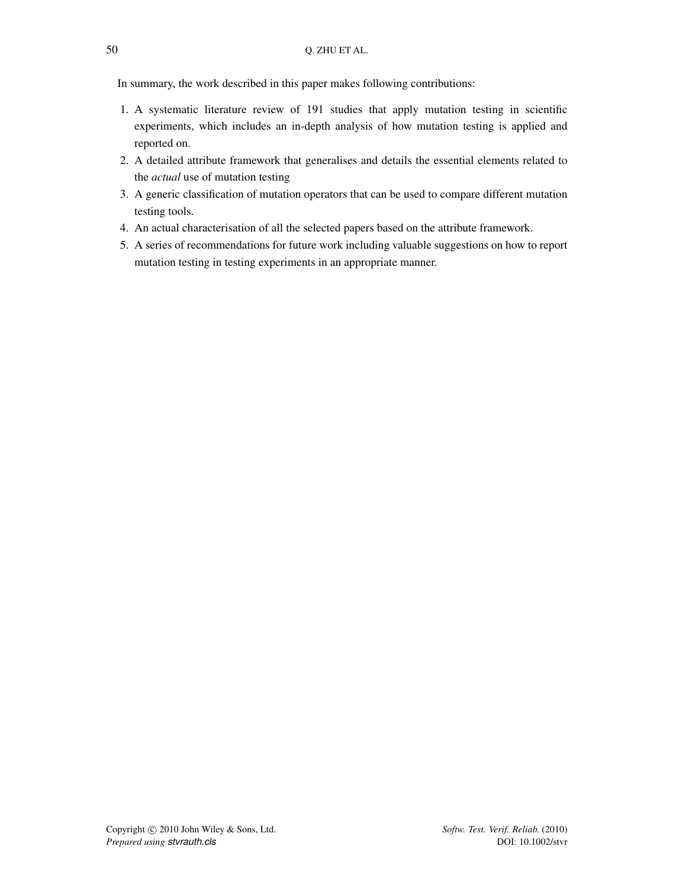In summary, the work described in this paper makes following contributions:

- 1. A systematic literature review of 191 studies that apply mutation testing in scientific experiments, which includes an in-depth analysis of how mutation testing is applied and reported on.
- 2. A detailed attribute framework that generalises and details the essential elements related to the *actual* use of mutation testing
- 3. A generic classification of mutation operators that can be used to compare different mutation testing tools.
- 4. An actual characterisation of all the selected papers based on the attribute framework.
- <span id="page-50-0"></span>5. A series of recommendations for future work including valuable suggestions on how to report mutation testing in testing experiments in an appropriate manner.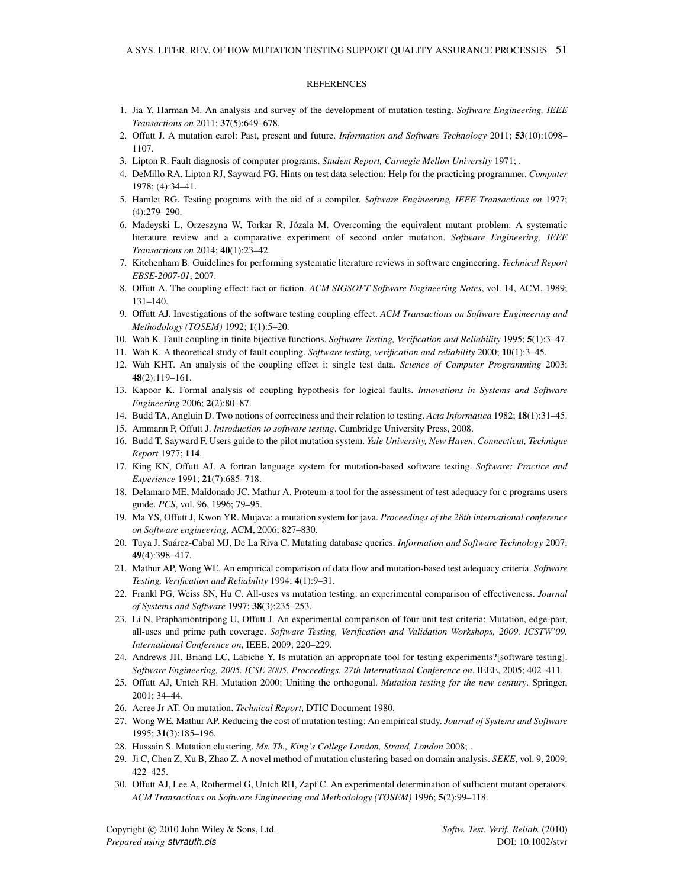#### **REFERENCES**

- <span id="page-51-0"></span>1. Jia Y, Harman M. An analysis and survey of the development of mutation testing. *Software Engineering, IEEE Transactions on* 2011; 37(5):649–678.
- <span id="page-51-1"></span>2. Offutt J. A mutation carol: Past, present and future. *Information and Software Technology* 2011; 53(10):1098– 1107.
- <span id="page-51-2"></span>3. Lipton R. Fault diagnosis of computer programs. *Student Report, Carnegie Mellon University* 1971; .
- <span id="page-51-3"></span>4. DeMillo RA, Lipton RJ, Sayward FG. Hints on test data selection: Help for the practicing programmer. *Computer* 1978; (4):34–41.
- <span id="page-51-4"></span>5. Hamlet RG. Testing programs with the aid of a compiler. *Software Engineering, IEEE Transactions on* 1977; (4):279–290.
- <span id="page-51-5"></span>6. Madeyski L, Orzeszyna W, Torkar R, Jozala M. Overcoming the equivalent mutant problem: A systematic ´ literature review and a comparative experiment of second order mutation. *Software Engineering, IEEE Transactions on* 2014; 40(1):23–42.
- <span id="page-51-6"></span>7. Kitchenham B. Guidelines for performing systematic literature reviews in software engineering. *Technical Report EBSE-2007-01*, 2007.
- <span id="page-51-7"></span>8. Offutt A. The coupling effect: fact or fiction. *ACM SIGSOFT Software Engineering Notes*, vol. 14, ACM, 1989; 131–140.
- <span id="page-51-8"></span>9. Offutt AJ. Investigations of the software testing coupling effect. *ACM Transactions on Software Engineering and Methodology (TOSEM)* 1992; 1(1):5–20.
- <span id="page-51-9"></span>10. Wah K. Fault coupling in finite bijective functions. *Software Testing, Verification and Reliability* 1995; 5(1):3–47.
- 11. Wah K. A theoretical study of fault coupling. *Software testing, verification and reliability* 2000; 10(1):3–45.
- <span id="page-51-10"></span>12. Wah KHT. An analysis of the coupling effect i: single test data. *Science of Computer Programming* 2003; 48(2):119–161.
- <span id="page-51-11"></span>13. Kapoor K. Formal analysis of coupling hypothesis for logical faults. *Innovations in Systems and Software Engineering* 2006; 2(2):80–87.
- <span id="page-51-12"></span>14. Budd TA, Angluin D. Two notions of correctness and their relation to testing. *Acta Informatica* 1982; 18(1):31–45.
- <span id="page-51-13"></span>15. Ammann P, Offutt J. *Introduction to software testing*. Cambridge University Press, 2008.
- <span id="page-51-14"></span>16. Budd T, Sayward F. Users guide to the pilot mutation system. *Yale University, New Haven, Connecticut, Technique Report* 1977; 114.
- <span id="page-51-15"></span>17. King KN, Offutt AJ. A fortran language system for mutation-based software testing. *Software: Practice and Experience* 1991; 21(7):685–718.
- <span id="page-51-16"></span>18. Delamaro ME, Maldonado JC, Mathur A. Proteum-a tool for the assessment of test adequacy for c programs users guide. *PCS*, vol. 96, 1996; 79–95.
- <span id="page-51-17"></span>19. Ma YS, Offutt J, Kwon YR. Mujava: a mutation system for java. *Proceedings of the 28th international conference on Software engineering*, ACM, 2006; 827–830.
- <span id="page-51-18"></span>20. Tuya J, Suárez-Cabal MJ, De La Riva C. Mutating database queries. *Information and Software Technology* 2007; 49(4):398–417.
- <span id="page-51-19"></span>21. Mathur AP, Wong WE. An empirical comparison of data flow and mutation-based test adequacy criteria. *Software Testing, Verification and Reliability* 1994; 4(1):9–31.
- <span id="page-51-20"></span>22. Frankl PG, Weiss SN, Hu C. All-uses vs mutation testing: an experimental comparison of effectiveness. *Journal of Systems and Software* 1997; 38(3):235–253.
- <span id="page-51-21"></span>23. Li N, Praphamontripong U, Offutt J. An experimental comparison of four unit test criteria: Mutation, edge-pair, all-uses and prime path coverage. *Software Testing, Verification and Validation Workshops, 2009. ICSTW'09. International Conference on*, IEEE, 2009; 220–229.
- <span id="page-51-22"></span>24. Andrews JH, Briand LC, Labiche Y. Is mutation an appropriate tool for testing experiments?[software testing]. *Software Engineering, 2005. ICSE 2005. Proceedings. 27th International Conference on*, IEEE, 2005; 402–411.
- <span id="page-51-23"></span>25. Offutt AJ, Untch RH. Mutation 2000: Uniting the orthogonal. *Mutation testing for the new century*. Springer, 2001; 34–44.
- <span id="page-51-24"></span>26. Acree Jr AT. On mutation. *Technical Report*, DTIC Document 1980.
- <span id="page-51-25"></span>27. Wong WE, Mathur AP. Reducing the cost of mutation testing: An empirical study. *Journal of Systems and Software* 1995; 31(3):185–196.
- <span id="page-51-26"></span>28. Hussain S. Mutation clustering. *Ms. Th., King's College London, Strand, London* 2008; .
- <span id="page-51-27"></span>29. Ji C, Chen Z, Xu B, Zhao Z. A novel method of mutation clustering based on domain analysis. *SEKE*, vol. 9, 2009; 422–425.
- <span id="page-51-28"></span>30. Offutt AJ, Lee A, Rothermel G, Untch RH, Zapf C. An experimental determination of sufficient mutant operators. *ACM Transactions on Software Engineering and Methodology (TOSEM)* 1996; 5(2):99–118.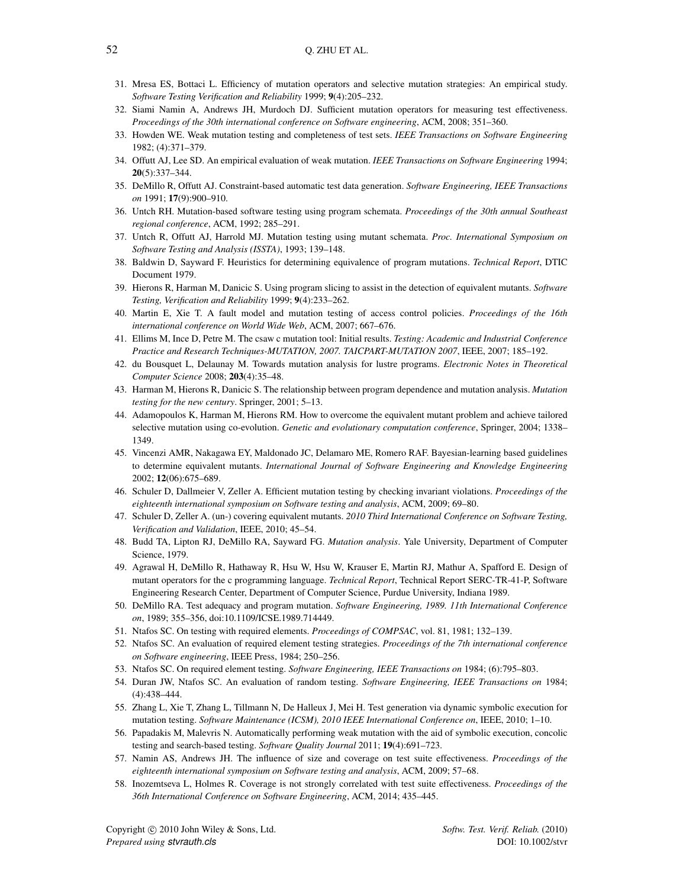- <span id="page-52-10"></span>31. Mresa ES, Bottaci L. Efficiency of mutation operators and selective mutation strategies: An empirical study. *Software Testing Verification and Reliability* 1999; 9(4):205–232.
- <span id="page-52-0"></span>32. Siami Namin A, Andrews JH, Murdoch DJ. Sufficient mutation operators for measuring test effectiveness. *Proceedings of the 30th international conference on Software engineering*, ACM, 2008; 351–360.
- <span id="page-52-1"></span>33. Howden WE. Weak mutation testing and completeness of test sets. *IEEE Transactions on Software Engineering* 1982; (4):371–379.
- 34. Offutt AJ, Lee SD. An empirical evaluation of weak mutation. *IEEE Transactions on Software Engineering* 1994; 20(5):337–344.
- <span id="page-52-2"></span>35. DeMillo R, Offutt AJ. Constraint-based automatic test data generation. *Software Engineering, IEEE Transactions on* 1991; 17(9):900–910.
- <span id="page-52-3"></span>36. Untch RH. Mutation-based software testing using program schemata. *Proceedings of the 30th annual Southeast regional conference*, ACM, 1992; 285–291.
- <span id="page-52-4"></span>37. Untch R, Offutt AJ, Harrold MJ. Mutation testing using mutant schemata. *Proc. International Symposium on Software Testing and Analysis (ISSTA)*, 1993; 139–148.
- <span id="page-52-5"></span>38. Baldwin D, Sayward F. Heuristics for determining equivalence of program mutations. *Technical Report*, DTIC Document 1979.
- <span id="page-52-6"></span>39. Hierons R, Harman M, Danicic S. Using program slicing to assist in the detection of equivalent mutants. *Software Testing, Verification and Reliability* 1999; 9(4):233–262.
- <span id="page-52-7"></span>40. Martin E, Xie T. A fault model and mutation testing of access control policies. *Proceedings of the 16th international conference on World Wide Web*, ACM, 2007; 667–676.
- <span id="page-52-8"></span>41. Ellims M, Ince D, Petre M. The csaw c mutation tool: Initial results. *Testing: Academic and Industrial Conference Practice and Research Techniques-MUTATION, 2007. TAICPART-MUTATION 2007*, IEEE, 2007; 185–192.
- <span id="page-52-9"></span>42. du Bousquet L, Delaunay M. Towards mutation analysis for lustre programs. *Electronic Notes in Theoretical Computer Science* 2008; 203(4):35–48.
- <span id="page-52-11"></span>43. Harman M, Hierons R, Danicic S. The relationship between program dependence and mutation analysis. *Mutation testing for the new century*. Springer, 2001; 5–13.
- <span id="page-52-12"></span>44. Adamopoulos K, Harman M, Hierons RM. How to overcome the equivalent mutant problem and achieve tailored selective mutation using co-evolution. *Genetic and evolutionary computation conference*, Springer, 2004; 1338– 1349.
- <span id="page-52-13"></span>45. Vincenzi AMR, Nakagawa EY, Maldonado JC, Delamaro ME, Romero RAF. Bayesian-learning based guidelines to determine equivalent mutants. *International Journal of Software Engineering and Knowledge Engineering* 2002; 12(06):675–689.
- <span id="page-52-14"></span>46. Schuler D, Dallmeier V, Zeller A. Efficient mutation testing by checking invariant violations. *Proceedings of the eighteenth international symposium on Software testing and analysis*, ACM, 2009; 69–80.
- <span id="page-52-15"></span>47. Schuler D, Zeller A. (un-) covering equivalent mutants. *2010 Third International Conference on Software Testing, Verification and Validation*, IEEE, 2010; 45–54.
- <span id="page-52-16"></span>48. Budd TA, Lipton RJ, DeMillo RA, Sayward FG. *Mutation analysis*. Yale University, Department of Computer Science, 1979.
- <span id="page-52-17"></span>49. Agrawal H, DeMillo R, Hathaway R, Hsu W, Hsu W, Krauser E, Martin RJ, Mathur A, Spafford E. Design of mutant operators for the c programming language. *Technical Report*, Technical Report SERC-TR-41-P, Software Engineering Research Center, Department of Computer Science, Purdue University, Indiana 1989.
- <span id="page-52-18"></span>50. DeMillo RA. Test adequacy and program mutation. *Software Engineering, 1989. 11th International Conference on*, 1989; 355–356, doi:10.1109/ICSE.1989.714449.
- <span id="page-52-19"></span>51. Ntafos SC. On testing with required elements. *Proceedings of COMPSAC*, vol. 81, 1981; 132–139.
- <span id="page-52-21"></span>52. Ntafos SC. An evaluation of required element testing strategies. *Proceedings of the 7th international conference on Software engineering*, IEEE Press, 1984; 250–256.
- 53. Ntafos SC. On required element testing. *Software Engineering, IEEE Transactions on* 1984; (6):795–803.
- <span id="page-52-20"></span>54. Duran JW, Ntafos SC. An evaluation of random testing. *Software Engineering, IEEE Transactions on* 1984; (4):438–444.
- <span id="page-52-22"></span>55. Zhang L, Xie T, Zhang L, Tillmann N, De Halleux J, Mei H. Test generation via dynamic symbolic execution for mutation testing. *Software Maintenance (ICSM), 2010 IEEE International Conference on*, IEEE, 2010; 1–10.
- <span id="page-52-23"></span>56. Papadakis M, Malevris N. Automatically performing weak mutation with the aid of symbolic execution, concolic testing and search-based testing. *Software Quality Journal* 2011; 19(4):691–723.
- <span id="page-52-24"></span>57. Namin AS, Andrews JH. The influence of size and coverage on test suite effectiveness. *Proceedings of the eighteenth international symposium on Software testing and analysis*, ACM, 2009; 57–68.
- <span id="page-52-25"></span>58. Inozemtseva L, Holmes R. Coverage is not strongly correlated with test suite effectiveness. *Proceedings of the 36th International Conference on Software Engineering*, ACM, 2014; 435–445.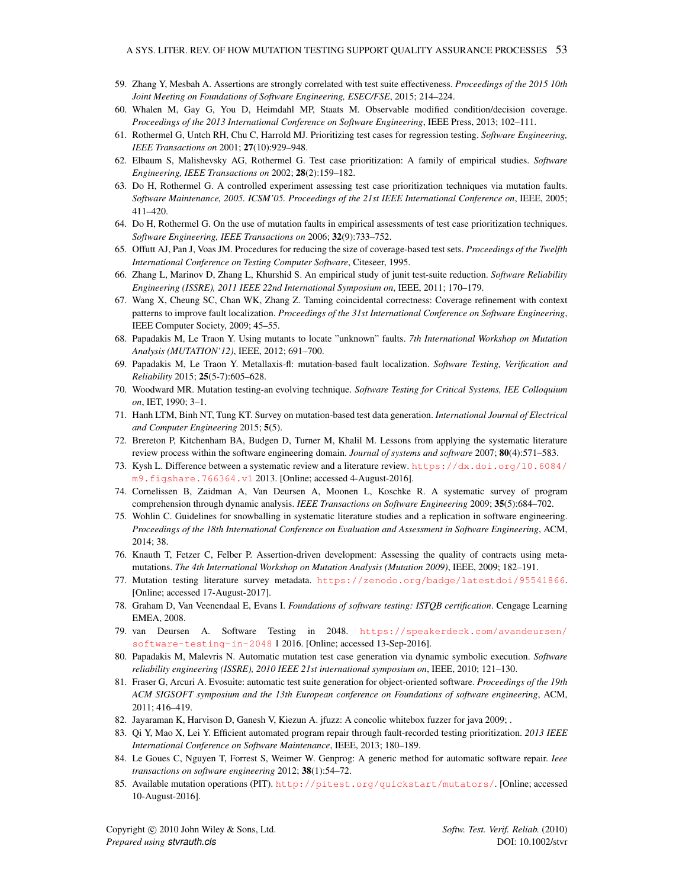- <span id="page-53-0"></span>59. Zhang Y, Mesbah A. Assertions are strongly correlated with test suite effectiveness. *Proceedings of the 2015 10th Joint Meeting on Foundations of Software Engineering, ESEC/FSE*, 2015; 214–224.
- <span id="page-53-1"></span>60. Whalen M, Gay G, You D, Heimdahl MP, Staats M. Observable modified condition/decision coverage. *Proceedings of the 2013 International Conference on Software Engineering*, IEEE Press, 2013; 102–111.
- <span id="page-53-2"></span>61. Rothermel G, Untch RH, Chu C, Harrold MJ. Prioritizing test cases for regression testing. *Software Engineering, IEEE Transactions on* 2001; 27(10):929–948.
- <span id="page-53-3"></span>62. Elbaum S, Malishevsky AG, Rothermel G. Test case prioritization: A family of empirical studies. *Software Engineering, IEEE Transactions on* 2002; 28(2):159–182.
- <span id="page-53-4"></span>63. Do H, Rothermel G. A controlled experiment assessing test case prioritization techniques via mutation faults. *Software Maintenance, 2005. ICSM'05. Proceedings of the 21st IEEE International Conference on*, IEEE, 2005; 411–420.
- <span id="page-53-5"></span>64. Do H, Rothermel G. On the use of mutation faults in empirical assessments of test case prioritization techniques. *Software Engineering, IEEE Transactions on* 2006; 32(9):733–752.
- <span id="page-53-6"></span>65. Offutt AJ, Pan J, Voas JM. Procedures for reducing the size of coverage-based test sets. *Proceedings of the Twelfth International Conference on Testing Computer Software*, Citeseer, 1995.
- <span id="page-53-7"></span>66. Zhang L, Marinov D, Zhang L, Khurshid S. An empirical study of junit test-suite reduction. *Software Reliability Engineering (ISSRE), 2011 IEEE 22nd International Symposium on*, IEEE, 2011; 170–179.
- <span id="page-53-8"></span>67. Wang X, Cheung SC, Chan WK, Zhang Z. Taming coincidental correctness: Coverage refinement with context patterns to improve fault localization. *Proceedings of the 31st International Conference on Software Engineering*, IEEE Computer Society, 2009; 45–55.
- <span id="page-53-11"></span>68. Papadakis M, Le Traon Y. Using mutants to locate "unknown" faults. *7th International Workshop on Mutation Analysis (MUTATION'12)*, IEEE, 2012; 691–700.
- <span id="page-53-12"></span>69. Papadakis M, Le Traon Y. Metallaxis-fl: mutation-based fault localization. *Software Testing, Verification and Reliability* 2015; 25(5-7):605–628.
- <span id="page-53-9"></span>70. Woodward MR. Mutation testing-an evolving technique. *Software Testing for Critical Systems, IEE Colloquium on*, IET, 1990; 3–1.
- <span id="page-53-10"></span>71. Hanh LTM, Binh NT, Tung KT. Survey on mutation-based test data generation. *International Journal of Electrical and Computer Engineering* 2015; 5(5).
- <span id="page-53-13"></span>72. Brereton P, Kitchenham BA, Budgen D, Turner M, Khalil M. Lessons from applying the systematic literature review process within the software engineering domain. *Journal of systems and software* 2007; 80(4):571–583.
- <span id="page-53-15"></span>73. Kysh L. Difference between a systematic review and a literature review. [https://dx.doi.org/10.6084/](https://dx.doi.org/10.6084/m9.figshare.766364.v1) [m9.figshare.766364.v1](https://dx.doi.org/10.6084/m9.figshare.766364.v1) 2013. [Online; accessed 4-August-2016].
- <span id="page-53-14"></span>74. Cornelissen B, Zaidman A, Van Deursen A, Moonen L, Koschke R. A systematic survey of program comprehension through dynamic analysis. *IEEE Transactions on Software Engineering* 2009; 35(5):684–702.
- <span id="page-53-16"></span>75. Wohlin C. Guidelines for snowballing in systematic literature studies and a replication in software engineering. *Proceedings of the 18th International Conference on Evaluation and Assessment in Software Engineering*, ACM, 2014; 38.
- <span id="page-53-17"></span>76. Knauth T, Fetzer C, Felber P. Assertion-driven development: Assessing the quality of contracts using metamutations. *The 4th International Workshop on Mutation Analysis (Mutation 2009)*, IEEE, 2009; 182–191.
- <span id="page-53-18"></span>77. Mutation testing literature survey metadata. <https://zenodo.org/badge/latestdoi/95541866>. [Online; accessed 17-August-2017].
- <span id="page-53-19"></span>78. Graham D, Van Veenendaal E, Evans I. *Foundations of software testing: ISTQB certification*. Cengage Learning EMEA, 2008.
- <span id="page-53-20"></span>79. van Deursen A. Software Testing in 2048. [https://speakerdeck.com/avandeursen/](https://speakerdeck.com/avandeursen/software-testing-in-2048) [software-testing-in-2048](https://speakerdeck.com/avandeursen/software-testing-in-2048) 1 2016. [Online; accessed 13-Sep-2016].
- <span id="page-53-21"></span>80. Papadakis M, Malevris N. Automatic mutation test case generation via dynamic symbolic execution. *Software reliability engineering (ISSRE), 2010 IEEE 21st international symposium on*, IEEE, 2010; 121–130.
- <span id="page-53-22"></span>81. Fraser G, Arcuri A. Evosuite: automatic test suite generation for object-oriented software. *Proceedings of the 19th ACM SIGSOFT symposium and the 13th European conference on Foundations of software engineering*, ACM, 2011; 416–419.
- <span id="page-53-23"></span>82. Jayaraman K, Harvison D, Ganesh V, Kiezun A. jfuzz: A concolic whitebox fuzzer for java 2009; .
- <span id="page-53-24"></span>83. Qi Y, Mao X, Lei Y. Efficient automated program repair through fault-recorded testing prioritization. *2013 IEEE International Conference on Software Maintenance*, IEEE, 2013; 180–189.
- <span id="page-53-25"></span>84. Le Goues C, Nguyen T, Forrest S, Weimer W. Genprog: A generic method for automatic software repair. *Ieee transactions on software engineering* 2012; 38(1):54–72.
- <span id="page-53-26"></span>85. Available mutation operations (PIT). <http://pitest.org/quickstart/mutators/>. [Online; accessed 10-August-2016].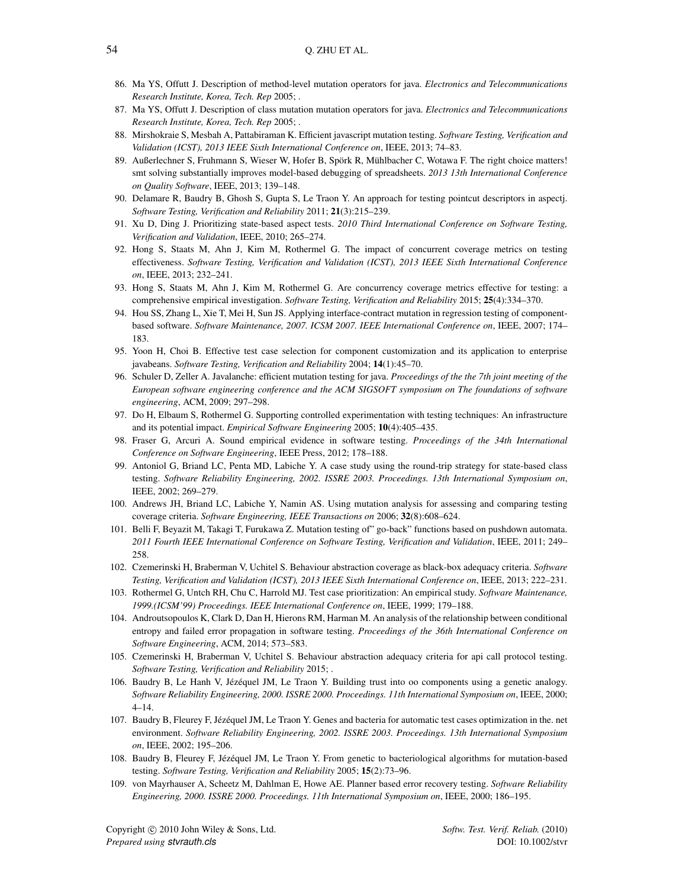- <span id="page-54-0"></span>86. Ma YS, Offutt J. Description of method-level mutation operators for java. *Electronics and Telecommunications Research Institute, Korea, Tech. Rep* 2005; .
- <span id="page-54-1"></span>87. Ma YS, Offutt J. Description of class mutation mutation operators for java. *Electronics and Telecommunications Research Institute, Korea, Tech. Rep* 2005; .
- <span id="page-54-2"></span>88. Mirshokraie S, Mesbah A, Pattabiraman K. Efficient javascript mutation testing. *Software Testing, Verification and Validation (ICST), 2013 IEEE Sixth International Conference on*, IEEE, 2013; 74–83.
- <span id="page-54-3"></span>89. Außerlechner S, Fruhmann S, Wieser W, Hofer B, Spörk R, Mühlbacher C, Wotawa F. The right choice matters! smt solving substantially improves model-based debugging of spreadsheets. *2013 13th International Conference on Quality Software*, IEEE, 2013; 139–148.
- <span id="page-54-4"></span>90. Delamare R, Baudry B, Ghosh S, Gupta S, Le Traon Y. An approach for testing pointcut descriptors in aspectj. *Software Testing, Verification and Reliability* 2011; 21(3):215–239.
- <span id="page-54-5"></span>91. Xu D, Ding J. Prioritizing state-based aspect tests. *2010 Third International Conference on Software Testing, Verification and Validation*, IEEE, 2010; 265–274.
- <span id="page-54-6"></span>92. Hong S, Staats M, Ahn J, Kim M, Rothermel G. The impact of concurrent coverage metrics on testing effectiveness. *Software Testing, Verification and Validation (ICST), 2013 IEEE Sixth International Conference on*, IEEE, 2013; 232–241.
- <span id="page-54-7"></span>93. Hong S, Staats M, Ahn J, Kim M, Rothermel G. Are concurrency coverage metrics effective for testing: a comprehensive empirical investigation. *Software Testing, Verification and Reliability* 2015; 25(4):334–370.
- <span id="page-54-8"></span>94. Hou SS, Zhang L, Xie T, Mei H, Sun JS. Applying interface-contract mutation in regression testing of componentbased software. *Software Maintenance, 2007. ICSM 2007. IEEE International Conference on*, IEEE, 2007; 174– 183.
- <span id="page-54-9"></span>95. Yoon H, Choi B. Effective test case selection for component customization and its application to enterprise javabeans. *Software Testing, Verification and Reliability* 2004; 14(1):45–70.
- <span id="page-54-10"></span>96. Schuler D, Zeller A. Javalanche: efficient mutation testing for java. *Proceedings of the the 7th joint meeting of the European software engineering conference and the ACM SIGSOFT symposium on The foundations of software engineering*, ACM, 2009; 297–298.
- <span id="page-54-11"></span>97. Do H, Elbaum S, Rothermel G. Supporting controlled experimentation with testing techniques: An infrastructure and its potential impact. *Empirical Software Engineering* 2005; 10(4):405–435.
- <span id="page-54-12"></span>98. Fraser G, Arcuri A. Sound empirical evidence in software testing. *Proceedings of the 34th International Conference on Software Engineering*, IEEE Press, 2012; 178–188.
- <span id="page-54-13"></span>99. Antoniol G, Briand LC, Penta MD, Labiche Y. A case study using the round-trip strategy for state-based class testing. *Software Reliability Engineering, 2002. ISSRE 2003. Proceedings. 13th International Symposium on*, IEEE, 2002; 269–279.
- <span id="page-54-14"></span>100. Andrews JH, Briand LC, Labiche Y, Namin AS. Using mutation analysis for assessing and comparing testing coverage criteria. *Software Engineering, IEEE Transactions on* 2006; 32(8):608–624.
- <span id="page-54-15"></span>101. Belli F, Beyazit M, Takagi T, Furukawa Z. Mutation testing of" go-back" functions based on pushdown automata. *2011 Fourth IEEE International Conference on Software Testing, Verification and Validation*, IEEE, 2011; 249– 258.
- <span id="page-54-16"></span>102. Czemerinski H, Braberman V, Uchitel S. Behaviour abstraction coverage as black-box adequacy criteria. *Software Testing, Verification and Validation (ICST), 2013 IEEE Sixth International Conference on*, IEEE, 2013; 222–231.
- <span id="page-54-17"></span>103. Rothermel G, Untch RH, Chu C, Harrold MJ. Test case prioritization: An empirical study. *Software Maintenance, 1999.(ICSM'99) Proceedings. IEEE International Conference on*, IEEE, 1999; 179–188.
- <span id="page-54-18"></span>104. Androutsopoulos K, Clark D, Dan H, Hierons RM, Harman M. An analysis of the relationship between conditional entropy and failed error propagation in software testing. *Proceedings of the 36th International Conference on Software Engineering*, ACM, 2014; 573–583.
- <span id="page-54-19"></span>105. Czemerinski H, Braberman V, Uchitel S. Behaviour abstraction adequacy criteria for api call protocol testing. *Software Testing, Verification and Reliability* 2015; .
- <span id="page-54-20"></span>106. Baudry B, Le Hanh V, Jézéquel JM, Le Traon Y. Building trust into oo components using a genetic analogy. *Software Reliability Engineering, 2000. ISSRE 2000. Proceedings. 11th International Symposium on*, IEEE, 2000; 4–14.
- <span id="page-54-23"></span>107. Baudry B, Fleurey F, Jézéquel JM, Le Traon Y. Genes and bacteria for automatic test cases optimization in the. net environment. *Software Reliability Engineering, 2002. ISSRE 2003. Proceedings. 13th International Symposium on*, IEEE, 2002; 195–206.
- <span id="page-54-21"></span>108. Baudry B, Fleurey F, Jézéquel JM, Le Traon Y. From genetic to bacteriological algorithms for mutation-based testing. *Software Testing, Verification and Reliability* 2005; 15(2):73–96.
- <span id="page-54-22"></span>109. von Mayrhauser A, Scheetz M, Dahlman E, Howe AE. Planner based error recovery testing. *Software Reliability Engineering, 2000. ISSRE 2000. Proceedings. 11th International Symposium on*, IEEE, 2000; 186–195.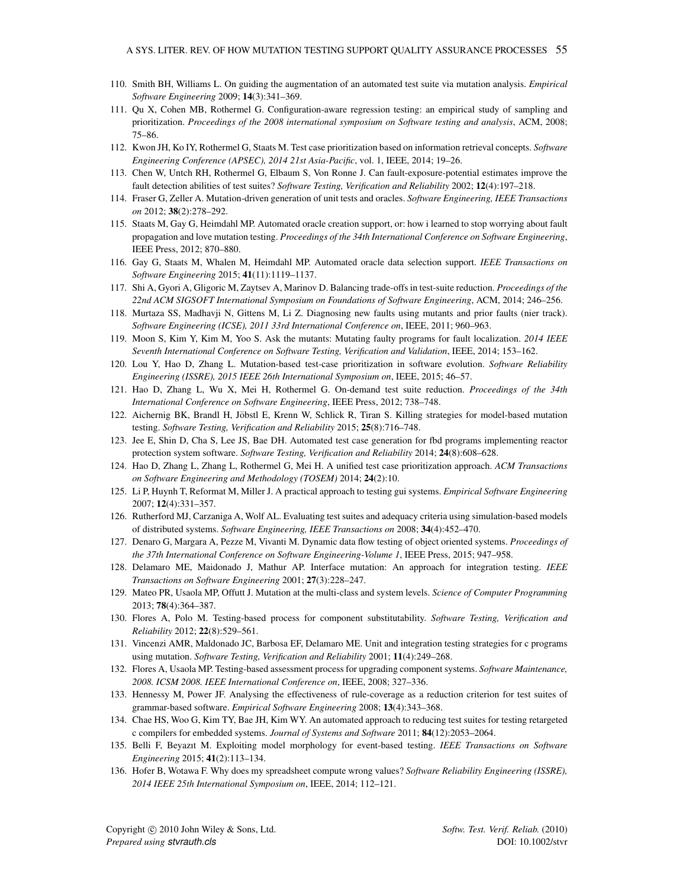- <span id="page-55-0"></span>110. Smith BH, Williams L. On guiding the augmentation of an automated test suite via mutation analysis. *Empirical Software Engineering* 2009; 14(3):341–369.
- <span id="page-55-1"></span>111. Qu X, Cohen MB, Rothermel G. Configuration-aware regression testing: an empirical study of sampling and prioritization. *Proceedings of the 2008 international symposium on Software testing and analysis*, ACM, 2008; 75–86.
- <span id="page-55-2"></span>112. Kwon JH, Ko IY, Rothermel G, Staats M. Test case prioritization based on information retrieval concepts. *Software Engineering Conference (APSEC), 2014 21st Asia-Pacific*, vol. 1, IEEE, 2014; 19–26.
- <span id="page-55-3"></span>113. Chen W, Untch RH, Rothermel G, Elbaum S, Von Ronne J. Can fault-exposure-potential estimates improve the fault detection abilities of test suites? *Software Testing, Verification and Reliability* 2002; 12(4):197–218.
- <span id="page-55-4"></span>114. Fraser G, Zeller A. Mutation-driven generation of unit tests and oracles. *Software Engineering, IEEE Transactions on* 2012; 38(2):278–292.
- <span id="page-55-5"></span>115. Staats M, Gay G, Heimdahl MP. Automated oracle creation support, or: how i learned to stop worrying about fault propagation and love mutation testing. *Proceedings of the 34th International Conference on Software Engineering*, IEEE Press, 2012; 870–880.
- <span id="page-55-6"></span>116. Gay G, Staats M, Whalen M, Heimdahl MP. Automated oracle data selection support. *IEEE Transactions on Software Engineering* 2015; 41(11):1119–1137.
- <span id="page-55-7"></span>117. Shi A, Gyori A, Gligoric M, Zaytsev A, Marinov D. Balancing trade-offs in test-suite reduction. *Proceedings of the 22nd ACM SIGSOFT International Symposium on Foundations of Software Engineering*, ACM, 2014; 246–256.
- <span id="page-55-8"></span>118. Murtaza SS, Madhavji N, Gittens M, Li Z. Diagnosing new faults using mutants and prior faults (nier track). *Software Engineering (ICSE), 2011 33rd International Conference on*, IEEE, 2011; 960–963.
- <span id="page-55-9"></span>119. Moon S, Kim Y, Kim M, Yoo S. Ask the mutants: Mutating faulty programs for fault localization. *2014 IEEE Seventh International Conference on Software Testing, Verification and Validation*, IEEE, 2014; 153–162.
- <span id="page-55-10"></span>120. Lou Y, Hao D, Zhang L. Mutation-based test-case prioritization in software evolution. *Software Reliability Engineering (ISSRE), 2015 IEEE 26th International Symposium on*, IEEE, 2015; 46–57.
- <span id="page-55-11"></span>121. Hao D, Zhang L, Wu X, Mei H, Rothermel G. On-demand test suite reduction. *Proceedings of the 34th International Conference on Software Engineering*, IEEE Press, 2012; 738–748.
- <span id="page-55-12"></span>122. Aichernig BK, Brandl H, Jöbstl E, Krenn W, Schlick R, Tiran S. Killing strategies for model-based mutation testing. *Software Testing, Verification and Reliability* 2015; 25(8):716–748.
- <span id="page-55-13"></span>123. Jee E, Shin D, Cha S, Lee JS, Bae DH. Automated test case generation for fbd programs implementing reactor protection system software. *Software Testing, Verification and Reliability* 2014; 24(8):608–628.
- <span id="page-55-14"></span>124. Hao D, Zhang L, Zhang L, Rothermel G, Mei H. A unified test case prioritization approach. *ACM Transactions on Software Engineering and Methodology (TOSEM)* 2014; 24(2):10.
- <span id="page-55-15"></span>125. Li P, Huynh T, Reformat M, Miller J. A practical approach to testing gui systems. *Empirical Software Engineering* 2007; 12(4):331–357.
- <span id="page-55-16"></span>126. Rutherford MJ, Carzaniga A, Wolf AL. Evaluating test suites and adequacy criteria using simulation-based models of distributed systems. *Software Engineering, IEEE Transactions on* 2008; 34(4):452–470.
- <span id="page-55-17"></span>127. Denaro G, Margara A, Pezze M, Vivanti M. Dynamic data flow testing of object oriented systems. *Proceedings of the 37th International Conference on Software Engineering-Volume 1*, IEEE Press, 2015; 947–958.
- <span id="page-55-18"></span>128. Delamaro ME, Maidonado J, Mathur AP. Interface mutation: An approach for integration testing. *IEEE Transactions on Software Engineering* 2001; 27(3):228–247.
- <span id="page-55-19"></span>129. Mateo PR, Usaola MP, Offutt J. Mutation at the multi-class and system levels. *Science of Computer Programming* 2013; 78(4):364–387.
- <span id="page-55-20"></span>130. Flores A, Polo M. Testing-based process for component substitutability. *Software Testing, Verification and Reliability* 2012; 22(8):529–561.
- <span id="page-55-21"></span>131. Vincenzi AMR, Maldonado JC, Barbosa EF, Delamaro ME. Unit and integration testing strategies for c programs using mutation. *Software Testing, Verification and Reliability* 2001; 11(4):249–268.
- <span id="page-55-22"></span>132. Flores A, Usaola MP. Testing-based assessment process for upgrading component systems. *Software Maintenance, 2008. ICSM 2008. IEEE International Conference on*, IEEE, 2008; 327–336.
- <span id="page-55-23"></span>133. Hennessy M, Power JF. Analysing the effectiveness of rule-coverage as a reduction criterion for test suites of grammar-based software. *Empirical Software Engineering* 2008; 13(4):343–368.
- 134. Chae HS, Woo G, Kim TY, Bae JH, Kim WY. An automated approach to reducing test suites for testing retargeted c compilers for embedded systems. *Journal of Systems and Software* 2011; 84(12):2053–2064.
- <span id="page-55-24"></span>135. Belli F, Beyazıt M. Exploiting model morphology for event-based testing. *IEEE Transactions on Software Engineering* 2015; 41(2):113–134.
- <span id="page-55-25"></span>136. Hofer B, Wotawa F. Why does my spreadsheet compute wrong values? *Software Reliability Engineering (ISSRE), 2014 IEEE 25th International Symposium on*, IEEE, 2014; 112–121.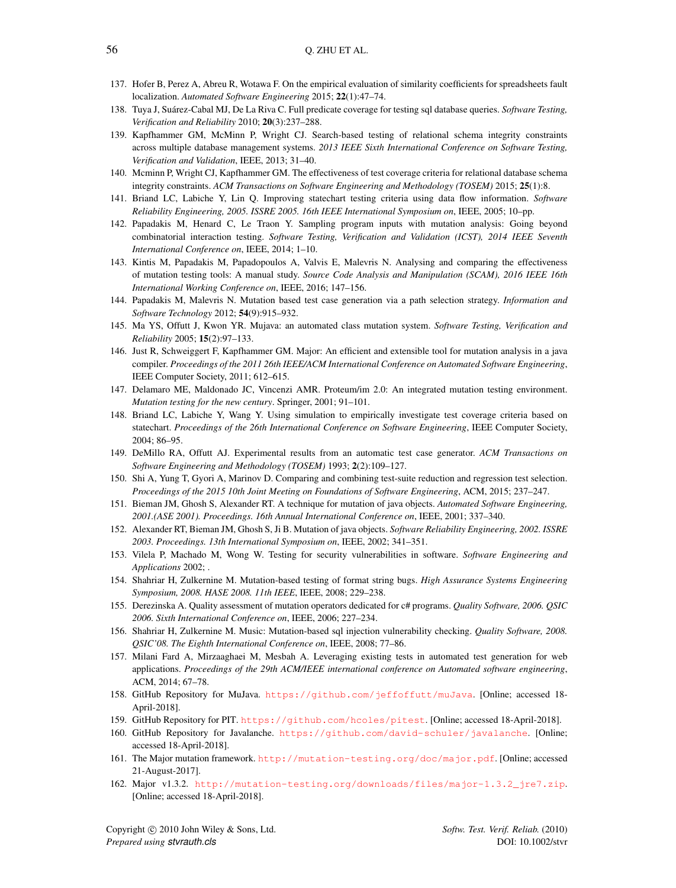- <span id="page-56-0"></span>137. Hofer B, Perez A, Abreu R, Wotawa F. On the empirical evaluation of similarity coefficients for spreadsheets fault localization. *Automated Software Engineering* 2015; 22(1):47–74.
- <span id="page-56-1"></span>138. Tuya J, Suarez-Cabal MJ, De La Riva C. Full predicate coverage for testing sql database queries. ´ *Software Testing, Verification and Reliability* 2010; 20(3):237–288.
- 139. Kapfhammer GM, McMinn P, Wright CJ. Search-based testing of relational schema integrity constraints across multiple database management systems. *2013 IEEE Sixth International Conference on Software Testing, Verification and Validation*, IEEE, 2013; 31–40.
- <span id="page-56-2"></span>140. Mcminn P, Wright CJ, Kapfhammer GM. The effectiveness of test coverage criteria for relational database schema integrity constraints. *ACM Transactions on Software Engineering and Methodology (TOSEM)* 2015; 25(1):8.
- <span id="page-56-3"></span>141. Briand LC, Labiche Y, Lin Q. Improving statechart testing criteria using data flow information. *Software Reliability Engineering, 2005. ISSRE 2005. 16th IEEE International Symposium on*, IEEE, 2005; 10–pp.
- <span id="page-56-4"></span>142. Papadakis M, Henard C, Le Traon Y. Sampling program inputs with mutation analysis: Going beyond combinatorial interaction testing. *Software Testing, Verification and Validation (ICST), 2014 IEEE Seventh International Conference on*, IEEE, 2014; 1–10.
- <span id="page-56-5"></span>143. Kintis M, Papadakis M, Papadopoulos A, Valvis E, Malevris N. Analysing and comparing the effectiveness of mutation testing tools: A manual study. *Source Code Analysis and Manipulation (SCAM), 2016 IEEE 16th International Working Conference on*, IEEE, 2016; 147–156.
- <span id="page-56-6"></span>144. Papadakis M, Malevris N. Mutation based test case generation via a path selection strategy. *Information and Software Technology* 2012; 54(9):915–932.
- <span id="page-56-7"></span>145. Ma YS, Offutt J, Kwon YR. Mujava: an automated class mutation system. *Software Testing, Verification and Reliability* 2005; 15(2):97–133.
- <span id="page-56-8"></span>146. Just R, Schweiggert F, Kapfhammer GM. Major: An efficient and extensible tool for mutation analysis in a java compiler. *Proceedings of the 2011 26th IEEE/ACM International Conference on Automated Software Engineering*, IEEE Computer Society, 2011; 612–615.
- <span id="page-56-9"></span>147. Delamaro ME, Maldonado JC, Vincenzi AMR. Proteum/im 2.0: An integrated mutation testing environment. *Mutation testing for the new century*. Springer, 2001; 91–101.
- <span id="page-56-10"></span>148. Briand LC, Labiche Y, Wang Y. Using simulation to empirically investigate test coverage criteria based on statechart. *Proceedings of the 26th International Conference on Software Engineering*, IEEE Computer Society, 2004; 86–95.
- <span id="page-56-11"></span>149. DeMillo RA, Offutt AJ. Experimental results from an automatic test case generator. *ACM Transactions on Software Engineering and Methodology (TOSEM)* 1993; 2(2):109–127.
- <span id="page-56-12"></span>150. Shi A, Yung T, Gyori A, Marinov D. Comparing and combining test-suite reduction and regression test selection. *Proceedings of the 2015 10th Joint Meeting on Foundations of Software Engineering*, ACM, 2015; 237–247.
- <span id="page-56-13"></span>151. Bieman JM, Ghosh S, Alexander RT. A technique for mutation of java objects. *Automated Software Engineering, 2001.(ASE 2001). Proceedings. 16th Annual International Conference on*, IEEE, 2001; 337–340.
- <span id="page-56-14"></span>152. Alexander RT, Bieman JM, Ghosh S, Ji B. Mutation of java objects. *Software Reliability Engineering, 2002. ISSRE 2003. Proceedings. 13th International Symposium on*, IEEE, 2002; 341–351.
- <span id="page-56-15"></span>153. Vilela P, Machado M, Wong W. Testing for security vulnerabilities in software. *Software Engineering and Applications* 2002; .
- <span id="page-56-16"></span>154. Shahriar H, Zulkernine M. Mutation-based testing of format string bugs. *High Assurance Systems Engineering Symposium, 2008. HASE 2008. 11th IEEE*, IEEE, 2008; 229–238.
- <span id="page-56-17"></span>155. Derezinska A. Quality assessment of mutation operators dedicated for c# programs. *Quality Software, 2006. QSIC 2006. Sixth International Conference on*, IEEE, 2006; 227–234.
- <span id="page-56-18"></span>156. Shahriar H, Zulkernine M. Music: Mutation-based sql injection vulnerability checking. *Quality Software, 2008. QSIC'08. The Eighth International Conference on*, IEEE, 2008; 77–86.
- <span id="page-56-19"></span>157. Milani Fard A, Mirzaaghaei M, Mesbah A. Leveraging existing tests in automated test generation for web applications. *Proceedings of the 29th ACM/IEEE international conference on Automated software engineering*, ACM, 2014; 67–78.
- <span id="page-56-20"></span>158. GitHub Repository for MuJava. <https://github.com/jeffoffutt/muJava>. [Online; accessed 18- April-2018].
- <span id="page-56-21"></span>159. GitHub Repository for PIT. <https://github.com/hcoles/pitest>. [Online; accessed 18-April-2018].
- <span id="page-56-22"></span>160. GitHub Repository for Javalanche. <https://github.com/david-schuler/javalanche>. [Online; accessed 18-April-2018].
- <span id="page-56-23"></span>161. The Major mutation framework. <http://mutation-testing.org/doc/major.pdf>. [Online; accessed 21-August-2017].
- <span id="page-56-24"></span>162. Major v1.3.2. [http://mutation-testing.org/downloads/files/major-1.3.2\\_jre7.zip](http://mutation-testing.org/downloads/files/major-1.3.2_jre7.zip). [Online; accessed 18-April-2018].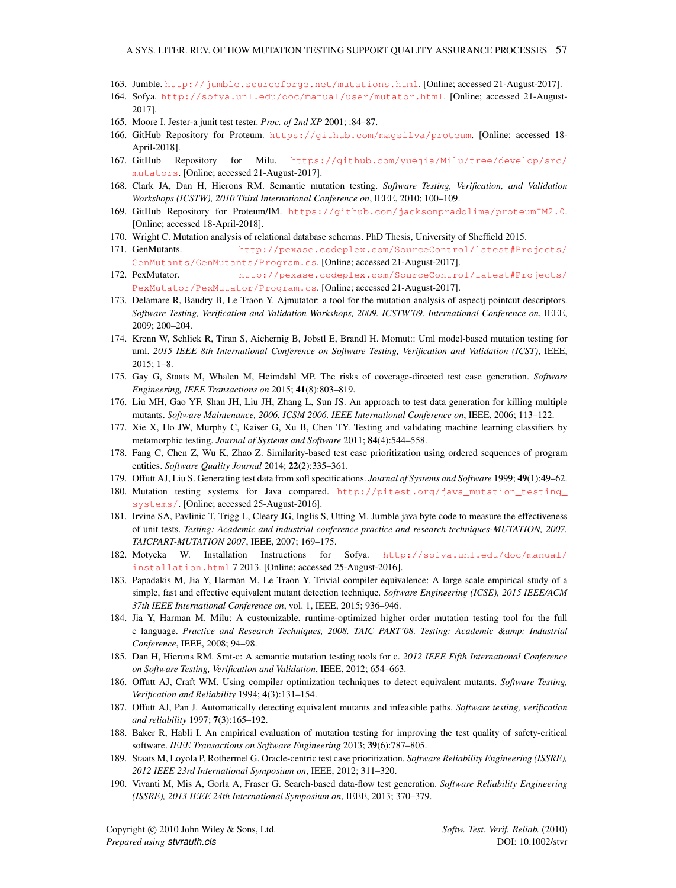- <span id="page-57-0"></span>163. Jumble. <http://jumble.sourceforge.net/mutations.html>. [Online; accessed 21-August-2017].
- <span id="page-57-1"></span>164. Sofya. <http://sofya.unl.edu/doc/manual/user/mutator.html>. [Online; accessed 21-August-2017].
- <span id="page-57-2"></span>165. Moore I. Jester-a junit test tester. *Proc. of 2nd XP* 2001; :84–87.
- <span id="page-57-3"></span>166. GitHub Repository for Proteum. <https://github.com/magsilva/proteum>. [Online; accessed 18- April-2018].
- <span id="page-57-4"></span>167. GitHub Repository for Milu. [https://github.com/yuejia/Milu/tree/develop/src/](https://github.com/yuejia/Milu/tree/develop/src/mutators) [mutators](https://github.com/yuejia/Milu/tree/develop/src/mutators). [Online; accessed 21-August-2017].
- <span id="page-57-5"></span>168. Clark JA, Dan H, Hierons RM. Semantic mutation testing. *Software Testing, Verification, and Validation Workshops (ICSTW), 2010 Third International Conference on*, IEEE, 2010; 100–109.
- <span id="page-57-6"></span>169. GitHub Repository for Proteum/IM. <https://github.com/jacksonpradolima/proteumIM2.0>. [Online; accessed 18-April-2018].
- <span id="page-57-7"></span>170. Wright C. Mutation analysis of relational database schemas. PhD Thesis, University of Sheffield 2015.
- <span id="page-57-8"></span>171. GenMutants. [http://pexase.codeplex.com/SourceControl/latest#Projects/](http://pexase.codeplex.com/SourceControl/latest#Projects/GenMutants/GenMutants/Program.cs) [GenMutants/GenMutants/Program.cs](http://pexase.codeplex.com/SourceControl/latest#Projects/GenMutants/GenMutants/Program.cs). [Online; accessed 21-August-2017].
- <span id="page-57-9"></span>172. PexMutator. [http://pexase.codeplex.com/SourceControl/latest#Projects/](http://pexase.codeplex.com/SourceControl/latest#Projects/PexMutator/PexMutator/Program.cs) [PexMutator/PexMutator/Program.cs](http://pexase.codeplex.com/SourceControl/latest#Projects/PexMutator/PexMutator/Program.cs). [Online; accessed 21-August-2017].
- <span id="page-57-10"></span>173. Delamare R, Baudry B, Le Traon Y. Ajmutator: a tool for the mutation analysis of aspectj pointcut descriptors. *Software Testing, Verification and Validation Workshops, 2009. ICSTW'09. International Conference on*, IEEE, 2009; 200–204.
- <span id="page-57-11"></span>174. Krenn W, Schlick R, Tiran S, Aichernig B, Jobstl E, Brandl H. Momut:: Uml model-based mutation testing for uml. *2015 IEEE 8th International Conference on Software Testing, Verification and Validation (ICST)*, IEEE, 2015; 1–8.
- <span id="page-57-12"></span>175. Gay G, Staats M, Whalen M, Heimdahl MP. The risks of coverage-directed test case generation. *Software Engineering, IEEE Transactions on* 2015; 41(8):803–819.
- <span id="page-57-13"></span>176. Liu MH, Gao YF, Shan JH, Liu JH, Zhang L, Sun JS. An approach to test data generation for killing multiple mutants. *Software Maintenance, 2006. ICSM 2006. IEEE International Conference on*, IEEE, 2006; 113–122.
- <span id="page-57-14"></span>177. Xie X, Ho JW, Murphy C, Kaiser G, Xu B, Chen TY. Testing and validating machine learning classifiers by metamorphic testing. *Journal of Systems and Software* 2011; 84(4):544–558.
- <span id="page-57-15"></span>178. Fang C, Chen Z, Wu K, Zhao Z. Similarity-based test case prioritization using ordered sequences of program entities. *Software Quality Journal* 2014; 22(2):335–361.
- <span id="page-57-16"></span>179. Offutt AJ, Liu S. Generating test data from sofl specifications. *Journal of Systems and Software* 1999; 49(1):49–62.
- <span id="page-57-19"></span>180. Mutation testing systems for Java compared. [http://pitest.org/java\\_mutation\\_testing\\_](http://pitest.org/java_mutation_testing_systems/) [systems/](http://pitest.org/java_mutation_testing_systems/). [Online; accessed 25-August-2016].
- <span id="page-57-20"></span>181. Irvine SA, Pavlinic T, Trigg L, Cleary JG, Inglis S, Utting M. Jumble java byte code to measure the effectiveness of unit tests. *Testing: Academic and industrial conference practice and research techniques-MUTATION, 2007. TAICPART-MUTATION 2007*, IEEE, 2007; 169–175.
- <span id="page-57-21"></span>182. Motycka W. Installation Instructions for Sofya. [http://sofya.unl.edu/doc/manual/](http://sofya.unl.edu/doc/manual/installation.html) [installation.html](http://sofya.unl.edu/doc/manual/installation.html) 7 2013. [Online; accessed 25-August-2016].
- <span id="page-57-22"></span>183. Papadakis M, Jia Y, Harman M, Le Traon Y. Trivial compiler equivalence: A large scale empirical study of a simple, fast and effective equivalent mutant detection technique. *Software Engineering (ICSE), 2015 IEEE/ACM 37th IEEE International Conference on*, vol. 1, IEEE, 2015; 936–946.
- <span id="page-57-23"></span>184. Jia Y, Harman M. Milu: A customizable, runtime-optimized higher order mutation testing tool for the full c language. *Practice and Research Techniques, 2008. TAIC PART'08. Testing: Academic & Industrial Conference*, IEEE, 2008; 94–98.
- <span id="page-57-24"></span>185. Dan H, Hierons RM. Smt-c: A semantic mutation testing tools for c. *2012 IEEE Fifth International Conference on Software Testing, Verification and Validation*, IEEE, 2012; 654–663.
- <span id="page-57-17"></span>186. Offutt AJ, Craft WM. Using compiler optimization techniques to detect equivalent mutants. *Software Testing, Verification and Reliability* 1994; 4(3):131–154.
- <span id="page-57-18"></span>187. Offutt AJ, Pan J. Automatically detecting equivalent mutants and infeasible paths. *Software testing, verification and reliability* 1997; 7(3):165–192.
- <span id="page-57-25"></span>188. Baker R, Habli I. An empirical evaluation of mutation testing for improving the test quality of safety-critical software. *IEEE Transactions on Software Engineering* 2013; 39(6):787–805.
- <span id="page-57-26"></span>189. Staats M, Loyola P, Rothermel G. Oracle-centric test case prioritization. *Software Reliability Engineering (ISSRE), 2012 IEEE 23rd International Symposium on*, IEEE, 2012; 311–320.
- <span id="page-57-27"></span>190. Vivanti M, Mis A, Gorla A, Fraser G. Search-based data-flow test generation. *Software Reliability Engineering (ISSRE), 2013 IEEE 24th International Symposium on*, IEEE, 2013; 370–379.